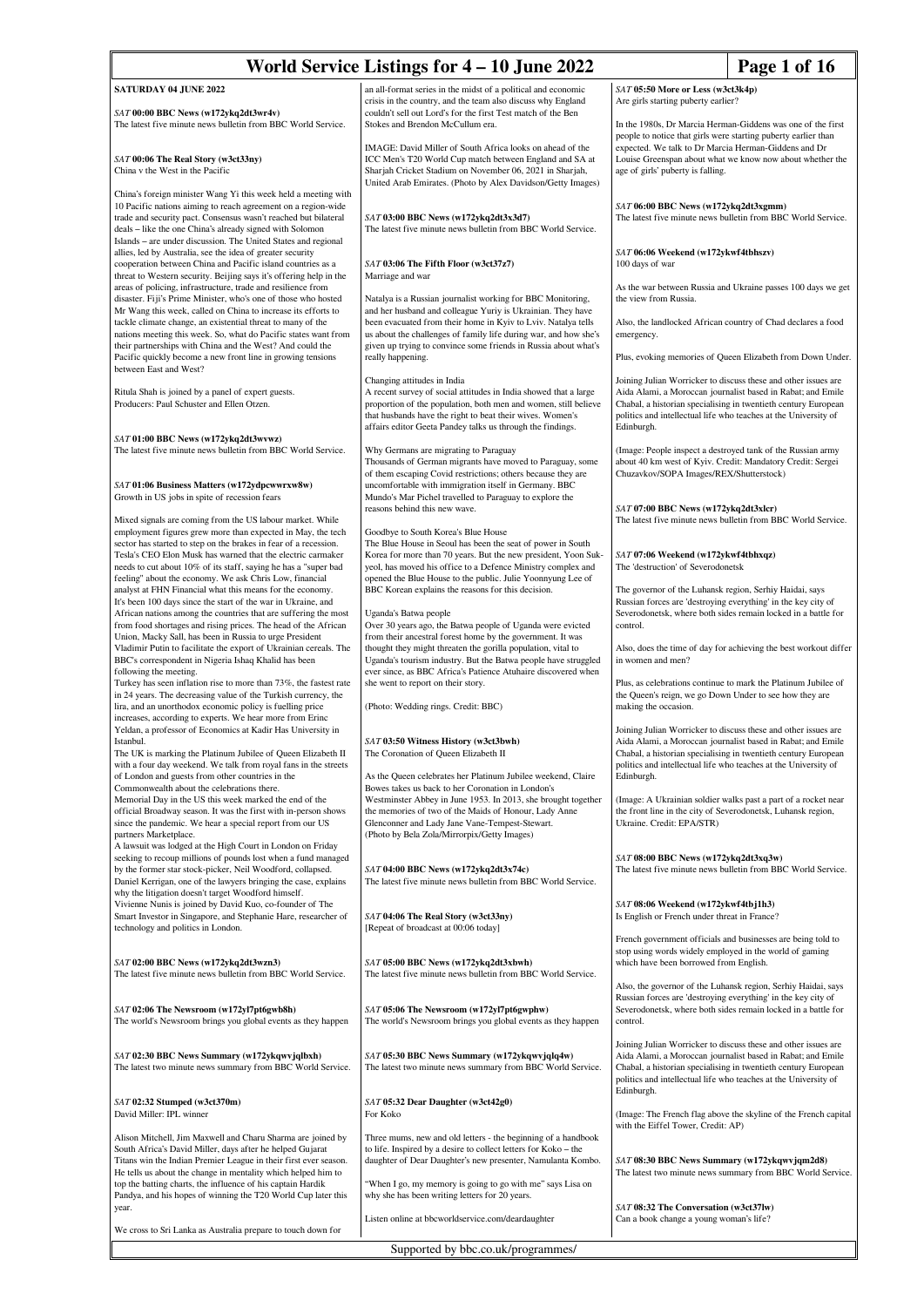| World Service Listings for 4 – 10 June 2022<br>Page 1 of 16                                                                                                                                                                                                                                                                  |                                                                                                                                                                                                                                                                              |                                                                                                                                                                                                                                                                                  |  |
|------------------------------------------------------------------------------------------------------------------------------------------------------------------------------------------------------------------------------------------------------------------------------------------------------------------------------|------------------------------------------------------------------------------------------------------------------------------------------------------------------------------------------------------------------------------------------------------------------------------|----------------------------------------------------------------------------------------------------------------------------------------------------------------------------------------------------------------------------------------------------------------------------------|--|
| <b>SATURDAY 04 JUNE 2022</b>                                                                                                                                                                                                                                                                                                 | an all-format series in the midst of a political and economic<br>crisis in the country, and the team also discuss why England                                                                                                                                                | SAT 05:50 More or Less (w3ct3k4p)<br>Are girls starting puberty earlier?                                                                                                                                                                                                         |  |
| SAT 00:00 BBC News (w172ykq2dt3wr4v)<br>The latest five minute news bulletin from BBC World Service.                                                                                                                                                                                                                         | couldn't sell out Lord's for the first Test match of the Ben<br>Stokes and Brendon McCullum era.<br>IMAGE: David Miller of South Africa looks on ahead of the                                                                                                                | In the 1980s, Dr Marcia Herman-Giddens was one of the first<br>people to notice that girls were starting puberty earlier than<br>expected. We talk to Dr Marcia Herman-Giddens and Dr                                                                                            |  |
| SAT 00:06 The Real Story (w3ct33ny)<br>China v the West in the Pacific<br>China's foreign minister Wang Yi this week held a meeting with                                                                                                                                                                                     | ICC Men's T20 World Cup match between England and SA at<br>Sharjah Cricket Stadium on November 06, 2021 in Sharjah,<br>United Arab Emirates. (Photo by Alex Davidson/Getty Images)                                                                                           | Louise Greenspan about what we know now about whether the<br>age of girls' puberty is falling.                                                                                                                                                                                   |  |
| 10 Pacific nations aiming to reach agreement on a region-wide<br>trade and security pact. Consensus wasn't reached but bilateral<br>deals - like the one China's already signed with Solomon<br>Islands – are under discussion. The United States and regional                                                               | SAT 03:00 BBC News (w172ykq2dt3x3d7)<br>The latest five minute news bulletin from BBC World Service.                                                                                                                                                                         | SAT 06:00 BBC News (w172ykq2dt3xgmm)<br>The latest five minute news bulletin from BBC World Service.                                                                                                                                                                             |  |
| allies, led by Australia, see the idea of greater security<br>cooperation between China and Pacific island countries as a<br>threat to Western security. Beijing says it's offering help in the                                                                                                                              | SAT 03:06 The Fifth Floor (w3ct37z7)<br>Marriage and war                                                                                                                                                                                                                     | SAT 06:06 Weekend (w172ykwf4tbhszv)<br>100 days of war                                                                                                                                                                                                                           |  |
| areas of policing, infrastructure, trade and resilience from<br>disaster. Fiji's Prime Minister, who's one of those who hosted<br>Mr Wang this week, called on China to increase its efforts to                                                                                                                              | Natalya is a Russian journalist working for BBC Monitoring,<br>and her husband and colleague Yuriy is Ukrainian. They have                                                                                                                                                   | As the war between Russia and Ukraine passes 100 days we get<br>the view from Russia.                                                                                                                                                                                            |  |
| tackle climate change, an existential threat to many of the<br>nations meeting this week. So, what do Pacific states want from<br>their partnerships with China and the West? And could the                                                                                                                                  | been evacuated from their home in Kyiv to Lviv. Natalya tells<br>us about the challenges of family life during war, and how she's<br>given up trying to convince some friends in Russia about what's                                                                         | Also, the landlocked African country of Chad declares a food<br>emergency.                                                                                                                                                                                                       |  |
| Pacific quickly become a new front line in growing tensions<br>between East and West?                                                                                                                                                                                                                                        | really happening.<br>Changing attitudes in India                                                                                                                                                                                                                             | Plus, evoking memories of Queen Elizabeth from Down Under.<br>Joining Julian Worricker to discuss these and other issues are                                                                                                                                                     |  |
| Ritula Shah is joined by a panel of expert guests.<br>Producers: Paul Schuster and Ellen Otzen.                                                                                                                                                                                                                              | A recent survey of social attitudes in India showed that a large<br>proportion of the population, both men and women, still believe<br>that husbands have the right to beat their wives. Women's<br>affairs editor Geeta Pandey talks us through the findings.               | Aida Alami, a Moroccan journalist based in Rabat; and Emile<br>Chabal, a historian specialising in twentieth century European<br>politics and intellectual life who teaches at the University of<br>Edinburgh.                                                                   |  |
| SAT 01:00 BBC News (w172ykq2dt3wvwz)<br>The latest five minute news bulletin from BBC World Service.<br>SAT 01:06 Business Matters (w172ydpcwwrxw8w)                                                                                                                                                                         | Why Germans are migrating to Paraguay<br>Thousands of German migrants have moved to Paraguay, some<br>of them escaping Covid restrictions; others because they are<br>uncomfortable with immigration itself in Germany. BBC                                                  | (Image: People inspect a destroyed tank of the Russian army<br>about 40 km west of Kyiv. Credit: Mandatory Credit: Sergei<br>Chuzavkov/SOPA Images/REX/Shutterstock)                                                                                                             |  |
| Growth in US jobs in spite of recession fears<br>Mixed signals are coming from the US labour market. While                                                                                                                                                                                                                   | Mundo's Mar Pichel travelled to Paraguay to explore the<br>reasons behind this new wave.                                                                                                                                                                                     | SAT 07:00 BBC News (w172ykq2dt3xlcr)<br>The latest five minute news bulletin from BBC World Service.                                                                                                                                                                             |  |
| employment figures grew more than expected in May, the tech<br>sector has started to step on the brakes in fear of a recession.<br>Tesla's CEO Elon Musk has warned that the electric carmaker                                                                                                                               | Goodbye to South Korea's Blue House<br>The Blue House in Seoul has been the seat of power in South<br>Korea for more than 70 years. But the new president, Yoon Suk-                                                                                                         | SAT 07:06 Weekend (w172ykwf4tbhxqz)                                                                                                                                                                                                                                              |  |
| needs to cut about 10% of its staff, saying he has a "super bad<br>feeling" about the economy. We ask Chris Low, financial<br>analyst at FHN Financial what this means for the economy.<br>It's been 100 days since the start of the war in Ukraine, and                                                                     | yeol, has moved his office to a Defence Ministry complex and<br>opened the Blue House to the public. Julie Yoonnyung Lee of<br>BBC Korean explains the reasons for this decision.                                                                                            | The 'destruction' of Severodonetsk<br>The governor of the Luhansk region, Serhiy Haidai, says<br>Russian forces are 'destroying everything' in the key city of                                                                                                                   |  |
| African nations among the countries that are suffering the most<br>from food shortages and rising prices. The head of the African<br>Union, Macky Sall, has been in Russia to urge President<br>Vladimir Putin to facilitate the export of Ukrainian cereals. The                                                            | Uganda's Batwa people<br>Over 30 years ago, the Batwa people of Uganda were evicted<br>from their ancestral forest home by the government. It was<br>thought they might threaten the gorilla population, vital to                                                            | Severodonetsk, where both sides remain locked in a battle for<br>control.<br>Also, does the time of day for achieving the best workout differ                                                                                                                                    |  |
| BBC's correspondent in Nigeria Ishaq Khalid has been<br>following the meeting.<br>Turkey has seen inflation rise to more than 73%, the fastest rate                                                                                                                                                                          | Uganda's tourism industry. But the Batwa people have struggled<br>ever since, as BBC Africa's Patience Atuhaire discovered when<br>she went to report on their story.                                                                                                        | in women and men?<br>Plus, as celebrations continue to mark the Platinum Jubilee of                                                                                                                                                                                              |  |
| in 24 years. The decreasing value of the Turkish currency, the<br>lira, and an unorthodox economic policy is fuelling price<br>increases, according to experts. We hear more from Erinc<br>Yeldan, a professor of Economics at Kadir Has University in                                                                       | (Photo: Wedding rings. Credit: BBC)                                                                                                                                                                                                                                          | the Queen's reign, we go Down Under to see how they are<br>making the occasion.<br>Joining Julian Worricker to discuss these and other issues are                                                                                                                                |  |
| Istanbul.<br>The UK is marking the Platinum Jubilee of Queen Elizabeth II<br>with a four day weekend. We talk from royal fans in the streets<br>of London and guests from other countries in the                                                                                                                             | SAT 03:50 Witness History (w3ct3bwh)<br>The Coronation of Queen Elizabeth II<br>As the Queen celebrates her Platinum Jubilee weekend, Claire                                                                                                                                 | Aida Alami, a Moroccan journalist based in Rabat; and Emile<br>Chabal, a historian specialising in twentieth century European<br>politics and intellectual life who teaches at the University of<br>Edinburgh.                                                                   |  |
| Commonwealth about the celebrations there.<br>Memorial Day in the US this week marked the end of the<br>official Broadway season. It was the first with in-person shows<br>since the pandemic. We hear a special report from our US<br>partners Marketplace.<br>A lawsuit was lodged at the High Court in London on Friday   | Bowes takes us back to her Coronation in London's<br>Westminster Abbey in June 1953. In 2013, she brought together<br>the memories of two of the Maids of Honour, Lady Anne<br>Glenconner and Lady Jane Vane-Tempest-Stewart.<br>(Photo by Bela Zola/Mirrorpix/Getty Images) | (Image: A Ukrainian soldier walks past a part of a rocket near<br>the front line in the city of Severodonetsk, Luhansk region,<br>Ukraine. Credit: EPA/STR)                                                                                                                      |  |
| seeking to recoup millions of pounds lost when a fund managed<br>by the former star stock-picker, Neil Woodford, collapsed.<br>Daniel Kerrigan, one of the lawyers bringing the case, explains<br>why the litigation doesn't target Woodford himself.                                                                        | SAT 04:00 BBC News (w172ykq2dt3x74c)<br>The latest five minute news bulletin from BBC World Service.                                                                                                                                                                         | SAT 08:00 BBC News (w172ykq2dt3xq3w)<br>The latest five minute news bulletin from BBC World Service.                                                                                                                                                                             |  |
| Vivienne Nunis is joined by David Kuo, co-founder of The<br>Smart Investor in Singapore, and Stephanie Hare, researcher of<br>technology and politics in London.                                                                                                                                                             | SAT 04:06 The Real Story (w3ct33ny)<br>[Repeat of broadcast at 00:06 today]                                                                                                                                                                                                  | SAT 08:06 Weekend (w172ykwf4tbj1h3)<br>Is English or French under threat in France?                                                                                                                                                                                              |  |
| SAT 02:00 BBC News (w172ykq2dt3wzn3)<br>The latest five minute news bulletin from BBC World Service.                                                                                                                                                                                                                         | SAT 05:00 BBC News (w172ykq2dt3xbwh)<br>The latest five minute news bulletin from BBC World Service.                                                                                                                                                                         | French government officials and businesses are being told to<br>stop using words widely employed in the world of gaming<br>which have been borrowed from English.                                                                                                                |  |
| SAT 02:06 The Newsroom (w172yl7pt6gwb8h)<br>The world's Newsroom brings you global events as they happen                                                                                                                                                                                                                     | SAT 05:06 The Newsroom (w172yl7pt6gwphw)<br>The world's Newsroom brings you global events as they happen                                                                                                                                                                     | Also, the governor of the Luhansk region, Serhiy Haidai, says<br>Russian forces are 'destroying everything' in the key city of<br>Severodonetsk, where both sides remain locked in a battle for<br>control.                                                                      |  |
| SAT 02:30 BBC News Summary (w172ykqwvjqlbxh)<br>The latest two minute news summary from BBC World Service.                                                                                                                                                                                                                   | SAT 05:30 BBC News Summary (w172ykqwvjqlq4w)<br>The latest two minute news summary from BBC World Service.                                                                                                                                                                   | Joining Julian Worricker to discuss these and other issues are<br>Aida Alami, a Moroccan journalist based in Rabat; and Emile<br>Chabal, a historian specialising in twentieth century European<br>politics and intellectual life who teaches at the University of<br>Edinburgh. |  |
| SAT 02:32 Stumped (w3ct370m)<br>David Miller: IPL winner                                                                                                                                                                                                                                                                     | SAT 05:32 Dear Daughter (w3ct42g0)<br>For Koko                                                                                                                                                                                                                               | (Image: The French flag above the skyline of the French capital<br>with the Eiffel Tower, Credit: AP)                                                                                                                                                                            |  |
| Alison Mitchell, Jim Maxwell and Charu Sharma are joined by<br>South Africa's David Miller, days after he helped Gujarat<br>Titans win the Indian Premier League in their first ever season.<br>He tells us about the change in mentality which helped him to<br>top the batting charts, the influence of his captain Hardik | Three mums, new and old letters - the beginning of a handbook<br>to life. Inspired by a desire to collect letters for Koko - the<br>daughter of Dear Daughter's new presenter, Namulanta Kombo.<br>"When I go, my memory is going to go with me" says Lisa on                | SAT 08:30 BBC News Summary (w172ykqwvjqm2d8)<br>The latest two minute news summary from BBC World Service.                                                                                                                                                                       |  |
| Pandya, and his hopes of winning the T20 World Cup later this<br>year.                                                                                                                                                                                                                                                       | why she has been writing letters for 20 years.<br>Listen online at bbcworldservice.com/deardaughter                                                                                                                                                                          | SAT 08:32 The Conversation (w3ct37lw)<br>Can a book change a young woman's life?                                                                                                                                                                                                 |  |
| We cross to Sri Lanka as Australia prepare to touch down for<br>Supported by bbc.co.uk/programmes/                                                                                                                                                                                                                           |                                                                                                                                                                                                                                                                              |                                                                                                                                                                                                                                                                                  |  |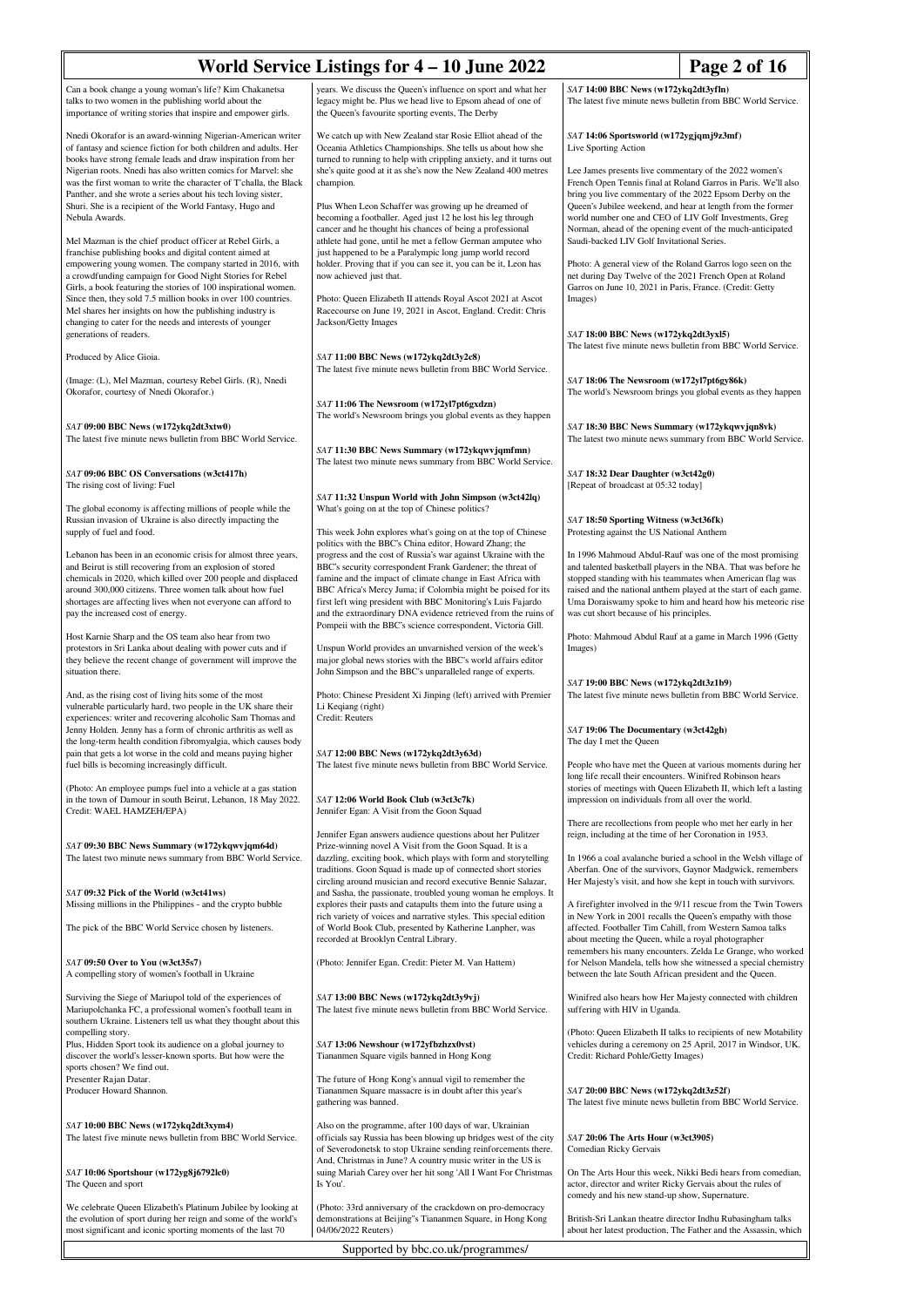| years. We discuss the Queen's influence on sport and what her<br>SAT 14:00 BBC News (w172ykq2dt3yfln)<br>The latest five minute news bulletin from BBC World Service.<br>talks to two women in the publishing world about the<br>legacy might be. Plus we head live to Epsom ahead of one of<br>the Queen's favourite sporting events, The Derby<br>We catch up with New Zealand star Rosie Elliot ahead of the<br>SAT 14:06 Sportsworld (w172ygjqmj9z3mf)<br>of fantasy and science fiction for both children and adults. Her<br>Oceania Athletics Championships. She tells us about how she<br>Live Sporting Action<br>turned to running to help with crippling anxiety, and it turns out<br>Nigerian roots. Nnedi has also written comics for Marvel: she<br>she's quite good at it as she's now the New Zealand 400 metres<br>Lee James presents live commentary of the 2022 women's<br>champion.<br>French Open Tennis final at Roland Garros in Paris. We'll also<br>Panther, and she wrote a series about his tech loving sister,<br>bring you live commentary of the 2022 Epsom Derby on the<br>Plus When Leon Schaffer was growing up he dreamed of<br>Queen's Jubilee weekend, and hear at length from the former<br>becoming a footballer. Aged just 12 he lost his leg through<br>world number one and CEO of LIV Golf Investments, Greg<br>cancer and he thought his chances of being a professional<br>Norman, ahead of the opening event of the much-anticipated<br>athlete had gone, until he met a fellow German amputee who<br>Saudi-backed LIV Golf Invitational Series.<br>franchise publishing books and digital content aimed at<br>just happened to be a Paralympic long jump world record<br>holder. Proving that if you can see it, you can be it, Leon has<br>Photo: A general view of the Roland Garros logo seen on the<br>a crowdfunding campaign for Good Night Stories for Rebel<br>now achieved just that.<br>net during Day Twelve of the 2021 French Open at Roland<br>Garros on June 10, 2021 in Paris, France. (Credit: Getty<br>Since then, they sold 7.5 million books in over 100 countries.<br>Photo: Queen Elizabeth II attends Royal Ascot 2021 at Ascot<br>Images)<br>Racecourse on June 19, 2021 in Ascot, England. Credit: Chris<br>Jackson/Getty Images<br>SAT 18:00 BBC News (w172ykq2dt3yxl5)<br>The latest five minute news bulletin from BBC World Service.<br>Produced by Alice Gioia.<br>SAT 11:00 BBC News (w172ykq2dt3y2c8)<br>The latest five minute news bulletin from BBC World Service.<br>(Image: (L), Mel Mazman, courtesy Rebel Girls. (R), Nnedi<br>SAT 18:06 The Newsroom (w172yl7pt6gy86k)<br>The world's Newsroom brings you global events as they happen<br>SAT 11:06 The Newsroom (w172yl7pt6gxdzn)<br>The world's Newsroom brings you global events as they happen<br>SAT 09:00 BBC News (w172ykq2dt3xtw0)<br>SAT 18:30 BBC News Summary (w172ykqwvjqn8vk)<br>The latest two minute news summary from BBC World Service.<br>SAT 11:30 BBC News Summary (w172ykqwvjqmfmn)<br>The latest two minute news summary from BBC World Service.<br>SAT 18:32 Dear Daughter (w3ct42g0)<br>The rising cost of living: Fuel<br>[Repeat of broadcast at 05:32 today]<br>SAT 11:32 Unspun World with John Simpson (w3ct42lq)<br>The global economy is affecting millions of people while the<br>What's going on at the top of Chinese politics?<br>SAT 18:50 Sporting Witness (w3ct36fk)<br>supply of fuel and food.<br>This week John explores what's going on at the top of Chinese<br>Protesting against the US National Anthem<br>politics with the BBC's China editor, Howard Zhang; the<br>Lebanon has been in an economic crisis for almost three years,<br>progress and the cost of Russia's war against Ukraine with the<br>In 1996 Mahmoud Abdul-Rauf was one of the most promising<br>BBC's security correspondent Frank Gardener; the threat of<br>and talented basketball players in the NBA. That was before he<br>chemicals in 2020, which killed over 200 people and displaced<br>famine and the impact of climate change in East Africa with<br>stopped standing with his teammates when American flag was<br>BBC Africa's Mercy Juma; if Colombia might be poised for its<br>raised and the national anthem played at the start of each game.<br>first left wing president with BBC Monitoring's Luis Fajardo<br>Uma Doraiswamy spoke to him and heard how his meteoric rise<br>pay the increased cost of energy.<br>and the extraordinary DNA evidence retrieved from the ruins of<br>was cut short because of his principles.<br>Pompeii with the BBC's science correspondent, Victoria Gill.<br>Host Karnie Sharp and the OS team also hear from two<br>Photo: Mahmoud Abdul Rauf at a game in March 1996 (Getty<br>Unspun World provides an unvarnished version of the week's<br>Images)<br>major global news stories with the BBC's world affairs editor<br>they believe the recent change of government will improve the<br>John Simpson and the BBC's unparalleled range of experts.<br>SAT 19:00 BBC News (w172ykq2dt3z1b9)<br>The latest five minute news bulletin from BBC World Service.<br>Photo: Chinese President Xi Jinping (left) arrived with Premier<br>vulnerable particularly hard, two people in the UK share their<br>Li Keqiang (right)<br>Credit: Reuters<br>Jenny Holden. Jenny has a form of chronic arthritis as well as<br>SAT 19:06 The Documentary (w3ct42gh)<br>The day I met the Queen<br>pain that gets a lot worse in the cold and means paying higher<br>SAT 12:00 BBC News (w172ykq2dt3y63d)<br>The latest five minute news bulletin from BBC World Service.<br>People who have met the Queen at various moments during her<br>long life recall their encounters. Winifred Robinson hears<br>stories of meetings with Queen Elizabeth II, which left a lasting<br>SAT 12:06 World Book Club (w3ct3c7k)<br>impression on individuals from all over the world.<br>Jennifer Egan: A Visit from the Goon Squad<br>There are recollections from people who met her early in her<br>Jennifer Egan answers audience questions about her Pulitzer<br>reign, including at the time of her Coronation in 1953.<br>Prize-winning novel A Visit from the Goon Squad. It is a<br>The latest two minute news summary from BBC World Service.<br>dazzling, exciting book, which plays with form and storytelling<br>In 1966 a coal avalanche buried a school in the Welsh village of<br>traditions. Goon Squad is made up of connected short stories<br>Aberfan. One of the survivors, Gaynor Madgwick, remembers<br>circling around musician and record executive Bennie Salazar,<br>Her Majesty's visit, and how she kept in touch with survivors.<br>and Sasha, the passionate, troubled young woman he employs. It<br>Missing millions in the Philippines - and the crypto bubble<br>explores their pasts and catapults them into the future using a<br>A firefighter involved in the 9/11 rescue from the Twin Towers<br>rich variety of voices and narrative styles. This special edition<br>in New York in 2001 recalls the Queen's empathy with those<br>The pick of the BBC World Service chosen by listeners.<br>of World Book Club, presented by Katherine Lanpher, was<br>affected. Footballer Tim Cahill, from Western Samoa talks<br>recorded at Brooklyn Central Library.<br>about meeting the Queen, while a royal photographer<br>remembers his many encounters. Zelda Le Grange, who worked<br>(Photo: Jennifer Egan. Credit: Pieter M. Van Hattem)<br>for Nelson Mandela, tells how she witnessed a special chemistry<br>between the late South African president and the Queen.<br>SAT 13:00 BBC News (w172ykq2dt3y9vj)<br>Winifred also hears how Her Majesty connected with children<br>The latest five minute news bulletin from BBC World Service.<br>suffering with HIV in Uganda.<br>southern Ukraine. Listeners tell us what they thought about this<br>(Photo: Queen Elizabeth II talks to recipients of new Motability<br>vehicles during a ceremony on 25 April, 2017 in Windsor, UK.<br>Plus, Hidden Sport took its audience on a global journey to<br>SAT 13:06 Newshour (w172yfbzhzx0vst)<br>Tiananmen Square vigils banned in Hong Kong<br>Credit: Richard Pohle/Getty Images)<br>The future of Hong Kong's annual vigil to remember the<br>Tiananmen Square massacre is in doubt after this year's<br>SAT 20:00 BBC News (w172ykq2dt3z52f)<br>The latest five minute news bulletin from BBC World Service.<br>gathering was banned. | World Service Listings for 4 – 10 June 2022<br>Page 2 of 16                                                                      |  |  |
|---------------------------------------------------------------------------------------------------------------------------------------------------------------------------------------------------------------------------------------------------------------------------------------------------------------------------------------------------------------------------------------------------------------------------------------------------------------------------------------------------------------------------------------------------------------------------------------------------------------------------------------------------------------------------------------------------------------------------------------------------------------------------------------------------------------------------------------------------------------------------------------------------------------------------------------------------------------------------------------------------------------------------------------------------------------------------------------------------------------------------------------------------------------------------------------------------------------------------------------------------------------------------------------------------------------------------------------------------------------------------------------------------------------------------------------------------------------------------------------------------------------------------------------------------------------------------------------------------------------------------------------------------------------------------------------------------------------------------------------------------------------------------------------------------------------------------------------------------------------------------------------------------------------------------------------------------------------------------------------------------------------------------------------------------------------------------------------------------------------------------------------------------------------------------------------------------------------------------------------------------------------------------------------------------------------------------------------------------------------------------------------------------------------------------------------------------------------------------------------------------------------------------------------------------------------------------------------------------------------------------------------------------------------------------------------------------------------------------------------------------------------------------------------------------------------------------------------------------------------------------------------------------------------------------------------------------------------------------------------------------------------------------------------------------------------------------------------------------------------------------------------------------------------------------------------------------------------------------------------------------------------------------------------------------------------------------------------------------------------------------------------------------------------------------------------------------------------------------------------------------------------------------------------------------------------------------------------------------------------------------------------------------------------------------------------------------------------------------------------------------------------------------------------------------------------------------------------------------------------------------------------------------------------------------------------------------------------------------------------------------------------------------------------------------------------------------------------------------------------------------------------------------------------------------------------------------------------------------------------------------------------------------------------------------------------------------------------------------------------------------------------------------------------------------------------------------------------------------------------------------------------------------------------------------------------------------------------------------------------------------------------------------------------------------------------------------------------------------------------------------------------------------------------------------------------------------------------------------------------------------------------------------------------------------------------------------------------------------------------------------------------------------------------------------------------------------------------------------------------------------------------------------------------------------------------------------------------------------------------------------------------------------------------------------------------------------------------------------------------------------------------------------------------------------------------------------------------------------------------------------------------------------------------------------------------------------------------------------------------------------------------------------------------------------------------------------------------------------------------------------------------------------------------------------------------------------------------------------------------------------------------------------------------------------------------------------------------------------------------------------------------------------------------------------------------------------------------------------------------------------------------------------------------------------------------------------------------------------------------------------------------------------------------------------------------------------------------------------------------------------------------------------------------------------------------------------------------------------------------------------------------------------------------------------------------------------------------------------------------------------------------------------------------------------------------------------------------------------------------------------------------------------------------------------------------------------------------------------------------------------------------------------------------------------------------------------------------------------------------------------------------------------------------------------------------------------------------------------------------------------------------------------------------------------------------------------------------------------------------------------------------------------------------------------------------------------------------------------------------------------------------------------------------------------------------------------------------------------------------------------------------------------------------------------------------------------------------------------------------------------------------------------------------------------------------------------------------------------------------------------------------------------------------------------------------------------------------------------------------------------------------------------------------------------------------------------------------------------------------------------------------------------------------------------------------------------------------------------------------------------------------------------------------------------------------------------------------------------------------------------------------------------------------------------------------------------------------------------------------------------------------------------------------------------------------------------------------------------------------------------------------------------------------------------------------------|----------------------------------------------------------------------------------------------------------------------------------|--|--|
|                                                                                                                                                                                                                                                                                                                                                                                                                                                                                                                                                                                                                                                                                                                                                                                                                                                                                                                                                                                                                                                                                                                                                                                                                                                                                                                                                                                                                                                                                                                                                                                                                                                                                                                                                                                                                                                                                                                                                                                                                                                                                                                                                                                                                                                                                                                                                                                                                                                                                                                                                                                                                                                                                                                                                                                                                                                                                                                                                                                                                                                                                                                                                                                                                                                                                                                                                                                                                                                                                                                                                                                                                                                                                                                                                                                                                                                                                                                                                                                                                                                                                                                                                                                                                                                                                                                                                                                                                                                                                                                                                                                                                                                                                                                                                                                                                                                                                                                                                                                                                                                                                                                                                                                                                                                                                                                                                                                                                                                                                                                                                                                                                                                                                                                                                                                                                                                                                                                                                                                                                                                                                                                                                                                                                                                                                                                                                                                                                                                                                                                                                                                                                                                                                                                                                                                                                                                                                                                                                                                                                                                                                                                                                                                                                                                                                                                                                                                                                                                                                                                                                                                                                                                                                                                                                                                                                                                                                                                                                                                                                                                                                                                                                                                                                                                                                                                                                                                                                                                                                                                                                                     | Can a book change a young woman's life? Kim Chakanetsa                                                                           |  |  |
|                                                                                                                                                                                                                                                                                                                                                                                                                                                                                                                                                                                                                                                                                                                                                                                                                                                                                                                                                                                                                                                                                                                                                                                                                                                                                                                                                                                                                                                                                                                                                                                                                                                                                                                                                                                                                                                                                                                                                                                                                                                                                                                                                                                                                                                                                                                                                                                                                                                                                                                                                                                                                                                                                                                                                                                                                                                                                                                                                                                                                                                                                                                                                                                                                                                                                                                                                                                                                                                                                                                                                                                                                                                                                                                                                                                                                                                                                                                                                                                                                                                                                                                                                                                                                                                                                                                                                                                                                                                                                                                                                                                                                                                                                                                                                                                                                                                                                                                                                                                                                                                                                                                                                                                                                                                                                                                                                                                                                                                                                                                                                                                                                                                                                                                                                                                                                                                                                                                                                                                                                                                                                                                                                                                                                                                                                                                                                                                                                                                                                                                                                                                                                                                                                                                                                                                                                                                                                                                                                                                                                                                                                                                                                                                                                                                                                                                                                                                                                                                                                                                                                                                                                                                                                                                                                                                                                                                                                                                                                                                                                                                                                                                                                                                                                                                                                                                                                                                                                                                                                                                                                                     | importance of writing stories that inspire and empower girls.                                                                    |  |  |
|                                                                                                                                                                                                                                                                                                                                                                                                                                                                                                                                                                                                                                                                                                                                                                                                                                                                                                                                                                                                                                                                                                                                                                                                                                                                                                                                                                                                                                                                                                                                                                                                                                                                                                                                                                                                                                                                                                                                                                                                                                                                                                                                                                                                                                                                                                                                                                                                                                                                                                                                                                                                                                                                                                                                                                                                                                                                                                                                                                                                                                                                                                                                                                                                                                                                                                                                                                                                                                                                                                                                                                                                                                                                                                                                                                                                                                                                                                                                                                                                                                                                                                                                                                                                                                                                                                                                                                                                                                                                                                                                                                                                                                                                                                                                                                                                                                                                                                                                                                                                                                                                                                                                                                                                                                                                                                                                                                                                                                                                                                                                                                                                                                                                                                                                                                                                                                                                                                                                                                                                                                                                                                                                                                                                                                                                                                                                                                                                                                                                                                                                                                                                                                                                                                                                                                                                                                                                                                                                                                                                                                                                                                                                                                                                                                                                                                                                                                                                                                                                                                                                                                                                                                                                                                                                                                                                                                                                                                                                                                                                                                                                                                                                                                                                                                                                                                                                                                                                                                                                                                                                                                     | Nnedi Okorafor is an award-winning Nigerian-American writer                                                                      |  |  |
|                                                                                                                                                                                                                                                                                                                                                                                                                                                                                                                                                                                                                                                                                                                                                                                                                                                                                                                                                                                                                                                                                                                                                                                                                                                                                                                                                                                                                                                                                                                                                                                                                                                                                                                                                                                                                                                                                                                                                                                                                                                                                                                                                                                                                                                                                                                                                                                                                                                                                                                                                                                                                                                                                                                                                                                                                                                                                                                                                                                                                                                                                                                                                                                                                                                                                                                                                                                                                                                                                                                                                                                                                                                                                                                                                                                                                                                                                                                                                                                                                                                                                                                                                                                                                                                                                                                                                                                                                                                                                                                                                                                                                                                                                                                                                                                                                                                                                                                                                                                                                                                                                                                                                                                                                                                                                                                                                                                                                                                                                                                                                                                                                                                                                                                                                                                                                                                                                                                                                                                                                                                                                                                                                                                                                                                                                                                                                                                                                                                                                                                                                                                                                                                                                                                                                                                                                                                                                                                                                                                                                                                                                                                                                                                                                                                                                                                                                                                                                                                                                                                                                                                                                                                                                                                                                                                                                                                                                                                                                                                                                                                                                                                                                                                                                                                                                                                                                                                                                                                                                                                                                                     | books have strong female leads and draw inspiration from her                                                                     |  |  |
|                                                                                                                                                                                                                                                                                                                                                                                                                                                                                                                                                                                                                                                                                                                                                                                                                                                                                                                                                                                                                                                                                                                                                                                                                                                                                                                                                                                                                                                                                                                                                                                                                                                                                                                                                                                                                                                                                                                                                                                                                                                                                                                                                                                                                                                                                                                                                                                                                                                                                                                                                                                                                                                                                                                                                                                                                                                                                                                                                                                                                                                                                                                                                                                                                                                                                                                                                                                                                                                                                                                                                                                                                                                                                                                                                                                                                                                                                                                                                                                                                                                                                                                                                                                                                                                                                                                                                                                                                                                                                                                                                                                                                                                                                                                                                                                                                                                                                                                                                                                                                                                                                                                                                                                                                                                                                                                                                                                                                                                                                                                                                                                                                                                                                                                                                                                                                                                                                                                                                                                                                                                                                                                                                                                                                                                                                                                                                                                                                                                                                                                                                                                                                                                                                                                                                                                                                                                                                                                                                                                                                                                                                                                                                                                                                                                                                                                                                                                                                                                                                                                                                                                                                                                                                                                                                                                                                                                                                                                                                                                                                                                                                                                                                                                                                                                                                                                                                                                                                                                                                                                                                                     | was the first woman to write the character of T'challa, the Black                                                                |  |  |
|                                                                                                                                                                                                                                                                                                                                                                                                                                                                                                                                                                                                                                                                                                                                                                                                                                                                                                                                                                                                                                                                                                                                                                                                                                                                                                                                                                                                                                                                                                                                                                                                                                                                                                                                                                                                                                                                                                                                                                                                                                                                                                                                                                                                                                                                                                                                                                                                                                                                                                                                                                                                                                                                                                                                                                                                                                                                                                                                                                                                                                                                                                                                                                                                                                                                                                                                                                                                                                                                                                                                                                                                                                                                                                                                                                                                                                                                                                                                                                                                                                                                                                                                                                                                                                                                                                                                                                                                                                                                                                                                                                                                                                                                                                                                                                                                                                                                                                                                                                                                                                                                                                                                                                                                                                                                                                                                                                                                                                                                                                                                                                                                                                                                                                                                                                                                                                                                                                                                                                                                                                                                                                                                                                                                                                                                                                                                                                                                                                                                                                                                                                                                                                                                                                                                                                                                                                                                                                                                                                                                                                                                                                                                                                                                                                                                                                                                                                                                                                                                                                                                                                                                                                                                                                                                                                                                                                                                                                                                                                                                                                                                                                                                                                                                                                                                                                                                                                                                                                                                                                                                                                     | Shuri. She is a recipient of the World Fantasy, Hugo and                                                                         |  |  |
|                                                                                                                                                                                                                                                                                                                                                                                                                                                                                                                                                                                                                                                                                                                                                                                                                                                                                                                                                                                                                                                                                                                                                                                                                                                                                                                                                                                                                                                                                                                                                                                                                                                                                                                                                                                                                                                                                                                                                                                                                                                                                                                                                                                                                                                                                                                                                                                                                                                                                                                                                                                                                                                                                                                                                                                                                                                                                                                                                                                                                                                                                                                                                                                                                                                                                                                                                                                                                                                                                                                                                                                                                                                                                                                                                                                                                                                                                                                                                                                                                                                                                                                                                                                                                                                                                                                                                                                                                                                                                                                                                                                                                                                                                                                                                                                                                                                                                                                                                                                                                                                                                                                                                                                                                                                                                                                                                                                                                                                                                                                                                                                                                                                                                                                                                                                                                                                                                                                                                                                                                                                                                                                                                                                                                                                                                                                                                                                                                                                                                                                                                                                                                                                                                                                                                                                                                                                                                                                                                                                                                                                                                                                                                                                                                                                                                                                                                                                                                                                                                                                                                                                                                                                                                                                                                                                                                                                                                                                                                                                                                                                                                                                                                                                                                                                                                                                                                                                                                                                                                                                                                                     | Nebula Awards.                                                                                                                   |  |  |
|                                                                                                                                                                                                                                                                                                                                                                                                                                                                                                                                                                                                                                                                                                                                                                                                                                                                                                                                                                                                                                                                                                                                                                                                                                                                                                                                                                                                                                                                                                                                                                                                                                                                                                                                                                                                                                                                                                                                                                                                                                                                                                                                                                                                                                                                                                                                                                                                                                                                                                                                                                                                                                                                                                                                                                                                                                                                                                                                                                                                                                                                                                                                                                                                                                                                                                                                                                                                                                                                                                                                                                                                                                                                                                                                                                                                                                                                                                                                                                                                                                                                                                                                                                                                                                                                                                                                                                                                                                                                                                                                                                                                                                                                                                                                                                                                                                                                                                                                                                                                                                                                                                                                                                                                                                                                                                                                                                                                                                                                                                                                                                                                                                                                                                                                                                                                                                                                                                                                                                                                                                                                                                                                                                                                                                                                                                                                                                                                                                                                                                                                                                                                                                                                                                                                                                                                                                                                                                                                                                                                                                                                                                                                                                                                                                                                                                                                                                                                                                                                                                                                                                                                                                                                                                                                                                                                                                                                                                                                                                                                                                                                                                                                                                                                                                                                                                                                                                                                                                                                                                                                                                     | Mel Mazman is the chief product officer at Rebel Girls, a                                                                        |  |  |
|                                                                                                                                                                                                                                                                                                                                                                                                                                                                                                                                                                                                                                                                                                                                                                                                                                                                                                                                                                                                                                                                                                                                                                                                                                                                                                                                                                                                                                                                                                                                                                                                                                                                                                                                                                                                                                                                                                                                                                                                                                                                                                                                                                                                                                                                                                                                                                                                                                                                                                                                                                                                                                                                                                                                                                                                                                                                                                                                                                                                                                                                                                                                                                                                                                                                                                                                                                                                                                                                                                                                                                                                                                                                                                                                                                                                                                                                                                                                                                                                                                                                                                                                                                                                                                                                                                                                                                                                                                                                                                                                                                                                                                                                                                                                                                                                                                                                                                                                                                                                                                                                                                                                                                                                                                                                                                                                                                                                                                                                                                                                                                                                                                                                                                                                                                                                                                                                                                                                                                                                                                                                                                                                                                                                                                                                                                                                                                                                                                                                                                                                                                                                                                                                                                                                                                                                                                                                                                                                                                                                                                                                                                                                                                                                                                                                                                                                                                                                                                                                                                                                                                                                                                                                                                                                                                                                                                                                                                                                                                                                                                                                                                                                                                                                                                                                                                                                                                                                                                                                                                                                                                     | empowering young women. The company started in 2016, with                                                                        |  |  |
|                                                                                                                                                                                                                                                                                                                                                                                                                                                                                                                                                                                                                                                                                                                                                                                                                                                                                                                                                                                                                                                                                                                                                                                                                                                                                                                                                                                                                                                                                                                                                                                                                                                                                                                                                                                                                                                                                                                                                                                                                                                                                                                                                                                                                                                                                                                                                                                                                                                                                                                                                                                                                                                                                                                                                                                                                                                                                                                                                                                                                                                                                                                                                                                                                                                                                                                                                                                                                                                                                                                                                                                                                                                                                                                                                                                                                                                                                                                                                                                                                                                                                                                                                                                                                                                                                                                                                                                                                                                                                                                                                                                                                                                                                                                                                                                                                                                                                                                                                                                                                                                                                                                                                                                                                                                                                                                                                                                                                                                                                                                                                                                                                                                                                                                                                                                                                                                                                                                                                                                                                                                                                                                                                                                                                                                                                                                                                                                                                                                                                                                                                                                                                                                                                                                                                                                                                                                                                                                                                                                                                                                                                                                                                                                                                                                                                                                                                                                                                                                                                                                                                                                                                                                                                                                                                                                                                                                                                                                                                                                                                                                                                                                                                                                                                                                                                                                                                                                                                                                                                                                                                                     | Girls, a book featuring the stories of 100 inspirational women.                                                                  |  |  |
|                                                                                                                                                                                                                                                                                                                                                                                                                                                                                                                                                                                                                                                                                                                                                                                                                                                                                                                                                                                                                                                                                                                                                                                                                                                                                                                                                                                                                                                                                                                                                                                                                                                                                                                                                                                                                                                                                                                                                                                                                                                                                                                                                                                                                                                                                                                                                                                                                                                                                                                                                                                                                                                                                                                                                                                                                                                                                                                                                                                                                                                                                                                                                                                                                                                                                                                                                                                                                                                                                                                                                                                                                                                                                                                                                                                                                                                                                                                                                                                                                                                                                                                                                                                                                                                                                                                                                                                                                                                                                                                                                                                                                                                                                                                                                                                                                                                                                                                                                                                                                                                                                                                                                                                                                                                                                                                                                                                                                                                                                                                                                                                                                                                                                                                                                                                                                                                                                                                                                                                                                                                                                                                                                                                                                                                                                                                                                                                                                                                                                                                                                                                                                                                                                                                                                                                                                                                                                                                                                                                                                                                                                                                                                                                                                                                                                                                                                                                                                                                                                                                                                                                                                                                                                                                                                                                                                                                                                                                                                                                                                                                                                                                                                                                                                                                                                                                                                                                                                                                                                                                                                                     | Mel shares her insights on how the publishing industry is                                                                        |  |  |
|                                                                                                                                                                                                                                                                                                                                                                                                                                                                                                                                                                                                                                                                                                                                                                                                                                                                                                                                                                                                                                                                                                                                                                                                                                                                                                                                                                                                                                                                                                                                                                                                                                                                                                                                                                                                                                                                                                                                                                                                                                                                                                                                                                                                                                                                                                                                                                                                                                                                                                                                                                                                                                                                                                                                                                                                                                                                                                                                                                                                                                                                                                                                                                                                                                                                                                                                                                                                                                                                                                                                                                                                                                                                                                                                                                                                                                                                                                                                                                                                                                                                                                                                                                                                                                                                                                                                                                                                                                                                                                                                                                                                                                                                                                                                                                                                                                                                                                                                                                                                                                                                                                                                                                                                                                                                                                                                                                                                                                                                                                                                                                                                                                                                                                                                                                                                                                                                                                                                                                                                                                                                                                                                                                                                                                                                                                                                                                                                                                                                                                                                                                                                                                                                                                                                                                                                                                                                                                                                                                                                                                                                                                                                                                                                                                                                                                                                                                                                                                                                                                                                                                                                                                                                                                                                                                                                                                                                                                                                                                                                                                                                                                                                                                                                                                                                                                                                                                                                                                                                                                                                                                     | changing to cater for the needs and interests of younger<br>generations of readers.                                              |  |  |
|                                                                                                                                                                                                                                                                                                                                                                                                                                                                                                                                                                                                                                                                                                                                                                                                                                                                                                                                                                                                                                                                                                                                                                                                                                                                                                                                                                                                                                                                                                                                                                                                                                                                                                                                                                                                                                                                                                                                                                                                                                                                                                                                                                                                                                                                                                                                                                                                                                                                                                                                                                                                                                                                                                                                                                                                                                                                                                                                                                                                                                                                                                                                                                                                                                                                                                                                                                                                                                                                                                                                                                                                                                                                                                                                                                                                                                                                                                                                                                                                                                                                                                                                                                                                                                                                                                                                                                                                                                                                                                                                                                                                                                                                                                                                                                                                                                                                                                                                                                                                                                                                                                                                                                                                                                                                                                                                                                                                                                                                                                                                                                                                                                                                                                                                                                                                                                                                                                                                                                                                                                                                                                                                                                                                                                                                                                                                                                                                                                                                                                                                                                                                                                                                                                                                                                                                                                                                                                                                                                                                                                                                                                                                                                                                                                                                                                                                                                                                                                                                                                                                                                                                                                                                                                                                                                                                                                                                                                                                                                                                                                                                                                                                                                                                                                                                                                                                                                                                                                                                                                                                                                     |                                                                                                                                  |  |  |
|                                                                                                                                                                                                                                                                                                                                                                                                                                                                                                                                                                                                                                                                                                                                                                                                                                                                                                                                                                                                                                                                                                                                                                                                                                                                                                                                                                                                                                                                                                                                                                                                                                                                                                                                                                                                                                                                                                                                                                                                                                                                                                                                                                                                                                                                                                                                                                                                                                                                                                                                                                                                                                                                                                                                                                                                                                                                                                                                                                                                                                                                                                                                                                                                                                                                                                                                                                                                                                                                                                                                                                                                                                                                                                                                                                                                                                                                                                                                                                                                                                                                                                                                                                                                                                                                                                                                                                                                                                                                                                                                                                                                                                                                                                                                                                                                                                                                                                                                                                                                                                                                                                                                                                                                                                                                                                                                                                                                                                                                                                                                                                                                                                                                                                                                                                                                                                                                                                                                                                                                                                                                                                                                                                                                                                                                                                                                                                                                                                                                                                                                                                                                                                                                                                                                                                                                                                                                                                                                                                                                                                                                                                                                                                                                                                                                                                                                                                                                                                                                                                                                                                                                                                                                                                                                                                                                                                                                                                                                                                                                                                                                                                                                                                                                                                                                                                                                                                                                                                                                                                                                                                     |                                                                                                                                  |  |  |
|                                                                                                                                                                                                                                                                                                                                                                                                                                                                                                                                                                                                                                                                                                                                                                                                                                                                                                                                                                                                                                                                                                                                                                                                                                                                                                                                                                                                                                                                                                                                                                                                                                                                                                                                                                                                                                                                                                                                                                                                                                                                                                                                                                                                                                                                                                                                                                                                                                                                                                                                                                                                                                                                                                                                                                                                                                                                                                                                                                                                                                                                                                                                                                                                                                                                                                                                                                                                                                                                                                                                                                                                                                                                                                                                                                                                                                                                                                                                                                                                                                                                                                                                                                                                                                                                                                                                                                                                                                                                                                                                                                                                                                                                                                                                                                                                                                                                                                                                                                                                                                                                                                                                                                                                                                                                                                                                                                                                                                                                                                                                                                                                                                                                                                                                                                                                                                                                                                                                                                                                                                                                                                                                                                                                                                                                                                                                                                                                                                                                                                                                                                                                                                                                                                                                                                                                                                                                                                                                                                                                                                                                                                                                                                                                                                                                                                                                                                                                                                                                                                                                                                                                                                                                                                                                                                                                                                                                                                                                                                                                                                                                                                                                                                                                                                                                                                                                                                                                                                                                                                                                                                     | Okorafor, courtesy of Nnedi Okorafor.)                                                                                           |  |  |
|                                                                                                                                                                                                                                                                                                                                                                                                                                                                                                                                                                                                                                                                                                                                                                                                                                                                                                                                                                                                                                                                                                                                                                                                                                                                                                                                                                                                                                                                                                                                                                                                                                                                                                                                                                                                                                                                                                                                                                                                                                                                                                                                                                                                                                                                                                                                                                                                                                                                                                                                                                                                                                                                                                                                                                                                                                                                                                                                                                                                                                                                                                                                                                                                                                                                                                                                                                                                                                                                                                                                                                                                                                                                                                                                                                                                                                                                                                                                                                                                                                                                                                                                                                                                                                                                                                                                                                                                                                                                                                                                                                                                                                                                                                                                                                                                                                                                                                                                                                                                                                                                                                                                                                                                                                                                                                                                                                                                                                                                                                                                                                                                                                                                                                                                                                                                                                                                                                                                                                                                                                                                                                                                                                                                                                                                                                                                                                                                                                                                                                                                                                                                                                                                                                                                                                                                                                                                                                                                                                                                                                                                                                                                                                                                                                                                                                                                                                                                                                                                                                                                                                                                                                                                                                                                                                                                                                                                                                                                                                                                                                                                                                                                                                                                                                                                                                                                                                                                                                                                                                                                                                     |                                                                                                                                  |  |  |
|                                                                                                                                                                                                                                                                                                                                                                                                                                                                                                                                                                                                                                                                                                                                                                                                                                                                                                                                                                                                                                                                                                                                                                                                                                                                                                                                                                                                                                                                                                                                                                                                                                                                                                                                                                                                                                                                                                                                                                                                                                                                                                                                                                                                                                                                                                                                                                                                                                                                                                                                                                                                                                                                                                                                                                                                                                                                                                                                                                                                                                                                                                                                                                                                                                                                                                                                                                                                                                                                                                                                                                                                                                                                                                                                                                                                                                                                                                                                                                                                                                                                                                                                                                                                                                                                                                                                                                                                                                                                                                                                                                                                                                                                                                                                                                                                                                                                                                                                                                                                                                                                                                                                                                                                                                                                                                                                                                                                                                                                                                                                                                                                                                                                                                                                                                                                                                                                                                                                                                                                                                                                                                                                                                                                                                                                                                                                                                                                                                                                                                                                                                                                                                                                                                                                                                                                                                                                                                                                                                                                                                                                                                                                                                                                                                                                                                                                                                                                                                                                                                                                                                                                                                                                                                                                                                                                                                                                                                                                                                                                                                                                                                                                                                                                                                                                                                                                                                                                                                                                                                                                                                     | The latest five minute news bulletin from BBC World Service.                                                                     |  |  |
|                                                                                                                                                                                                                                                                                                                                                                                                                                                                                                                                                                                                                                                                                                                                                                                                                                                                                                                                                                                                                                                                                                                                                                                                                                                                                                                                                                                                                                                                                                                                                                                                                                                                                                                                                                                                                                                                                                                                                                                                                                                                                                                                                                                                                                                                                                                                                                                                                                                                                                                                                                                                                                                                                                                                                                                                                                                                                                                                                                                                                                                                                                                                                                                                                                                                                                                                                                                                                                                                                                                                                                                                                                                                                                                                                                                                                                                                                                                                                                                                                                                                                                                                                                                                                                                                                                                                                                                                                                                                                                                                                                                                                                                                                                                                                                                                                                                                                                                                                                                                                                                                                                                                                                                                                                                                                                                                                                                                                                                                                                                                                                                                                                                                                                                                                                                                                                                                                                                                                                                                                                                                                                                                                                                                                                                                                                                                                                                                                                                                                                                                                                                                                                                                                                                                                                                                                                                                                                                                                                                                                                                                                                                                                                                                                                                                                                                                                                                                                                                                                                                                                                                                                                                                                                                                                                                                                                                                                                                                                                                                                                                                                                                                                                                                                                                                                                                                                                                                                                                                                                                                                                     |                                                                                                                                  |  |  |
|                                                                                                                                                                                                                                                                                                                                                                                                                                                                                                                                                                                                                                                                                                                                                                                                                                                                                                                                                                                                                                                                                                                                                                                                                                                                                                                                                                                                                                                                                                                                                                                                                                                                                                                                                                                                                                                                                                                                                                                                                                                                                                                                                                                                                                                                                                                                                                                                                                                                                                                                                                                                                                                                                                                                                                                                                                                                                                                                                                                                                                                                                                                                                                                                                                                                                                                                                                                                                                                                                                                                                                                                                                                                                                                                                                                                                                                                                                                                                                                                                                                                                                                                                                                                                                                                                                                                                                                                                                                                                                                                                                                                                                                                                                                                                                                                                                                                                                                                                                                                                                                                                                                                                                                                                                                                                                                                                                                                                                                                                                                                                                                                                                                                                                                                                                                                                                                                                                                                                                                                                                                                                                                                                                                                                                                                                                                                                                                                                                                                                                                                                                                                                                                                                                                                                                                                                                                                                                                                                                                                                                                                                                                                                                                                                                                                                                                                                                                                                                                                                                                                                                                                                                                                                                                                                                                                                                                                                                                                                                                                                                                                                                                                                                                                                                                                                                                                                                                                                                                                                                                                                                     | SAT 09:06 BBC OS Conversations (w3ct417h)                                                                                        |  |  |
|                                                                                                                                                                                                                                                                                                                                                                                                                                                                                                                                                                                                                                                                                                                                                                                                                                                                                                                                                                                                                                                                                                                                                                                                                                                                                                                                                                                                                                                                                                                                                                                                                                                                                                                                                                                                                                                                                                                                                                                                                                                                                                                                                                                                                                                                                                                                                                                                                                                                                                                                                                                                                                                                                                                                                                                                                                                                                                                                                                                                                                                                                                                                                                                                                                                                                                                                                                                                                                                                                                                                                                                                                                                                                                                                                                                                                                                                                                                                                                                                                                                                                                                                                                                                                                                                                                                                                                                                                                                                                                                                                                                                                                                                                                                                                                                                                                                                                                                                                                                                                                                                                                                                                                                                                                                                                                                                                                                                                                                                                                                                                                                                                                                                                                                                                                                                                                                                                                                                                                                                                                                                                                                                                                                                                                                                                                                                                                                                                                                                                                                                                                                                                                                                                                                                                                                                                                                                                                                                                                                                                                                                                                                                                                                                                                                                                                                                                                                                                                                                                                                                                                                                                                                                                                                                                                                                                                                                                                                                                                                                                                                                                                                                                                                                                                                                                                                                                                                                                                                                                                                                                                     |                                                                                                                                  |  |  |
|                                                                                                                                                                                                                                                                                                                                                                                                                                                                                                                                                                                                                                                                                                                                                                                                                                                                                                                                                                                                                                                                                                                                                                                                                                                                                                                                                                                                                                                                                                                                                                                                                                                                                                                                                                                                                                                                                                                                                                                                                                                                                                                                                                                                                                                                                                                                                                                                                                                                                                                                                                                                                                                                                                                                                                                                                                                                                                                                                                                                                                                                                                                                                                                                                                                                                                                                                                                                                                                                                                                                                                                                                                                                                                                                                                                                                                                                                                                                                                                                                                                                                                                                                                                                                                                                                                                                                                                                                                                                                                                                                                                                                                                                                                                                                                                                                                                                                                                                                                                                                                                                                                                                                                                                                                                                                                                                                                                                                                                                                                                                                                                                                                                                                                                                                                                                                                                                                                                                                                                                                                                                                                                                                                                                                                                                                                                                                                                                                                                                                                                                                                                                                                                                                                                                                                                                                                                                                                                                                                                                                                                                                                                                                                                                                                                                                                                                                                                                                                                                                                                                                                                                                                                                                                                                                                                                                                                                                                                                                                                                                                                                                                                                                                                                                                                                                                                                                                                                                                                                                                                                                                     | Russian invasion of Ukraine is also directly impacting the                                                                       |  |  |
|                                                                                                                                                                                                                                                                                                                                                                                                                                                                                                                                                                                                                                                                                                                                                                                                                                                                                                                                                                                                                                                                                                                                                                                                                                                                                                                                                                                                                                                                                                                                                                                                                                                                                                                                                                                                                                                                                                                                                                                                                                                                                                                                                                                                                                                                                                                                                                                                                                                                                                                                                                                                                                                                                                                                                                                                                                                                                                                                                                                                                                                                                                                                                                                                                                                                                                                                                                                                                                                                                                                                                                                                                                                                                                                                                                                                                                                                                                                                                                                                                                                                                                                                                                                                                                                                                                                                                                                                                                                                                                                                                                                                                                                                                                                                                                                                                                                                                                                                                                                                                                                                                                                                                                                                                                                                                                                                                                                                                                                                                                                                                                                                                                                                                                                                                                                                                                                                                                                                                                                                                                                                                                                                                                                                                                                                                                                                                                                                                                                                                                                                                                                                                                                                                                                                                                                                                                                                                                                                                                                                                                                                                                                                                                                                                                                                                                                                                                                                                                                                                                                                                                                                                                                                                                                                                                                                                                                                                                                                                                                                                                                                                                                                                                                                                                                                                                                                                                                                                                                                                                                                                                     |                                                                                                                                  |  |  |
|                                                                                                                                                                                                                                                                                                                                                                                                                                                                                                                                                                                                                                                                                                                                                                                                                                                                                                                                                                                                                                                                                                                                                                                                                                                                                                                                                                                                                                                                                                                                                                                                                                                                                                                                                                                                                                                                                                                                                                                                                                                                                                                                                                                                                                                                                                                                                                                                                                                                                                                                                                                                                                                                                                                                                                                                                                                                                                                                                                                                                                                                                                                                                                                                                                                                                                                                                                                                                                                                                                                                                                                                                                                                                                                                                                                                                                                                                                                                                                                                                                                                                                                                                                                                                                                                                                                                                                                                                                                                                                                                                                                                                                                                                                                                                                                                                                                                                                                                                                                                                                                                                                                                                                                                                                                                                                                                                                                                                                                                                                                                                                                                                                                                                                                                                                                                                                                                                                                                                                                                                                                                                                                                                                                                                                                                                                                                                                                                                                                                                                                                                                                                                                                                                                                                                                                                                                                                                                                                                                                                                                                                                                                                                                                                                                                                                                                                                                                                                                                                                                                                                                                                                                                                                                                                                                                                                                                                                                                                                                                                                                                                                                                                                                                                                                                                                                                                                                                                                                                                                                                                                                     | and Beirut is still recovering from an explosion of stored                                                                       |  |  |
|                                                                                                                                                                                                                                                                                                                                                                                                                                                                                                                                                                                                                                                                                                                                                                                                                                                                                                                                                                                                                                                                                                                                                                                                                                                                                                                                                                                                                                                                                                                                                                                                                                                                                                                                                                                                                                                                                                                                                                                                                                                                                                                                                                                                                                                                                                                                                                                                                                                                                                                                                                                                                                                                                                                                                                                                                                                                                                                                                                                                                                                                                                                                                                                                                                                                                                                                                                                                                                                                                                                                                                                                                                                                                                                                                                                                                                                                                                                                                                                                                                                                                                                                                                                                                                                                                                                                                                                                                                                                                                                                                                                                                                                                                                                                                                                                                                                                                                                                                                                                                                                                                                                                                                                                                                                                                                                                                                                                                                                                                                                                                                                                                                                                                                                                                                                                                                                                                                                                                                                                                                                                                                                                                                                                                                                                                                                                                                                                                                                                                                                                                                                                                                                                                                                                                                                                                                                                                                                                                                                                                                                                                                                                                                                                                                                                                                                                                                                                                                                                                                                                                                                                                                                                                                                                                                                                                                                                                                                                                                                                                                                                                                                                                                                                                                                                                                                                                                                                                                                                                                                                                                     | around 300,000 citizens. Three women talk about how fuel                                                                         |  |  |
|                                                                                                                                                                                                                                                                                                                                                                                                                                                                                                                                                                                                                                                                                                                                                                                                                                                                                                                                                                                                                                                                                                                                                                                                                                                                                                                                                                                                                                                                                                                                                                                                                                                                                                                                                                                                                                                                                                                                                                                                                                                                                                                                                                                                                                                                                                                                                                                                                                                                                                                                                                                                                                                                                                                                                                                                                                                                                                                                                                                                                                                                                                                                                                                                                                                                                                                                                                                                                                                                                                                                                                                                                                                                                                                                                                                                                                                                                                                                                                                                                                                                                                                                                                                                                                                                                                                                                                                                                                                                                                                                                                                                                                                                                                                                                                                                                                                                                                                                                                                                                                                                                                                                                                                                                                                                                                                                                                                                                                                                                                                                                                                                                                                                                                                                                                                                                                                                                                                                                                                                                                                                                                                                                                                                                                                                                                                                                                                                                                                                                                                                                                                                                                                                                                                                                                                                                                                                                                                                                                                                                                                                                                                                                                                                                                                                                                                                                                                                                                                                                                                                                                                                                                                                                                                                                                                                                                                                                                                                                                                                                                                                                                                                                                                                                                                                                                                                                                                                                                                                                                                                                                     | shortages are affecting lives when not everyone can afford to                                                                    |  |  |
|                                                                                                                                                                                                                                                                                                                                                                                                                                                                                                                                                                                                                                                                                                                                                                                                                                                                                                                                                                                                                                                                                                                                                                                                                                                                                                                                                                                                                                                                                                                                                                                                                                                                                                                                                                                                                                                                                                                                                                                                                                                                                                                                                                                                                                                                                                                                                                                                                                                                                                                                                                                                                                                                                                                                                                                                                                                                                                                                                                                                                                                                                                                                                                                                                                                                                                                                                                                                                                                                                                                                                                                                                                                                                                                                                                                                                                                                                                                                                                                                                                                                                                                                                                                                                                                                                                                                                                                                                                                                                                                                                                                                                                                                                                                                                                                                                                                                                                                                                                                                                                                                                                                                                                                                                                                                                                                                                                                                                                                                                                                                                                                                                                                                                                                                                                                                                                                                                                                                                                                                                                                                                                                                                                                                                                                                                                                                                                                                                                                                                                                                                                                                                                                                                                                                                                                                                                                                                                                                                                                                                                                                                                                                                                                                                                                                                                                                                                                                                                                                                                                                                                                                                                                                                                                                                                                                                                                                                                                                                                                                                                                                                                                                                                                                                                                                                                                                                                                                                                                                                                                                                                     |                                                                                                                                  |  |  |
|                                                                                                                                                                                                                                                                                                                                                                                                                                                                                                                                                                                                                                                                                                                                                                                                                                                                                                                                                                                                                                                                                                                                                                                                                                                                                                                                                                                                                                                                                                                                                                                                                                                                                                                                                                                                                                                                                                                                                                                                                                                                                                                                                                                                                                                                                                                                                                                                                                                                                                                                                                                                                                                                                                                                                                                                                                                                                                                                                                                                                                                                                                                                                                                                                                                                                                                                                                                                                                                                                                                                                                                                                                                                                                                                                                                                                                                                                                                                                                                                                                                                                                                                                                                                                                                                                                                                                                                                                                                                                                                                                                                                                                                                                                                                                                                                                                                                                                                                                                                                                                                                                                                                                                                                                                                                                                                                                                                                                                                                                                                                                                                                                                                                                                                                                                                                                                                                                                                                                                                                                                                                                                                                                                                                                                                                                                                                                                                                                                                                                                                                                                                                                                                                                                                                                                                                                                                                                                                                                                                                                                                                                                                                                                                                                                                                                                                                                                                                                                                                                                                                                                                                                                                                                                                                                                                                                                                                                                                                                                                                                                                                                                                                                                                                                                                                                                                                                                                                                                                                                                                                                                     | protestors in Sri Lanka about dealing with power cuts and if                                                                     |  |  |
|                                                                                                                                                                                                                                                                                                                                                                                                                                                                                                                                                                                                                                                                                                                                                                                                                                                                                                                                                                                                                                                                                                                                                                                                                                                                                                                                                                                                                                                                                                                                                                                                                                                                                                                                                                                                                                                                                                                                                                                                                                                                                                                                                                                                                                                                                                                                                                                                                                                                                                                                                                                                                                                                                                                                                                                                                                                                                                                                                                                                                                                                                                                                                                                                                                                                                                                                                                                                                                                                                                                                                                                                                                                                                                                                                                                                                                                                                                                                                                                                                                                                                                                                                                                                                                                                                                                                                                                                                                                                                                                                                                                                                                                                                                                                                                                                                                                                                                                                                                                                                                                                                                                                                                                                                                                                                                                                                                                                                                                                                                                                                                                                                                                                                                                                                                                                                                                                                                                                                                                                                                                                                                                                                                                                                                                                                                                                                                                                                                                                                                                                                                                                                                                                                                                                                                                                                                                                                                                                                                                                                                                                                                                                                                                                                                                                                                                                                                                                                                                                                                                                                                                                                                                                                                                                                                                                                                                                                                                                                                                                                                                                                                                                                                                                                                                                                                                                                                                                                                                                                                                                                                     | situation there.                                                                                                                 |  |  |
|                                                                                                                                                                                                                                                                                                                                                                                                                                                                                                                                                                                                                                                                                                                                                                                                                                                                                                                                                                                                                                                                                                                                                                                                                                                                                                                                                                                                                                                                                                                                                                                                                                                                                                                                                                                                                                                                                                                                                                                                                                                                                                                                                                                                                                                                                                                                                                                                                                                                                                                                                                                                                                                                                                                                                                                                                                                                                                                                                                                                                                                                                                                                                                                                                                                                                                                                                                                                                                                                                                                                                                                                                                                                                                                                                                                                                                                                                                                                                                                                                                                                                                                                                                                                                                                                                                                                                                                                                                                                                                                                                                                                                                                                                                                                                                                                                                                                                                                                                                                                                                                                                                                                                                                                                                                                                                                                                                                                                                                                                                                                                                                                                                                                                                                                                                                                                                                                                                                                                                                                                                                                                                                                                                                                                                                                                                                                                                                                                                                                                                                                                                                                                                                                                                                                                                                                                                                                                                                                                                                                                                                                                                                                                                                                                                                                                                                                                                                                                                                                                                                                                                                                                                                                                                                                                                                                                                                                                                                                                                                                                                                                                                                                                                                                                                                                                                                                                                                                                                                                                                                                                                     | And, as the rising cost of living hits some of the most                                                                          |  |  |
|                                                                                                                                                                                                                                                                                                                                                                                                                                                                                                                                                                                                                                                                                                                                                                                                                                                                                                                                                                                                                                                                                                                                                                                                                                                                                                                                                                                                                                                                                                                                                                                                                                                                                                                                                                                                                                                                                                                                                                                                                                                                                                                                                                                                                                                                                                                                                                                                                                                                                                                                                                                                                                                                                                                                                                                                                                                                                                                                                                                                                                                                                                                                                                                                                                                                                                                                                                                                                                                                                                                                                                                                                                                                                                                                                                                                                                                                                                                                                                                                                                                                                                                                                                                                                                                                                                                                                                                                                                                                                                                                                                                                                                                                                                                                                                                                                                                                                                                                                                                                                                                                                                                                                                                                                                                                                                                                                                                                                                                                                                                                                                                                                                                                                                                                                                                                                                                                                                                                                                                                                                                                                                                                                                                                                                                                                                                                                                                                                                                                                                                                                                                                                                                                                                                                                                                                                                                                                                                                                                                                                                                                                                                                                                                                                                                                                                                                                                                                                                                                                                                                                                                                                                                                                                                                                                                                                                                                                                                                                                                                                                                                                                                                                                                                                                                                                                                                                                                                                                                                                                                                                                     | experiences: writer and recovering alcoholic Sam Thomas and                                                                      |  |  |
|                                                                                                                                                                                                                                                                                                                                                                                                                                                                                                                                                                                                                                                                                                                                                                                                                                                                                                                                                                                                                                                                                                                                                                                                                                                                                                                                                                                                                                                                                                                                                                                                                                                                                                                                                                                                                                                                                                                                                                                                                                                                                                                                                                                                                                                                                                                                                                                                                                                                                                                                                                                                                                                                                                                                                                                                                                                                                                                                                                                                                                                                                                                                                                                                                                                                                                                                                                                                                                                                                                                                                                                                                                                                                                                                                                                                                                                                                                                                                                                                                                                                                                                                                                                                                                                                                                                                                                                                                                                                                                                                                                                                                                                                                                                                                                                                                                                                                                                                                                                                                                                                                                                                                                                                                                                                                                                                                                                                                                                                                                                                                                                                                                                                                                                                                                                                                                                                                                                                                                                                                                                                                                                                                                                                                                                                                                                                                                                                                                                                                                                                                                                                                                                                                                                                                                                                                                                                                                                                                                                                                                                                                                                                                                                                                                                                                                                                                                                                                                                                                                                                                                                                                                                                                                                                                                                                                                                                                                                                                                                                                                                                                                                                                                                                                                                                                                                                                                                                                                                                                                                                                                     | the long-term health condition fibromyalgia, which causes body                                                                   |  |  |
|                                                                                                                                                                                                                                                                                                                                                                                                                                                                                                                                                                                                                                                                                                                                                                                                                                                                                                                                                                                                                                                                                                                                                                                                                                                                                                                                                                                                                                                                                                                                                                                                                                                                                                                                                                                                                                                                                                                                                                                                                                                                                                                                                                                                                                                                                                                                                                                                                                                                                                                                                                                                                                                                                                                                                                                                                                                                                                                                                                                                                                                                                                                                                                                                                                                                                                                                                                                                                                                                                                                                                                                                                                                                                                                                                                                                                                                                                                                                                                                                                                                                                                                                                                                                                                                                                                                                                                                                                                                                                                                                                                                                                                                                                                                                                                                                                                                                                                                                                                                                                                                                                                                                                                                                                                                                                                                                                                                                                                                                                                                                                                                                                                                                                                                                                                                                                                                                                                                                                                                                                                                                                                                                                                                                                                                                                                                                                                                                                                                                                                                                                                                                                                                                                                                                                                                                                                                                                                                                                                                                                                                                                                                                                                                                                                                                                                                                                                                                                                                                                                                                                                                                                                                                                                                                                                                                                                                                                                                                                                                                                                                                                                                                                                                                                                                                                                                                                                                                                                                                                                                                                                     | fuel bills is becoming increasingly difficult.                                                                                   |  |  |
|                                                                                                                                                                                                                                                                                                                                                                                                                                                                                                                                                                                                                                                                                                                                                                                                                                                                                                                                                                                                                                                                                                                                                                                                                                                                                                                                                                                                                                                                                                                                                                                                                                                                                                                                                                                                                                                                                                                                                                                                                                                                                                                                                                                                                                                                                                                                                                                                                                                                                                                                                                                                                                                                                                                                                                                                                                                                                                                                                                                                                                                                                                                                                                                                                                                                                                                                                                                                                                                                                                                                                                                                                                                                                                                                                                                                                                                                                                                                                                                                                                                                                                                                                                                                                                                                                                                                                                                                                                                                                                                                                                                                                                                                                                                                                                                                                                                                                                                                                                                                                                                                                                                                                                                                                                                                                                                                                                                                                                                                                                                                                                                                                                                                                                                                                                                                                                                                                                                                                                                                                                                                                                                                                                                                                                                                                                                                                                                                                                                                                                                                                                                                                                                                                                                                                                                                                                                                                                                                                                                                                                                                                                                                                                                                                                                                                                                                                                                                                                                                                                                                                                                                                                                                                                                                                                                                                                                                                                                                                                                                                                                                                                                                                                                                                                                                                                                                                                                                                                                                                                                                                                     | (Photo: An employee pumps fuel into a vehicle at a gas station                                                                   |  |  |
|                                                                                                                                                                                                                                                                                                                                                                                                                                                                                                                                                                                                                                                                                                                                                                                                                                                                                                                                                                                                                                                                                                                                                                                                                                                                                                                                                                                                                                                                                                                                                                                                                                                                                                                                                                                                                                                                                                                                                                                                                                                                                                                                                                                                                                                                                                                                                                                                                                                                                                                                                                                                                                                                                                                                                                                                                                                                                                                                                                                                                                                                                                                                                                                                                                                                                                                                                                                                                                                                                                                                                                                                                                                                                                                                                                                                                                                                                                                                                                                                                                                                                                                                                                                                                                                                                                                                                                                                                                                                                                                                                                                                                                                                                                                                                                                                                                                                                                                                                                                                                                                                                                                                                                                                                                                                                                                                                                                                                                                                                                                                                                                                                                                                                                                                                                                                                                                                                                                                                                                                                                                                                                                                                                                                                                                                                                                                                                                                                                                                                                                                                                                                                                                                                                                                                                                                                                                                                                                                                                                                                                                                                                                                                                                                                                                                                                                                                                                                                                                                                                                                                                                                                                                                                                                                                                                                                                                                                                                                                                                                                                                                                                                                                                                                                                                                                                                                                                                                                                                                                                                                                                     | in the town of Damour in south Beirut, Lebanon, 18 May 2022.<br>Credit: WAEL HAMZEH/EPA)                                         |  |  |
|                                                                                                                                                                                                                                                                                                                                                                                                                                                                                                                                                                                                                                                                                                                                                                                                                                                                                                                                                                                                                                                                                                                                                                                                                                                                                                                                                                                                                                                                                                                                                                                                                                                                                                                                                                                                                                                                                                                                                                                                                                                                                                                                                                                                                                                                                                                                                                                                                                                                                                                                                                                                                                                                                                                                                                                                                                                                                                                                                                                                                                                                                                                                                                                                                                                                                                                                                                                                                                                                                                                                                                                                                                                                                                                                                                                                                                                                                                                                                                                                                                                                                                                                                                                                                                                                                                                                                                                                                                                                                                                                                                                                                                                                                                                                                                                                                                                                                                                                                                                                                                                                                                                                                                                                                                                                                                                                                                                                                                                                                                                                                                                                                                                                                                                                                                                                                                                                                                                                                                                                                                                                                                                                                                                                                                                                                                                                                                                                                                                                                                                                                                                                                                                                                                                                                                                                                                                                                                                                                                                                                                                                                                                                                                                                                                                                                                                                                                                                                                                                                                                                                                                                                                                                                                                                                                                                                                                                                                                                                                                                                                                                                                                                                                                                                                                                                                                                                                                                                                                                                                                                                                     |                                                                                                                                  |  |  |
|                                                                                                                                                                                                                                                                                                                                                                                                                                                                                                                                                                                                                                                                                                                                                                                                                                                                                                                                                                                                                                                                                                                                                                                                                                                                                                                                                                                                                                                                                                                                                                                                                                                                                                                                                                                                                                                                                                                                                                                                                                                                                                                                                                                                                                                                                                                                                                                                                                                                                                                                                                                                                                                                                                                                                                                                                                                                                                                                                                                                                                                                                                                                                                                                                                                                                                                                                                                                                                                                                                                                                                                                                                                                                                                                                                                                                                                                                                                                                                                                                                                                                                                                                                                                                                                                                                                                                                                                                                                                                                                                                                                                                                                                                                                                                                                                                                                                                                                                                                                                                                                                                                                                                                                                                                                                                                                                                                                                                                                                                                                                                                                                                                                                                                                                                                                                                                                                                                                                                                                                                                                                                                                                                                                                                                                                                                                                                                                                                                                                                                                                                                                                                                                                                                                                                                                                                                                                                                                                                                                                                                                                                                                                                                                                                                                                                                                                                                                                                                                                                                                                                                                                                                                                                                                                                                                                                                                                                                                                                                                                                                                                                                                                                                                                                                                                                                                                                                                                                                                                                                                                                                     | SAT 09:30 BBC News Summary (w172ykqwvjqm64d)                                                                                     |  |  |
|                                                                                                                                                                                                                                                                                                                                                                                                                                                                                                                                                                                                                                                                                                                                                                                                                                                                                                                                                                                                                                                                                                                                                                                                                                                                                                                                                                                                                                                                                                                                                                                                                                                                                                                                                                                                                                                                                                                                                                                                                                                                                                                                                                                                                                                                                                                                                                                                                                                                                                                                                                                                                                                                                                                                                                                                                                                                                                                                                                                                                                                                                                                                                                                                                                                                                                                                                                                                                                                                                                                                                                                                                                                                                                                                                                                                                                                                                                                                                                                                                                                                                                                                                                                                                                                                                                                                                                                                                                                                                                                                                                                                                                                                                                                                                                                                                                                                                                                                                                                                                                                                                                                                                                                                                                                                                                                                                                                                                                                                                                                                                                                                                                                                                                                                                                                                                                                                                                                                                                                                                                                                                                                                                                                                                                                                                                                                                                                                                                                                                                                                                                                                                                                                                                                                                                                                                                                                                                                                                                                                                                                                                                                                                                                                                                                                                                                                                                                                                                                                                                                                                                                                                                                                                                                                                                                                                                                                                                                                                                                                                                                                                                                                                                                                                                                                                                                                                                                                                                                                                                                                                                     |                                                                                                                                  |  |  |
|                                                                                                                                                                                                                                                                                                                                                                                                                                                                                                                                                                                                                                                                                                                                                                                                                                                                                                                                                                                                                                                                                                                                                                                                                                                                                                                                                                                                                                                                                                                                                                                                                                                                                                                                                                                                                                                                                                                                                                                                                                                                                                                                                                                                                                                                                                                                                                                                                                                                                                                                                                                                                                                                                                                                                                                                                                                                                                                                                                                                                                                                                                                                                                                                                                                                                                                                                                                                                                                                                                                                                                                                                                                                                                                                                                                                                                                                                                                                                                                                                                                                                                                                                                                                                                                                                                                                                                                                                                                                                                                                                                                                                                                                                                                                                                                                                                                                                                                                                                                                                                                                                                                                                                                                                                                                                                                                                                                                                                                                                                                                                                                                                                                                                                                                                                                                                                                                                                                                                                                                                                                                                                                                                                                                                                                                                                                                                                                                                                                                                                                                                                                                                                                                                                                                                                                                                                                                                                                                                                                                                                                                                                                                                                                                                                                                                                                                                                                                                                                                                                                                                                                                                                                                                                                                                                                                                                                                                                                                                                                                                                                                                                                                                                                                                                                                                                                                                                                                                                                                                                                                                                     | SAT 09:32 Pick of the World (w3ct41ws)                                                                                           |  |  |
|                                                                                                                                                                                                                                                                                                                                                                                                                                                                                                                                                                                                                                                                                                                                                                                                                                                                                                                                                                                                                                                                                                                                                                                                                                                                                                                                                                                                                                                                                                                                                                                                                                                                                                                                                                                                                                                                                                                                                                                                                                                                                                                                                                                                                                                                                                                                                                                                                                                                                                                                                                                                                                                                                                                                                                                                                                                                                                                                                                                                                                                                                                                                                                                                                                                                                                                                                                                                                                                                                                                                                                                                                                                                                                                                                                                                                                                                                                                                                                                                                                                                                                                                                                                                                                                                                                                                                                                                                                                                                                                                                                                                                                                                                                                                                                                                                                                                                                                                                                                                                                                                                                                                                                                                                                                                                                                                                                                                                                                                                                                                                                                                                                                                                                                                                                                                                                                                                                                                                                                                                                                                                                                                                                                                                                                                                                                                                                                                                                                                                                                                                                                                                                                                                                                                                                                                                                                                                                                                                                                                                                                                                                                                                                                                                                                                                                                                                                                                                                                                                                                                                                                                                                                                                                                                                                                                                                                                                                                                                                                                                                                                                                                                                                                                                                                                                                                                                                                                                                                                                                                                                                     |                                                                                                                                  |  |  |
|                                                                                                                                                                                                                                                                                                                                                                                                                                                                                                                                                                                                                                                                                                                                                                                                                                                                                                                                                                                                                                                                                                                                                                                                                                                                                                                                                                                                                                                                                                                                                                                                                                                                                                                                                                                                                                                                                                                                                                                                                                                                                                                                                                                                                                                                                                                                                                                                                                                                                                                                                                                                                                                                                                                                                                                                                                                                                                                                                                                                                                                                                                                                                                                                                                                                                                                                                                                                                                                                                                                                                                                                                                                                                                                                                                                                                                                                                                                                                                                                                                                                                                                                                                                                                                                                                                                                                                                                                                                                                                                                                                                                                                                                                                                                                                                                                                                                                                                                                                                                                                                                                                                                                                                                                                                                                                                                                                                                                                                                                                                                                                                                                                                                                                                                                                                                                                                                                                                                                                                                                                                                                                                                                                                                                                                                                                                                                                                                                                                                                                                                                                                                                                                                                                                                                                                                                                                                                                                                                                                                                                                                                                                                                                                                                                                                                                                                                                                                                                                                                                                                                                                                                                                                                                                                                                                                                                                                                                                                                                                                                                                                                                                                                                                                                                                                                                                                                                                                                                                                                                                                                                     |                                                                                                                                  |  |  |
|                                                                                                                                                                                                                                                                                                                                                                                                                                                                                                                                                                                                                                                                                                                                                                                                                                                                                                                                                                                                                                                                                                                                                                                                                                                                                                                                                                                                                                                                                                                                                                                                                                                                                                                                                                                                                                                                                                                                                                                                                                                                                                                                                                                                                                                                                                                                                                                                                                                                                                                                                                                                                                                                                                                                                                                                                                                                                                                                                                                                                                                                                                                                                                                                                                                                                                                                                                                                                                                                                                                                                                                                                                                                                                                                                                                                                                                                                                                                                                                                                                                                                                                                                                                                                                                                                                                                                                                                                                                                                                                                                                                                                                                                                                                                                                                                                                                                                                                                                                                                                                                                                                                                                                                                                                                                                                                                                                                                                                                                                                                                                                                                                                                                                                                                                                                                                                                                                                                                                                                                                                                                                                                                                                                                                                                                                                                                                                                                                                                                                                                                                                                                                                                                                                                                                                                                                                                                                                                                                                                                                                                                                                                                                                                                                                                                                                                                                                                                                                                                                                                                                                                                                                                                                                                                                                                                                                                                                                                                                                                                                                                                                                                                                                                                                                                                                                                                                                                                                                                                                                                                                                     | SAT 09:50 Over to You (w3ct35s7)<br>A compelling story of women's football in Ukraine                                            |  |  |
|                                                                                                                                                                                                                                                                                                                                                                                                                                                                                                                                                                                                                                                                                                                                                                                                                                                                                                                                                                                                                                                                                                                                                                                                                                                                                                                                                                                                                                                                                                                                                                                                                                                                                                                                                                                                                                                                                                                                                                                                                                                                                                                                                                                                                                                                                                                                                                                                                                                                                                                                                                                                                                                                                                                                                                                                                                                                                                                                                                                                                                                                                                                                                                                                                                                                                                                                                                                                                                                                                                                                                                                                                                                                                                                                                                                                                                                                                                                                                                                                                                                                                                                                                                                                                                                                                                                                                                                                                                                                                                                                                                                                                                                                                                                                                                                                                                                                                                                                                                                                                                                                                                                                                                                                                                                                                                                                                                                                                                                                                                                                                                                                                                                                                                                                                                                                                                                                                                                                                                                                                                                                                                                                                                                                                                                                                                                                                                                                                                                                                                                                                                                                                                                                                                                                                                                                                                                                                                                                                                                                                                                                                                                                                                                                                                                                                                                                                                                                                                                                                                                                                                                                                                                                                                                                                                                                                                                                                                                                                                                                                                                                                                                                                                                                                                                                                                                                                                                                                                                                                                                                                                     | Surviving the Siege of Mariupol told of the experiences of<br>Mariupolchanka FC, a professional women's football team in         |  |  |
|                                                                                                                                                                                                                                                                                                                                                                                                                                                                                                                                                                                                                                                                                                                                                                                                                                                                                                                                                                                                                                                                                                                                                                                                                                                                                                                                                                                                                                                                                                                                                                                                                                                                                                                                                                                                                                                                                                                                                                                                                                                                                                                                                                                                                                                                                                                                                                                                                                                                                                                                                                                                                                                                                                                                                                                                                                                                                                                                                                                                                                                                                                                                                                                                                                                                                                                                                                                                                                                                                                                                                                                                                                                                                                                                                                                                                                                                                                                                                                                                                                                                                                                                                                                                                                                                                                                                                                                                                                                                                                                                                                                                                                                                                                                                                                                                                                                                                                                                                                                                                                                                                                                                                                                                                                                                                                                                                                                                                                                                                                                                                                                                                                                                                                                                                                                                                                                                                                                                                                                                                                                                                                                                                                                                                                                                                                                                                                                                                                                                                                                                                                                                                                                                                                                                                                                                                                                                                                                                                                                                                                                                                                                                                                                                                                                                                                                                                                                                                                                                                                                                                                                                                                                                                                                                                                                                                                                                                                                                                                                                                                                                                                                                                                                                                                                                                                                                                                                                                                                                                                                                                                     | compelling story.                                                                                                                |  |  |
|                                                                                                                                                                                                                                                                                                                                                                                                                                                                                                                                                                                                                                                                                                                                                                                                                                                                                                                                                                                                                                                                                                                                                                                                                                                                                                                                                                                                                                                                                                                                                                                                                                                                                                                                                                                                                                                                                                                                                                                                                                                                                                                                                                                                                                                                                                                                                                                                                                                                                                                                                                                                                                                                                                                                                                                                                                                                                                                                                                                                                                                                                                                                                                                                                                                                                                                                                                                                                                                                                                                                                                                                                                                                                                                                                                                                                                                                                                                                                                                                                                                                                                                                                                                                                                                                                                                                                                                                                                                                                                                                                                                                                                                                                                                                                                                                                                                                                                                                                                                                                                                                                                                                                                                                                                                                                                                                                                                                                                                                                                                                                                                                                                                                                                                                                                                                                                                                                                                                                                                                                                                                                                                                                                                                                                                                                                                                                                                                                                                                                                                                                                                                                                                                                                                                                                                                                                                                                                                                                                                                                                                                                                                                                                                                                                                                                                                                                                                                                                                                                                                                                                                                                                                                                                                                                                                                                                                                                                                                                                                                                                                                                                                                                                                                                                                                                                                                                                                                                                                                                                                                                                     | discover the world's lesser-known sports. But how were the                                                                       |  |  |
|                                                                                                                                                                                                                                                                                                                                                                                                                                                                                                                                                                                                                                                                                                                                                                                                                                                                                                                                                                                                                                                                                                                                                                                                                                                                                                                                                                                                                                                                                                                                                                                                                                                                                                                                                                                                                                                                                                                                                                                                                                                                                                                                                                                                                                                                                                                                                                                                                                                                                                                                                                                                                                                                                                                                                                                                                                                                                                                                                                                                                                                                                                                                                                                                                                                                                                                                                                                                                                                                                                                                                                                                                                                                                                                                                                                                                                                                                                                                                                                                                                                                                                                                                                                                                                                                                                                                                                                                                                                                                                                                                                                                                                                                                                                                                                                                                                                                                                                                                                                                                                                                                                                                                                                                                                                                                                                                                                                                                                                                                                                                                                                                                                                                                                                                                                                                                                                                                                                                                                                                                                                                                                                                                                                                                                                                                                                                                                                                                                                                                                                                                                                                                                                                                                                                                                                                                                                                                                                                                                                                                                                                                                                                                                                                                                                                                                                                                                                                                                                                                                                                                                                                                                                                                                                                                                                                                                                                                                                                                                                                                                                                                                                                                                                                                                                                                                                                                                                                                                                                                                                                                                     | sports chosen? We find out.<br>Presenter Rajan Datar.                                                                            |  |  |
|                                                                                                                                                                                                                                                                                                                                                                                                                                                                                                                                                                                                                                                                                                                                                                                                                                                                                                                                                                                                                                                                                                                                                                                                                                                                                                                                                                                                                                                                                                                                                                                                                                                                                                                                                                                                                                                                                                                                                                                                                                                                                                                                                                                                                                                                                                                                                                                                                                                                                                                                                                                                                                                                                                                                                                                                                                                                                                                                                                                                                                                                                                                                                                                                                                                                                                                                                                                                                                                                                                                                                                                                                                                                                                                                                                                                                                                                                                                                                                                                                                                                                                                                                                                                                                                                                                                                                                                                                                                                                                                                                                                                                                                                                                                                                                                                                                                                                                                                                                                                                                                                                                                                                                                                                                                                                                                                                                                                                                                                                                                                                                                                                                                                                                                                                                                                                                                                                                                                                                                                                                                                                                                                                                                                                                                                                                                                                                                                                                                                                                                                                                                                                                                                                                                                                                                                                                                                                                                                                                                                                                                                                                                                                                                                                                                                                                                                                                                                                                                                                                                                                                                                                                                                                                                                                                                                                                                                                                                                                                                                                                                                                                                                                                                                                                                                                                                                                                                                                                                                                                                                                                     | Producer Howard Shannon.                                                                                                         |  |  |
| Also on the programme, after 100 days of war, Ukrainian                                                                                                                                                                                                                                                                                                                                                                                                                                                                                                                                                                                                                                                                                                                                                                                                                                                                                                                                                                                                                                                                                                                                                                                                                                                                                                                                                                                                                                                                                                                                                                                                                                                                                                                                                                                                                                                                                                                                                                                                                                                                                                                                                                                                                                                                                                                                                                                                                                                                                                                                                                                                                                                                                                                                                                                                                                                                                                                                                                                                                                                                                                                                                                                                                                                                                                                                                                                                                                                                                                                                                                                                                                                                                                                                                                                                                                                                                                                                                                                                                                                                                                                                                                                                                                                                                                                                                                                                                                                                                                                                                                                                                                                                                                                                                                                                                                                                                                                                                                                                                                                                                                                                                                                                                                                                                                                                                                                                                                                                                                                                                                                                                                                                                                                                                                                                                                                                                                                                                                                                                                                                                                                                                                                                                                                                                                                                                                                                                                                                                                                                                                                                                                                                                                                                                                                                                                                                                                                                                                                                                                                                                                                                                                                                                                                                                                                                                                                                                                                                                                                                                                                                                                                                                                                                                                                                                                                                                                                                                                                                                                                                                                                                                                                                                                                                                                                                                                                                                                                                                                             | SAT 10:00 BBC News (w172ykq2dt3xym4)                                                                                             |  |  |
| officials say Russia has been blowing up bridges west of the city<br>SAT 20:06 The Arts Hour (w3ct3905)<br>of Severodonetsk to stop Ukraine sending reinforcements there.<br>Comedian Ricky Gervais                                                                                                                                                                                                                                                                                                                                                                                                                                                                                                                                                                                                                                                                                                                                                                                                                                                                                                                                                                                                                                                                                                                                                                                                                                                                                                                                                                                                                                                                                                                                                                                                                                                                                                                                                                                                                                                                                                                                                                                                                                                                                                                                                                                                                                                                                                                                                                                                                                                                                                                                                                                                                                                                                                                                                                                                                                                                                                                                                                                                                                                                                                                                                                                                                                                                                                                                                                                                                                                                                                                                                                                                                                                                                                                                                                                                                                                                                                                                                                                                                                                                                                                                                                                                                                                                                                                                                                                                                                                                                                                                                                                                                                                                                                                                                                                                                                                                                                                                                                                                                                                                                                                                                                                                                                                                                                                                                                                                                                                                                                                                                                                                                                                                                                                                                                                                                                                                                                                                                                                                                                                                                                                                                                                                                                                                                                                                                                                                                                                                                                                                                                                                                                                                                                                                                                                                                                                                                                                                                                                                                                                                                                                                                                                                                                                                                                                                                                                                                                                                                                                                                                                                                                                                                                                                                                                                                                                                                                                                                                                                                                                                                                                                                                                                                                                                                                                                                                 | The latest five minute news bulletin from BBC World Service.                                                                     |  |  |
| And, Christmas in June? A country music writer in the US is<br>suing Mariah Carey over her hit song 'All I Want For Christmas<br>On The Arts Hour this week, Nikki Bedi hears from comedian,                                                                                                                                                                                                                                                                                                                                                                                                                                                                                                                                                                                                                                                                                                                                                                                                                                                                                                                                                                                                                                                                                                                                                                                                                                                                                                                                                                                                                                                                                                                                                                                                                                                                                                                                                                                                                                                                                                                                                                                                                                                                                                                                                                                                                                                                                                                                                                                                                                                                                                                                                                                                                                                                                                                                                                                                                                                                                                                                                                                                                                                                                                                                                                                                                                                                                                                                                                                                                                                                                                                                                                                                                                                                                                                                                                                                                                                                                                                                                                                                                                                                                                                                                                                                                                                                                                                                                                                                                                                                                                                                                                                                                                                                                                                                                                                                                                                                                                                                                                                                                                                                                                                                                                                                                                                                                                                                                                                                                                                                                                                                                                                                                                                                                                                                                                                                                                                                                                                                                                                                                                                                                                                                                                                                                                                                                                                                                                                                                                                                                                                                                                                                                                                                                                                                                                                                                                                                                                                                                                                                                                                                                                                                                                                                                                                                                                                                                                                                                                                                                                                                                                                                                                                                                                                                                                                                                                                                                                                                                                                                                                                                                                                                                                                                                                                                                                                                                                        | SAT 10:06 Sportshour (w172yg8j6792lc0)                                                                                           |  |  |
| Is You'.<br>actor, director and writer Ricky Gervais about the rules of<br>comedy and his new stand-up show, Supernature.                                                                                                                                                                                                                                                                                                                                                                                                                                                                                                                                                                                                                                                                                                                                                                                                                                                                                                                                                                                                                                                                                                                                                                                                                                                                                                                                                                                                                                                                                                                                                                                                                                                                                                                                                                                                                                                                                                                                                                                                                                                                                                                                                                                                                                                                                                                                                                                                                                                                                                                                                                                                                                                                                                                                                                                                                                                                                                                                                                                                                                                                                                                                                                                                                                                                                                                                                                                                                                                                                                                                                                                                                                                                                                                                                                                                                                                                                                                                                                                                                                                                                                                                                                                                                                                                                                                                                                                                                                                                                                                                                                                                                                                                                                                                                                                                                                                                                                                                                                                                                                                                                                                                                                                                                                                                                                                                                                                                                                                                                                                                                                                                                                                                                                                                                                                                                                                                                                                                                                                                                                                                                                                                                                                                                                                                                                                                                                                                                                                                                                                                                                                                                                                                                                                                                                                                                                                                                                                                                                                                                                                                                                                                                                                                                                                                                                                                                                                                                                                                                                                                                                                                                                                                                                                                                                                                                                                                                                                                                                                                                                                                                                                                                                                                                                                                                                                                                                                                                                           | The Queen and sport                                                                                                              |  |  |
| (Photo: 33rd anniversary of the crackdown on pro-democracy<br>demonstrations at Beijing"s Tiananmen Square, in Hong Kong<br>British-Sri Lankan theatre director Indhu Rubasingham talks                                                                                                                                                                                                                                                                                                                                                                                                                                                                                                                                                                                                                                                                                                                                                                                                                                                                                                                                                                                                                                                                                                                                                                                                                                                                                                                                                                                                                                                                                                                                                                                                                                                                                                                                                                                                                                                                                                                                                                                                                                                                                                                                                                                                                                                                                                                                                                                                                                                                                                                                                                                                                                                                                                                                                                                                                                                                                                                                                                                                                                                                                                                                                                                                                                                                                                                                                                                                                                                                                                                                                                                                                                                                                                                                                                                                                                                                                                                                                                                                                                                                                                                                                                                                                                                                                                                                                                                                                                                                                                                                                                                                                                                                                                                                                                                                                                                                                                                                                                                                                                                                                                                                                                                                                                                                                                                                                                                                                                                                                                                                                                                                                                                                                                                                                                                                                                                                                                                                                                                                                                                                                                                                                                                                                                                                                                                                                                                                                                                                                                                                                                                                                                                                                                                                                                                                                                                                                                                                                                                                                                                                                                                                                                                                                                                                                                                                                                                                                                                                                                                                                                                                                                                                                                                                                                                                                                                                                                                                                                                                                                                                                                                                                                                                                                                                                                                                                                             | We celebrate Queen Elizabeth's Platinum Jubilee by looking at<br>the evolution of sport during her reign and some of the world's |  |  |
| 04/06/2022 Reuters)<br>about her latest production, The Father and the Assassin, which<br>Supported by bbc.co.uk/programmes/                                                                                                                                                                                                                                                                                                                                                                                                                                                                                                                                                                                                                                                                                                                                                                                                                                                                                                                                                                                                                                                                                                                                                                                                                                                                                                                                                                                                                                                                                                                                                                                                                                                                                                                                                                                                                                                                                                                                                                                                                                                                                                                                                                                                                                                                                                                                                                                                                                                                                                                                                                                                                                                                                                                                                                                                                                                                                                                                                                                                                                                                                                                                                                                                                                                                                                                                                                                                                                                                                                                                                                                                                                                                                                                                                                                                                                                                                                                                                                                                                                                                                                                                                                                                                                                                                                                                                                                                                                                                                                                                                                                                                                                                                                                                                                                                                                                                                                                                                                                                                                                                                                                                                                                                                                                                                                                                                                                                                                                                                                                                                                                                                                                                                                                                                                                                                                                                                                                                                                                                                                                                                                                                                                                                                                                                                                                                                                                                                                                                                                                                                                                                                                                                                                                                                                                                                                                                                                                                                                                                                                                                                                                                                                                                                                                                                                                                                                                                                                                                                                                                                                                                                                                                                                                                                                                                                                                                                                                                                                                                                                                                                                                                                                                                                                                                                                                                                                                                                                        | most significant and iconic sporting moments of the last 70                                                                      |  |  |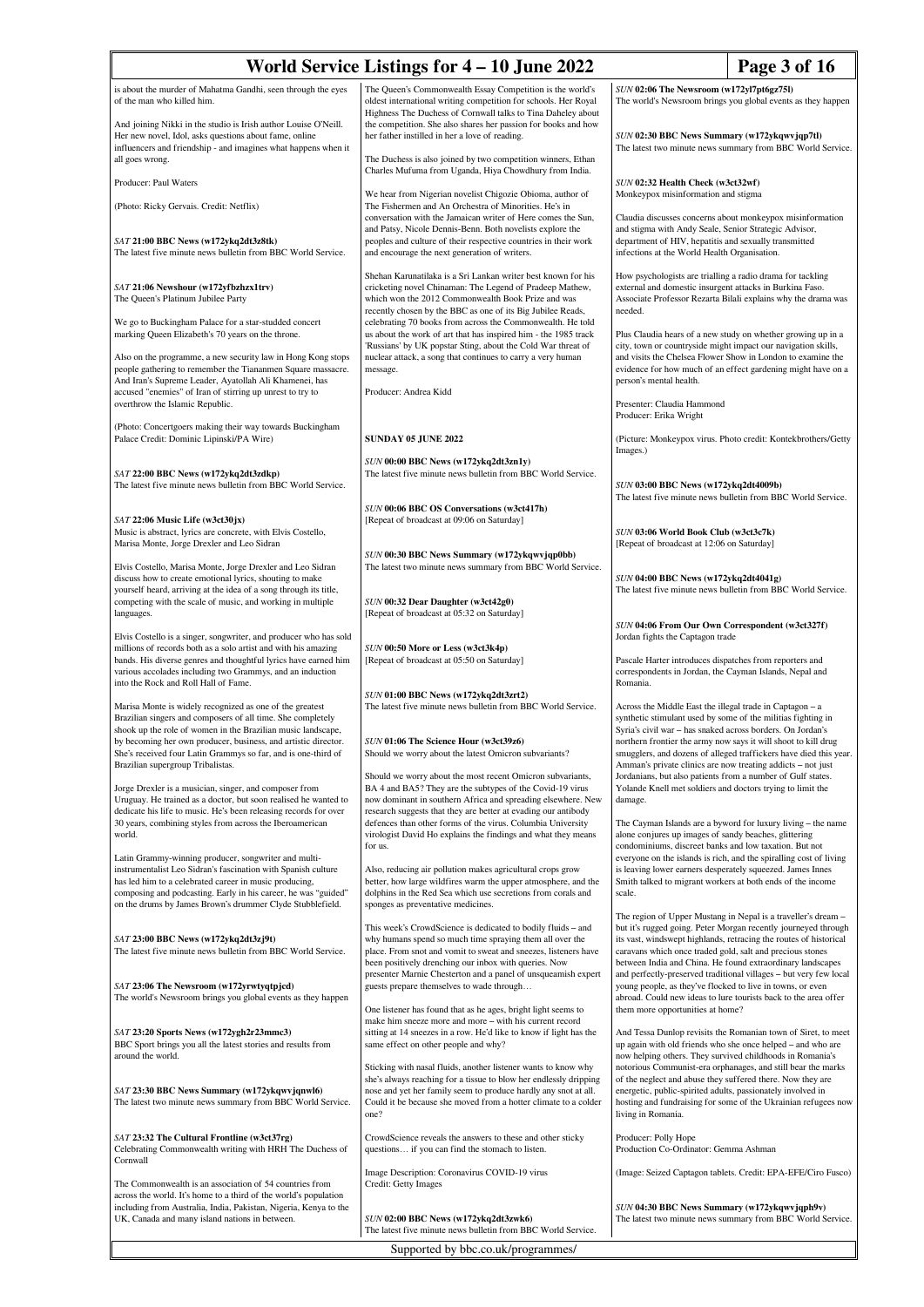|                                                                                                                                                                                                                                                                                                                            | World Service Listings for 4 – 10 June 2022                                                                                                                                                                                                                                       |                                                                                                                                                                                                                                                          | Page 3 of 16                                                                                                                                                                                         |
|----------------------------------------------------------------------------------------------------------------------------------------------------------------------------------------------------------------------------------------------------------------------------------------------------------------------------|-----------------------------------------------------------------------------------------------------------------------------------------------------------------------------------------------------------------------------------------------------------------------------------|----------------------------------------------------------------------------------------------------------------------------------------------------------------------------------------------------------------------------------------------------------|------------------------------------------------------------------------------------------------------------------------------------------------------------------------------------------------------|
| is about the murder of Mahatma Gandhi, seen through the eyes<br>of the man who killed him.                                                                                                                                                                                                                                 | The Queen's Commonwealth Essay Competition is the world's<br>oldest international writing competition for schools. Her Royal<br>Highness The Duchess of Cornwall talks to Tina Daheley about                                                                                      | SUN 02:06 The Newsroom (w172yl7pt6gz75l)                                                                                                                                                                                                                 | The world's Newsroom brings you global events as they happen                                                                                                                                         |
| And joining Nikki in the studio is Irish author Louise O'Neill.<br>Her new novel, Idol, asks questions about fame, online<br>influencers and friendship - and imagines what happens when it<br>all goes wrong.                                                                                                             | the competition. She also shares her passion for books and how<br>her father instilled in her a love of reading.<br>The Duchess is also joined by two competition winners, Ethan                                                                                                  | SUN 02:30 BBC News Summary (w172ykqwvjqp7tl)                                                                                                                                                                                                             | The latest two minute news summary from BBC World Service.                                                                                                                                           |
| Producer: Paul Waters                                                                                                                                                                                                                                                                                                      | Charles Mufuma from Uganda, Hiya Chowdhury from India.                                                                                                                                                                                                                            | SUN 02:32 Health Check (w3ct32wf)                                                                                                                                                                                                                        |                                                                                                                                                                                                      |
| (Photo: Ricky Gervais. Credit: Netflix)                                                                                                                                                                                                                                                                                    | We hear from Nigerian novelist Chigozie Obioma, author of<br>The Fishermen and An Orchestra of Minorities. He's in                                                                                                                                                                | Monkeypox misinformation and stigma                                                                                                                                                                                                                      |                                                                                                                                                                                                      |
| SAT 21:00 BBC News (w172ykq2dt3z8tk)<br>The latest five minute news bulletin from BBC World Service.                                                                                                                                                                                                                       | conversation with the Jamaican writer of Here comes the Sun,<br>and Patsy, Nicole Dennis-Benn. Both novelists explore the<br>peoples and culture of their respective countries in their work<br>and encourage the next generation of writers.                                     | and stigma with Andy Seale, Senior Strategic Advisor,<br>department of HIV, hepatitis and sexually transmitted<br>infections at the World Health Organisation.                                                                                           | Claudia discusses concerns about monkeypox misinformation                                                                                                                                            |
| SAT 21:06 Newshour (w172yfbzhzx1trv)<br>The Queen's Platinum Jubilee Party                                                                                                                                                                                                                                                 | Shehan Karunatilaka is a Sri Lankan writer best known for his<br>cricketing novel Chinaman: The Legend of Pradeep Mathew,<br>which won the 2012 Commonwealth Book Prize and was                                                                                                   | How psychologists are trialling a radio drama for tackling<br>external and domestic insurgent attacks in Burkina Faso.                                                                                                                                   | Associate Professor Rezarta Bilali explains why the drama was                                                                                                                                        |
| We go to Buckingham Palace for a star-studded concert<br>marking Queen Elizabeth's 70 years on the throne.                                                                                                                                                                                                                 | recently chosen by the BBC as one of its Big Jubilee Reads,<br>celebrating 70 books from across the Commonwealth. He told<br>us about the work of art that has inspired him - the 1985 track<br>'Russians' by UK popstar Sting, about the Cold War threat of                      | needed.<br>city, town or countryside might impact our navigation skills,                                                                                                                                                                                 | Plus Claudia hears of a new study on whether growing up in a                                                                                                                                         |
| Also on the programme, a new security law in Hong Kong stops<br>people gathering to remember the Tiananmen Square massacre.<br>And Iran's Supreme Leader, Ayatollah Ali Khamenei, has<br>accused "enemies" of Iran of stirring up unrest to try to                                                                         | nuclear attack, a song that continues to carry a very human<br>message.<br>Producer: Andrea Kidd                                                                                                                                                                                  | person's mental health.                                                                                                                                                                                                                                  | and visits the Chelsea Flower Show in London to examine the<br>evidence for how much of an effect gardening might have on a                                                                          |
| overthrow the Islamic Republic.                                                                                                                                                                                                                                                                                            |                                                                                                                                                                                                                                                                                   | Presenter: Claudia Hammond<br>Producer: Erika Wright                                                                                                                                                                                                     |                                                                                                                                                                                                      |
| (Photo: Concertgoers making their way towards Buckingham<br>Palace Credit: Dominic Lipinski/PA Wire)                                                                                                                                                                                                                       | <b>SUNDAY 05 JUNE 2022</b>                                                                                                                                                                                                                                                        |                                                                                                                                                                                                                                                          | (Picture: Monkeypox virus. Photo credit: Kontekbrothers/Getty                                                                                                                                        |
| SAT 22:00 BBC News (w172ykq2dt3zdkp)<br>The latest five minute news bulletin from BBC World Service.                                                                                                                                                                                                                       | SUN 00:00 BBC News (w172ykq2dt3zn1y)<br>The latest five minute news bulletin from BBC World Service.<br>SUN 00:06 BBC OS Conversations (w3ct417h)                                                                                                                                 | Images.)<br>SUN 03:00 BBC News (w172ykq2dt4009b)                                                                                                                                                                                                         | The latest five minute news bulletin from BBC World Service.                                                                                                                                         |
| SAT 22:06 Music Life (w3ct30jx)<br>Music is abstract, lyrics are concrete, with Elvis Costello,<br>Marisa Monte, Jorge Drexler and Leo Sidran                                                                                                                                                                              | [Repeat of broadcast at 09:06 on Saturday]                                                                                                                                                                                                                                        | SUN 03:06 World Book Club (w3ct3c7k)<br>[Repeat of broadcast at 12:06 on Saturday]                                                                                                                                                                       |                                                                                                                                                                                                      |
| Elvis Costello, Marisa Monte, Jorge Drexler and Leo Sidran<br>discuss how to create emotional lyrics, shouting to make<br>yourself heard, arriving at the idea of a song through its title,<br>competing with the scale of music, and working in multiple                                                                  | SUN 00:30 BBC News Summary (w172ykqwvjqp0bb)<br>The latest two minute news summary from BBC World Service.<br>SUN 00:32 Dear Daughter (w3ct42g0)                                                                                                                                  | SUN 04:00 BBC News (w172ykq2dt4041g)                                                                                                                                                                                                                     | The latest five minute news bulletin from BBC World Service.                                                                                                                                         |
| languages.                                                                                                                                                                                                                                                                                                                 | [Repeat of broadcast at 05:32 on Saturday]                                                                                                                                                                                                                                        | SUN 04:06 From Our Own Correspondent (w3ct327f)                                                                                                                                                                                                          |                                                                                                                                                                                                      |
| Elvis Costello is a singer, songwriter, and producer who has sold<br>millions of records both as a solo artist and with his amazing<br>bands. His diverse genres and thoughtful lyrics have earned him<br>various accolades including two Grammys, and an induction<br>into the Rock and Roll Hall of Fame.                | SUN 00:50 More or Less (w3ct3k4p)<br>[Repeat of broadcast at 05:50 on Saturday]                                                                                                                                                                                                   | Jordan fights the Captagon trade<br>Pascale Harter introduces dispatches from reporters and<br>correspondents in Jordan, the Cayman Islands, Nepal and<br>Romania.                                                                                       |                                                                                                                                                                                                      |
| Marisa Monte is widely recognized as one of the greatest<br>Brazilian singers and composers of all time. She completely<br>shook up the role of women in the Brazilian music landscape,<br>by becoming her own producer, business, and artistic director.<br>She's received four Latin Grammys so far, and is one-third of | SUN 01:00 BBC News (w172ykq2dt3zrt2)<br>The latest five minute news bulletin from BBC World Service.<br>SUN 01:06 The Science Hour (w3ct39z6)<br>Should we worry about the latest Omicron subvariants?                                                                            | Across the Middle East the illegal trade in Captagon - a<br>synthetic stimulant used by some of the militias fighting in<br>Syria's civil war - has snaked across borders. On Jordan's<br>northern frontier the army now says it will shoot to kill drug | smugglers, and dozens of alleged traffickers have died this year.                                                                                                                                    |
| Brazilian supergroup Tribalistas.<br>Jorge Drexler is a musician, singer, and composer from                                                                                                                                                                                                                                | Should we worry about the most recent Omicron subvariants,<br>BA 4 and BA5? They are the subtypes of the Covid-19 virus                                                                                                                                                           | Amman's private clinics are now treating addicts - not just<br>Jordanians, but also patients from a number of Gulf states.<br>Yolande Knell met soldiers and doctors trying to limit the                                                                 |                                                                                                                                                                                                      |
| Uruguay. He trained as a doctor, but soon realised he wanted to<br>dedicate his life to music. He's been releasing records for over<br>30 years, combining styles from across the Iberoamerican<br>world.                                                                                                                  | now dominant in southern Africa and spreading elsewhere. New<br>research suggests that they are better at evading our antibody<br>defences than other forms of the virus. Columbia University<br>virologist David Ho explains the findings and what they means<br>for us.         | damage.<br>alone conjures up images of sandy beaches, glittering<br>condominiums, discreet banks and low taxation. But not                                                                                                                               | The Cayman Islands are a byword for luxury living - the name                                                                                                                                         |
| Latin Grammy-winning producer, songwriter and multi-<br>instrumentalist Leo Sidran's fascination with Spanish culture<br>has led him to a celebrated career in music producing,<br>composing and podcasting. Early in his career, he was "guided"<br>on the drums by James Brown's drummer Clyde Stubblefield.             | Also, reducing air pollution makes agricultural crops grow<br>better, how large wildfires warm the upper atmosphere, and the<br>dolphins in the Red Sea which use secretions from corals and<br>sponges as preventative medicines.                                                | is leaving lower earners desperately squeezed. James Innes<br>Smith talked to migrant workers at both ends of the income<br>scale.                                                                                                                       | everyone on the islands is rich, and the spiralling cost of living                                                                                                                                   |
| SAT 23:00 BBC News (w172ykq2dt3zj9t)<br>The latest five minute news bulletin from BBC World Service.                                                                                                                                                                                                                       | This week's CrowdScience is dedicated to bodily fluids - and<br>why humans spend so much time spraying them all over the<br>place. From snot and vomit to sweat and sneezes, listeners have<br>been positively drenching our inbox with queries. Now                              | caravans which once traded gold, salt and precious stones<br>between India and China. He found extraordinary landscapes                                                                                                                                  | The region of Upper Mustang in Nepal is a traveller's dream -<br>but it's rugged going. Peter Morgan recently journeyed through<br>its vast, windswept highlands, retracing the routes of historical |
| SAT 23:06 The Newsroom (w172yrwtyqtpjcd)<br>The world's Newsroom brings you global events as they happen                                                                                                                                                                                                                   | presenter Marnie Chesterton and a panel of unsqueamish expert<br>guests prepare themselves to wade through<br>One listener has found that as he ages, bright light seems to                                                                                                       | young people, as they've flocked to live in towns, or even<br>abroad. Could new ideas to lure tourists back to the area offer<br>them more opportunities at home?                                                                                        | and perfectly-preserved traditional villages - but very few local                                                                                                                                    |
| SAT 23:20 Sports News (w172ygh2r23mmc3)<br>BBC Sport brings you all the latest stories and results from<br>around the world.                                                                                                                                                                                               | make him sneeze more and more - with his current record<br>sitting at 14 sneezes in a row. He'd like to know if light has the<br>same effect on other people and why?                                                                                                             | up again with old friends who she once helped - and who are<br>now helping others. They survived childhoods in Romania's                                                                                                                                 | And Tessa Dunlop revisits the Romanian town of Siret, to meet                                                                                                                                        |
| SAT 23:30 BBC News Summary (w172ykqwvjqnwl6)<br>The latest two minute news summary from BBC World Service.                                                                                                                                                                                                                 | Sticking with nasal fluids, another listener wants to know why<br>she's always reaching for a tissue to blow her endlessly dripping<br>nose and yet her family seem to produce hardly any snot at all.<br>Could it be because she moved from a hotter climate to a colder<br>one? | of the neglect and abuse they suffered there. Now they are<br>energetic, public-spirited adults, passionately involved in<br>living in Romania.                                                                                                          | notorious Communist-era orphanages, and still bear the marks<br>hosting and fundraising for some of the Ukrainian refugees now                                                                       |
| SAT 23:32 The Cultural Frontline (w3ct37rg)<br>Celebrating Commonwealth writing with HRH The Duchess of<br>Cornwall                                                                                                                                                                                                        | CrowdScience reveals the answers to these and other sticky<br>questions if you can find the stomach to listen.                                                                                                                                                                    | Producer: Polly Hope<br>Production Co-Ordinator: Gemma Ashman                                                                                                                                                                                            |                                                                                                                                                                                                      |
| The Commonwealth is an association of 54 countries from<br>across the world. It's home to a third of the world's population<br>including from Australia, India, Pakistan, Nigeria, Kenya to the<br>UK, Canada and many island nations in between.                                                                          | Image Description: Coronavirus COVID-19 virus<br>Credit: Getty Images<br>SUN 02:00 BBC News (w172ykq2dt3zwk6)                                                                                                                                                                     | SUN 04:30 BBC News Summary (w172ykqwvjqph9v)                                                                                                                                                                                                             | (Image: Seized Captagon tablets. Credit: EPA-EFE/Ciro Fusco)<br>The latest two minute news summary from BBC World Service.                                                                           |
|                                                                                                                                                                                                                                                                                                                            | The latest five minute news bulletin from BBC World Service.                                                                                                                                                                                                                      |                                                                                                                                                                                                                                                          |                                                                                                                                                                                                      |
| Supported by bbc.co.uk/programmes/                                                                                                                                                                                                                                                                                         |                                                                                                                                                                                                                                                                                   |                                                                                                                                                                                                                                                          |                                                                                                                                                                                                      |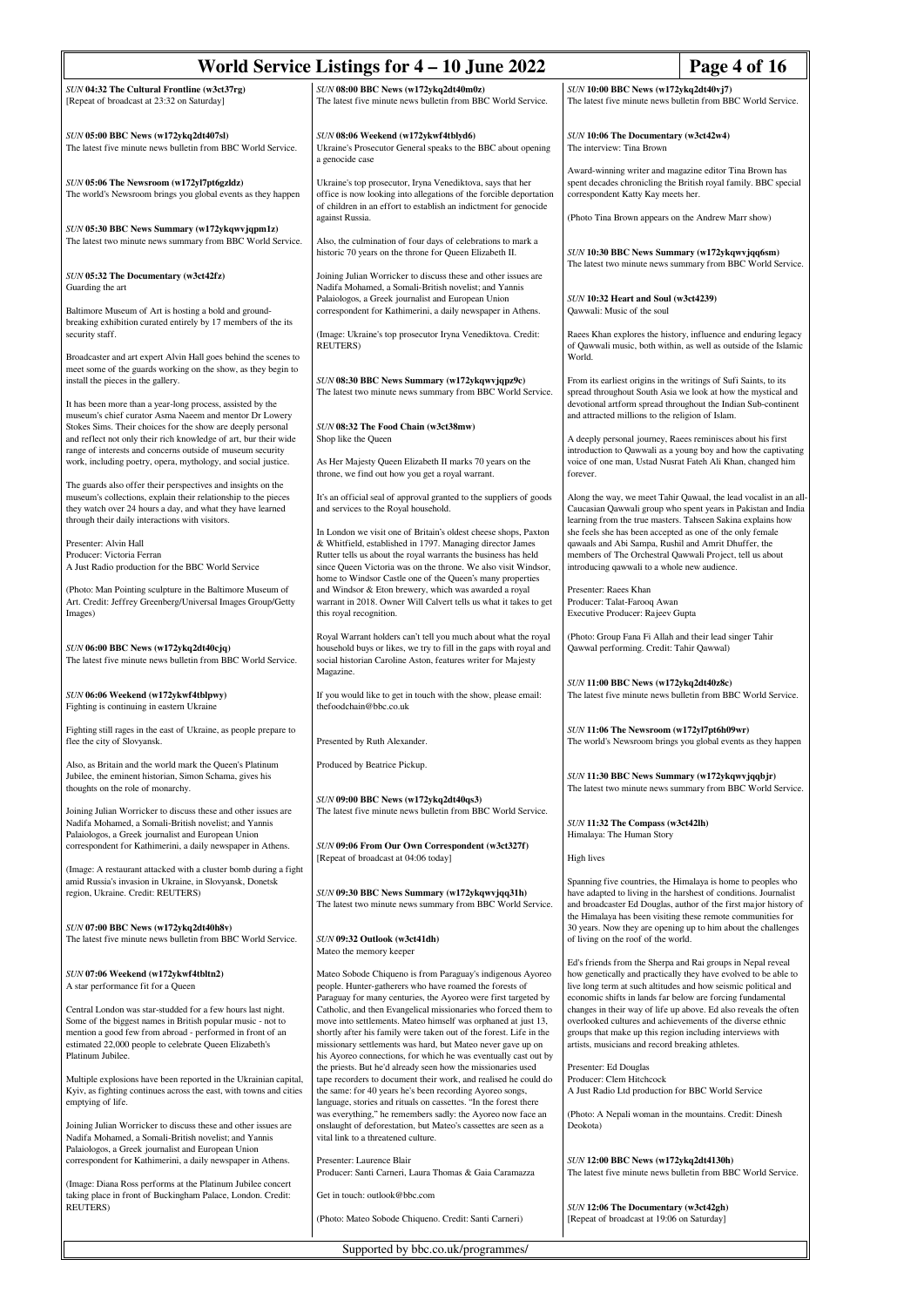| World Service Listings for 4 – 10 June 2022<br>Page 4 of 16                                                                                                                                  |                                                                                                                                                                                                                                                                 |                                                                                                                                                                                                                                                                     |  |
|----------------------------------------------------------------------------------------------------------------------------------------------------------------------------------------------|-----------------------------------------------------------------------------------------------------------------------------------------------------------------------------------------------------------------------------------------------------------------|---------------------------------------------------------------------------------------------------------------------------------------------------------------------------------------------------------------------------------------------------------------------|--|
| SUN 04:32 The Cultural Frontline (w3ct37rg)                                                                                                                                                  | SUN 08:00 BBC News (w172ykq2dt40m0z)                                                                                                                                                                                                                            | SUN 10:00 BBC News (w172ykq2dt40vj7)                                                                                                                                                                                                                                |  |
| [Repeat of broadcast at 23:32 on Saturday]                                                                                                                                                   | The latest five minute news bulletin from BBC World Service.                                                                                                                                                                                                    | The latest five minute news bulletin from BBC World Service.                                                                                                                                                                                                        |  |
| SUN 05:00 BBC News (w172ykq2dt407sl)<br>The latest five minute news bulletin from BBC World Service.                                                                                         | SUN 08:06 Weekend (w172ykwf4tblyd6)<br>Ukraine's Prosecutor General speaks to the BBC about opening<br>a genocide case                                                                                                                                          | SUN 10:06 The Documentary (w3ct42w4)<br>The interview: Tina Brown                                                                                                                                                                                                   |  |
| SUN 05:06 The Newsroom (w172yl7pt6gzldz)<br>The world's Newsroom brings you global events as they happen                                                                                     | Ukraine's top prosecutor, Iryna Venediktova, says that her<br>office is now looking into allegations of the forcible deportation<br>of children in an effort to establish an indictment for genocide                                                            | Award-winning writer and magazine editor Tina Brown has<br>spent decades chronicling the British royal family. BBC special<br>correspondent Katty Kay meets her.                                                                                                    |  |
| SUN 05:30 BBC News Summary (w172ykqwvjqpm1z)<br>The latest two minute news summary from BBC World Service.                                                                                   | against Russia.<br>Also, the culmination of four days of celebrations to mark a<br>historic 70 years on the throne for Queen Elizabeth II.                                                                                                                      | (Photo Tina Brown appears on the Andrew Marr show)<br>SUN 10:30 BBC News Summary (w172ykqwvjqq6sm)                                                                                                                                                                  |  |
| SUN 05:32 The Documentary (w3ct42fz)<br>Guarding the art                                                                                                                                     | Joining Julian Worricker to discuss these and other issues are<br>Nadifa Mohamed, a Somali-British novelist; and Yannis                                                                                                                                         | The latest two minute news summary from BBC World Service.                                                                                                                                                                                                          |  |
| Baltimore Museum of Art is hosting a bold and ground-                                                                                                                                        | Palaiologos, a Greek journalist and European Union<br>correspondent for Kathimerini, a daily newspaper in Athens.                                                                                                                                               | SUN 10:32 Heart and Soul (w3ct4239)<br>Qawwali: Music of the soul                                                                                                                                                                                                   |  |
| breaking exhibition curated entirely by 17 members of the its<br>security staff.                                                                                                             | (Image: Ukraine's top prosecutor Iryna Venediktova. Credit:<br><b>REUTERS</b> )                                                                                                                                                                                 | Raees Khan explores the history, influence and enduring legacy<br>of Qawwali music, both within, as well as outside of the Islamic                                                                                                                                  |  |
| Broadcaster and art expert Alvin Hall goes behind the scenes to<br>meet some of the guards working on the show, as they begin to<br>install the pieces in the gallery.                       | SUN 08:30 BBC News Summary (w172ykqwvjqpz9c)                                                                                                                                                                                                                    | World.<br>From its earliest origins in the writings of Sufi Saints, to its                                                                                                                                                                                          |  |
| It has been more than a year-long process, assisted by the<br>museum's chief curator Asma Naeem and mentor Dr Lowery                                                                         | The latest two minute news summary from BBC World Service.                                                                                                                                                                                                      | spread throughout South Asia we look at how the mystical and<br>devotional artform spread throughout the Indian Sub-continent<br>and attracted millions to the religion of Islam.                                                                                   |  |
| Stokes Sims. Their choices for the show are deeply personal<br>and reflect not only their rich knowledge of art, bur their wide                                                              | SUN 08:32 The Food Chain (w3ct38mw)<br>Shop like the Queen                                                                                                                                                                                                      | A deeply personal journey, Raees reminisces about his first                                                                                                                                                                                                         |  |
| range of interests and concerns outside of museum security<br>work, including poetry, opera, mythology, and social justice.                                                                  | As Her Majesty Queen Elizabeth II marks 70 years on the<br>throne, we find out how you get a royal warrant.                                                                                                                                                     | introduction to Qawwali as a young boy and how the captivating<br>voice of one man, Ustad Nusrat Fateh Ali Khan, changed him<br>forever.                                                                                                                            |  |
| The guards also offer their perspectives and insights on the<br>museum's collections, explain their relationship to the pieces<br>they watch over 24 hours a day, and what they have learned | It's an official seal of approval granted to the suppliers of goods<br>and services to the Royal household.                                                                                                                                                     | Along the way, we meet Tahir Qawaal, the lead vocalist in an all-<br>Caucasian Qawwali group who spent years in Pakistan and India                                                                                                                                  |  |
| through their daily interactions with visitors.<br>Presenter: Alvin Hall                                                                                                                     | In London we visit one of Britain's oldest cheese shops, Paxton<br>& Whitfield, established in 1797. Managing director James                                                                                                                                    | learning from the true masters. Tahseen Sakina explains how<br>she feels she has been accepted as one of the only female<br>qawaals and Abi Sampa, Rushil and Amrit Dhuffer, the                                                                                    |  |
| Producer: Victoria Ferran<br>A Just Radio production for the BBC World Service                                                                                                               | Rutter tells us about the royal warrants the business has held<br>since Queen Victoria was on the throne. We also visit Windsor,<br>home to Windsor Castle one of the Queen's many properties                                                                   | members of The Orchestral Qawwali Project, tell us about<br>introducing qawwali to a whole new audience.                                                                                                                                                            |  |
| (Photo: Man Pointing sculpture in the Baltimore Museum of<br>Art. Credit: Jeffrey Greenberg/Universal Images Group/Getty<br>Images)                                                          | and Windsor & Eton brewery, which was awarded a royal<br>warrant in 2018. Owner Will Calvert tells us what it takes to get<br>this royal recognition.                                                                                                           | Presenter: Raees Khan<br>Producer: Talat-Farooq Awan<br>Executive Producer: Rajeev Gupta                                                                                                                                                                            |  |
| SUN 06:00 BBC News (w172ykq2dt40cjq)<br>The latest five minute news bulletin from BBC World Service.                                                                                         | Royal Warrant holders can't tell you much about what the royal<br>household buys or likes, we try to fill in the gaps with royal and<br>social historian Caroline Aston, features writer for Majesty<br>Magazine.                                               | (Photo: Group Fana Fi Allah and their lead singer Tahir<br>Qawwal performing. Credit: Tahir Qawwal)                                                                                                                                                                 |  |
| SUN 06:06 Weekend (w172ykwf4tblpwy)<br>Fighting is continuing in eastern Ukraine                                                                                                             | If you would like to get in touch with the show, please email:<br>thefoodchain@bbc.co.uk                                                                                                                                                                        | SUN 11:00 BBC News (w172ykq2dt40z8c)<br>The latest five minute news bulletin from BBC World Service.                                                                                                                                                                |  |
| Fighting still rages in the east of Ukraine, as people prepare to<br>flee the city of Slovyansk.                                                                                             | Presented by Ruth Alexander.                                                                                                                                                                                                                                    | SUN 11:06 The Newsroom (w172yl7pt6h09wr)<br>The world's Newsroom brings you global events as they happen                                                                                                                                                            |  |
| Also, as Britain and the world mark the Queen's Platinum<br>Jubilee, the eminent historian, Simon Schama, gives his<br>thoughts on the role of monarchy.                                     | Produced by Beatrice Pickup.                                                                                                                                                                                                                                    | SUN 11:30 BBC News Summary (w172ykqwvjqqbjr)<br>The latest two minute news summary from BBC World Service.                                                                                                                                                          |  |
| Joining Julian Worricker to discuss these and other issues are<br>Nadifa Mohamed, a Somali-British novelist; and Yannis                                                                      | SUN 09:00 BBC News (w172ykq2dt40qs3)<br>The latest five minute news bulletin from BBC World Service.                                                                                                                                                            | SUN 11:32 The Compass (w3ct42lh)                                                                                                                                                                                                                                    |  |
| Palaiologos, a Greek journalist and European Union<br>correspondent for Kathimerini, a daily newspaper in Athens.                                                                            | SUN 09:06 From Our Own Correspondent (w3ct327f)<br>[Repeat of broadcast at 04:06 today]                                                                                                                                                                         | Himalaya: The Human Story<br>High lives                                                                                                                                                                                                                             |  |
| (Image: A restaurant attacked with a cluster bomb during a fight                                                                                                                             |                                                                                                                                                                                                                                                                 |                                                                                                                                                                                                                                                                     |  |
| amid Russia's invasion in Ukraine, in Slovyansk, Donetsk<br>region, Ukraine. Credit: REUTERS)                                                                                                | SUN 09:30 BBC News Summary (w172ykqwvjqq31h)<br>The latest two minute news summary from BBC World Service.                                                                                                                                                      | Spanning five countries, the Himalaya is home to peoples who<br>have adapted to living in the harshest of conditions. Journalist<br>and broadcaster Ed Douglas, author of the first major history of<br>the Himalaya has been visiting these remote communities for |  |
| SUN 07:00 BBC News (w172ykq2dt40h8v)<br>The latest five minute news bulletin from BBC World Service.                                                                                         | SUN 09:32 Outlook (w3ct41dh)<br>Mateo the memory keeper                                                                                                                                                                                                         | 30 years. Now they are opening up to him about the challenges<br>of living on the roof of the world.                                                                                                                                                                |  |
| SUN 07:06 Weekend (w172ykwf4tbltn2)<br>A star performance fit for a Queen                                                                                                                    | Mateo Sobode Chiqueno is from Paraguay's indigenous Ayoreo<br>people. Hunter-gatherers who have roamed the forests of<br>Paraguay for many centuries, the Ayoreo were first targeted by                                                                         | Ed's friends from the Sherpa and Rai groups in Nepal reveal<br>how genetically and practically they have evolved to be able to<br>live long term at such altitudes and how seismic political and<br>economic shifts in lands far below are forcing fundamental      |  |
| Central London was star-studded for a few hours last night.                                                                                                                                  | Catholic, and then Evangelical missionaries who forced them to                                                                                                                                                                                                  | changes in their way of life up above. Ed also reveals the often                                                                                                                                                                                                    |  |
| Some of the biggest names in British popular music - not to<br>mention a good few from abroad - performed in front of an                                                                     | move into settlements. Mateo himself was orphaned at just 13,<br>shortly after his family were taken out of the forest. Life in the                                                                                                                             | overlooked cultures and achievements of the diverse ethnic<br>groups that make up this region including interviews with                                                                                                                                             |  |
| estimated 22,000 people to celebrate Queen Elizabeth's<br>Platinum Jubilee.                                                                                                                  | missionary settlements was hard, but Mateo never gave up on<br>his Ayoreo connections, for which he was eventually cast out by                                                                                                                                  | artists, musicians and record breaking athletes.                                                                                                                                                                                                                    |  |
| Multiple explosions have been reported in the Ukrainian capital,<br>Kyiv, as fighting continues across the east, with towns and cities<br>emptying of life.                                  | the priests. But he'd already seen how the missionaries used<br>tape recorders to document their work, and realised he could do<br>the same: for 40 years he's been recording Ayoreo songs,<br>language, stories and rituals on cassettes. "In the forest there | Presenter: Ed Douglas<br>Producer: Clem Hitchcock<br>A Just Radio Ltd production for BBC World Service                                                                                                                                                              |  |
| Joining Julian Worricker to discuss these and other issues are<br>Nadifa Mohamed, a Somali-British novelist; and Yannis<br>Palaiologos, a Greek journalist and European Union                | was everything," he remembers sadly: the Ayoreo now face an<br>onslaught of deforestation, but Mateo's cassettes are seen as a<br>vital link to a threatened culture.                                                                                           | (Photo: A Nepali woman in the mountains. Credit: Dinesh<br>Deokota)                                                                                                                                                                                                 |  |
| correspondent for Kathimerini, a daily newspaper in Athens.                                                                                                                                  | Presenter: Laurence Blair<br>Producer: Santi Carneri, Laura Thomas & Gaia Caramazza                                                                                                                                                                             | SUN 12:00 BBC News (w172ykq2dt4130h)<br>The latest five minute news bulletin from BBC World Service.                                                                                                                                                                |  |
| (Image: Diana Ross performs at the Platinum Jubilee concert<br>taking place in front of Buckingham Palace, London. Credit:<br>REUTERS)                                                       | Get in touch: outlook@bbc.com                                                                                                                                                                                                                                   | SUN 12:06 The Documentary (w3ct42gh)                                                                                                                                                                                                                                |  |
|                                                                                                                                                                                              | (Photo: Mateo Sobode Chiqueno. Credit: Santi Carneri)                                                                                                                                                                                                           | [Repeat of broadcast at 19:06 on Saturday]                                                                                                                                                                                                                          |  |
| Supported by bbc.co.uk/programmes/                                                                                                                                                           |                                                                                                                                                                                                                                                                 |                                                                                                                                                                                                                                                                     |  |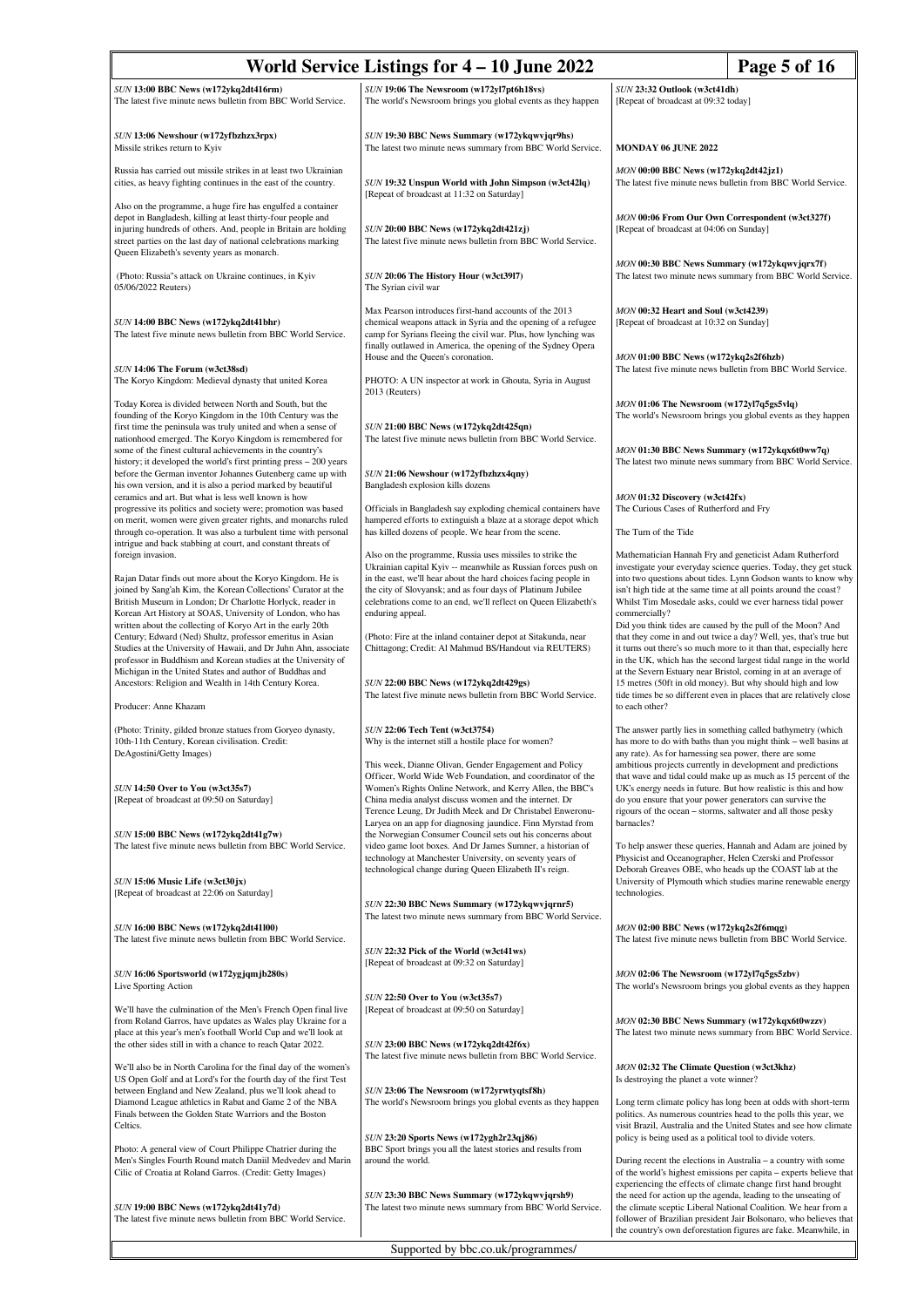| World Service Listings for 4 - 10 June 2022<br>Page 5 of 16                                                                                                                                                                                                                                                                                                                      |                                                                                                                                                                                                                                                                                                                                                     |                                                                                                                                                                                                                                                                                                                                                                                                                                                                                   |  |
|----------------------------------------------------------------------------------------------------------------------------------------------------------------------------------------------------------------------------------------------------------------------------------------------------------------------------------------------------------------------------------|-----------------------------------------------------------------------------------------------------------------------------------------------------------------------------------------------------------------------------------------------------------------------------------------------------------------------------------------------------|-----------------------------------------------------------------------------------------------------------------------------------------------------------------------------------------------------------------------------------------------------------------------------------------------------------------------------------------------------------------------------------------------------------------------------------------------------------------------------------|--|
| SUN 13:00 BBC News (w172ykq2dt416rm)<br>The latest five minute news bulletin from BBC World Service.                                                                                                                                                                                                                                                                             | SUN 19:06 The Newsroom (w172yl7pt6h18vs)<br>The world's Newsroom brings you global events as they happen                                                                                                                                                                                                                                            | SUN 23:32 Outlook (w3ct41dh)<br>[Repeat of broadcast at 09:32 today]                                                                                                                                                                                                                                                                                                                                                                                                              |  |
|                                                                                                                                                                                                                                                                                                                                                                                  |                                                                                                                                                                                                                                                                                                                                                     |                                                                                                                                                                                                                                                                                                                                                                                                                                                                                   |  |
| SUN 13:06 Newshour (w172yfbzhzx3rpx)<br>Missile strikes return to Kyiv                                                                                                                                                                                                                                                                                                           | SUN 19:30 BBC News Summary (w172ykqwvjqr9hs)<br>The latest two minute news summary from BBC World Service.                                                                                                                                                                                                                                          | <b>MONDAY 06 JUNE 2022</b>                                                                                                                                                                                                                                                                                                                                                                                                                                                        |  |
| Russia has carried out missile strikes in at least two Ukrainian<br>cities, as heavy fighting continues in the east of the country.                                                                                                                                                                                                                                              | SUN 19:32 Unspun World with John Simpson (w3ct42lq)<br>[Repeat of broadcast at 11:32 on Saturday]                                                                                                                                                                                                                                                   | MON 00:00 BBC News (w172ykq2dt42jz1)<br>The latest five minute news bulletin from BBC World Service.                                                                                                                                                                                                                                                                                                                                                                              |  |
| Also on the programme, a huge fire has engulfed a container<br>depot in Bangladesh, killing at least thirty-four people and<br>injuring hundreds of others. And, people in Britain are holding<br>street parties on the last day of national celebrations marking<br>Queen Elizabeth's seventy years as monarch.                                                                 | SUN 20:00 BBC News (w172ykq2dt421zj)<br>The latest five minute news bulletin from BBC World Service.                                                                                                                                                                                                                                                | MON 00:06 From Our Own Correspondent (w3ct327f)<br>[Repeat of broadcast at 04:06 on Sunday]                                                                                                                                                                                                                                                                                                                                                                                       |  |
| (Photo: Russia"s attack on Ukraine continues, in Kyiv<br>05/06/2022 Reuters)                                                                                                                                                                                                                                                                                                     | SUN 20:06 The History Hour (w3ct3917)<br>The Syrian civil war                                                                                                                                                                                                                                                                                       | MON 00:30 BBC News Summary (w172ykqwvjqrx7f)<br>The latest two minute news summary from BBC World Service.                                                                                                                                                                                                                                                                                                                                                                        |  |
| SUN 14:00 BBC News (w172ykq2dt41bhr)<br>The latest five minute news bulletin from BBC World Service.                                                                                                                                                                                                                                                                             | Max Pearson introduces first-hand accounts of the 2013<br>chemical weapons attack in Syria and the opening of a refugee<br>camp for Syrians fleeing the civil war. Plus, how lynching was<br>finally outlawed in America, the opening of the Sydney Opera                                                                                           | MON 00:32 Heart and Soul (w3ct4239)<br>[Repeat of broadcast at 10:32 on Sunday]                                                                                                                                                                                                                                                                                                                                                                                                   |  |
| SUN 14:06 The Forum (w3ct38sd)<br>The Koryo Kingdom: Medieval dynasty that united Korea                                                                                                                                                                                                                                                                                          | House and the Queen's coronation.<br>PHOTO: A UN inspector at work in Ghouta, Syria in August<br>2013 (Reuters)                                                                                                                                                                                                                                     | MON 01:00 BBC News (w172ykq2s2f6hzb)<br>The latest five minute news bulletin from BBC World Service.                                                                                                                                                                                                                                                                                                                                                                              |  |
| Today Korea is divided between North and South, but the<br>founding of the Koryo Kingdom in the 10th Century was the<br>first time the peninsula was truly united and when a sense of                                                                                                                                                                                            | SUN 21:00 BBC News (w172ykq2dt425qn)                                                                                                                                                                                                                                                                                                                | MON 01:06 The Newsroom (w172y17q5gs5vlq)<br>The world's Newsroom brings you global events as they happen                                                                                                                                                                                                                                                                                                                                                                          |  |
| nationhood emerged. The Koryo Kingdom is remembered for<br>some of the finest cultural achievements in the country's<br>history; it developed the world's first printing press – 200 years<br>before the German inventor Johannes Gutenberg came up with                                                                                                                         | The latest five minute news bulletin from BBC World Service.<br>SUN 21:06 Newshour (w172yfbzhzx4qny)                                                                                                                                                                                                                                                | MON 01:30 BBC News Summary (w172ykqx6t0ww7q)<br>The latest two minute news summary from BBC World Service.                                                                                                                                                                                                                                                                                                                                                                        |  |
| his own version, and it is also a period marked by beautiful<br>ceramics and art. But what is less well known is how<br>progressive its politics and society were; promotion was based                                                                                                                                                                                           | Bangladesh explosion kills dozens<br>Officials in Bangladesh say exploding chemical containers have                                                                                                                                                                                                                                                 | MON 01:32 Discovery (w3ct42fx)<br>The Curious Cases of Rutherford and Fry                                                                                                                                                                                                                                                                                                                                                                                                         |  |
| on merit, women were given greater rights, and monarchs ruled<br>through co-operation. It was also a turbulent time with personal<br>intrigue and back stabbing at court, and constant threats of                                                                                                                                                                                | hampered efforts to extinguish a blaze at a storage depot which<br>has killed dozens of people. We hear from the scene.                                                                                                                                                                                                                             | The Turn of the Tide                                                                                                                                                                                                                                                                                                                                                                                                                                                              |  |
| foreign invasion.<br>Rajan Datar finds out more about the Koryo Kingdom. He is<br>joined by Sang'ah Kim, the Korean Collections' Curator at the<br>British Museum in London; Dr Charlotte Horlyck, reader in<br>Korean Art History at SOAS, University of London, who has                                                                                                        | Also on the programme, Russia uses missiles to strike the<br>Ukrainian capital Kyiv -- meanwhile as Russian forces push on<br>in the east, we'll hear about the hard choices facing people in<br>the city of Slovyansk; and as four days of Platinum Jubilee<br>celebrations come to an end, we'll reflect on Queen Elizabeth's<br>enduring appeal. | Mathematician Hannah Fry and geneticist Adam Rutherford<br>investigate your everyday science queries. Today, they get stuck<br>into two questions about tides. Lynn Godson wants to know why<br>isn't high tide at the same time at all points around the coast?<br>Whilst Tim Mosedale asks, could we ever harness tidal power<br>commercially?                                                                                                                                  |  |
| written about the collecting of Koryo Art in the early 20th<br>Century; Edward (Ned) Shultz, professor emeritus in Asian<br>Studies at the University of Hawaii, and Dr Juhn Ahn, associate<br>professor in Buddhism and Korean studies at the University of<br>Michigan in the United States and author of Buddhas and<br>Ancestors: Religion and Wealth in 14th Century Korea. | (Photo: Fire at the inland container depot at Sitakunda, near<br>Chittagong; Credit: Al Mahmud BS/Handout via REUTERS)<br>SUN 22:00 BBC News (w172ykq2dt429gs)<br>The latest five minute news bulletin from BBC World Service.                                                                                                                      | Did you think tides are caused by the pull of the Moon? And<br>that they come in and out twice a day? Well, yes, that's true but<br>it turns out there's so much more to it than that, especially here<br>in the UK, which has the second largest tidal range in the world<br>at the Severn Estuary near Bristol, coming in at an average of<br>15 metres (50ft in old money). But why should high and low<br>tide times be so different even in places that are relatively close |  |
| Producer: Anne Khazam                                                                                                                                                                                                                                                                                                                                                            |                                                                                                                                                                                                                                                                                                                                                     | to each other?                                                                                                                                                                                                                                                                                                                                                                                                                                                                    |  |
| (Photo: Trinity, gilded bronze statues from Goryeo dynasty,<br>10th-11th Century, Korean civilisation. Credit:<br>DeAgostini/Getty Images)<br>SUN 14:50 Over to You (w3ct35s7)                                                                                                                                                                                                   | <b>SUN 22:06 Tech Tent (w3ct3754)</b><br>Why is the internet still a hostile place for women?<br>This week, Dianne Olivan, Gender Engagement and Policy<br>Officer, World Wide Web Foundation, and coordinator of the<br>Women's Rights Online Network, and Kerry Allen, the BBC's<br>China media analyst discuss women and the internet. Dr        | The answer partly lies in something called bathymetry (which<br>has more to do with baths than you might think - well basins at<br>any rate). As for harnessing sea power, there are some<br>ambitious projects currently in development and predictions<br>that wave and tidal could make up as much as 15 percent of the<br>UK's energy needs in future. But how realistic is this and how<br>do you ensure that your power generators can survive the                          |  |
| [Repeat of broadcast at 09:50 on Saturday]<br>SUN 15:00 BBC News (w172ykq2dt41g7w)<br>The latest five minute news bulletin from BBC World Service.                                                                                                                                                                                                                               | Terence Leung, Dr Judith Meek and Dr Christabel Enweronu-<br>Laryea on an app for diagnosing jaundice. Finn Myrstad from<br>the Norwegian Consumer Council sets out his concerns about<br>video game loot boxes. And Dr James Sumner, a historian of                                                                                                | rigours of the ocean - storms, saltwater and all those pesky<br>barnacles?<br>To help answer these queries, Hannah and Adam are joined by                                                                                                                                                                                                                                                                                                                                         |  |
| SUN 15:06 Music Life (w3ct30jx)<br>[Repeat of broadcast at 22:06 on Saturday]                                                                                                                                                                                                                                                                                                    | technology at Manchester University, on seventy years of<br>technological change during Queen Elizabeth II's reign.                                                                                                                                                                                                                                 | Physicist and Oceanographer, Helen Czerski and Professor<br>Deborah Greaves OBE, who heads up the COAST lab at the<br>University of Plymouth which studies marine renewable energy<br>technologies.                                                                                                                                                                                                                                                                               |  |
| SUN 16:00 BBC News (w172ykq2dt41l00)                                                                                                                                                                                                                                                                                                                                             | SUN 22:30 BBC News Summary (w172ykqwvjqrnr5)<br>The latest two minute news summary from BBC World Service.                                                                                                                                                                                                                                          | MON 02:00 BBC News (w172ykq2s2f6mqg)                                                                                                                                                                                                                                                                                                                                                                                                                                              |  |
| The latest five minute news bulletin from BBC World Service.                                                                                                                                                                                                                                                                                                                     | SUN 22:32 Pick of the World (w3ct41ws)<br>[Repeat of broadcast at 09:32 on Saturday]                                                                                                                                                                                                                                                                | The latest five minute news bulletin from BBC World Service.                                                                                                                                                                                                                                                                                                                                                                                                                      |  |
| SUN 16:06 Sportsworld (w172ygjqmjb280s)<br>Live Sporting Action                                                                                                                                                                                                                                                                                                                  | SUN 22:50 Over to You (w3ct35s7)                                                                                                                                                                                                                                                                                                                    | MON 02:06 The Newsroom (w172yl7q5gs5zbv)<br>The world's Newsroom brings you global events as they happen                                                                                                                                                                                                                                                                                                                                                                          |  |
| We'll have the culmination of the Men's French Open final live<br>from Roland Garros, have updates as Wales play Ukraine for a<br>place at this year's men's football World Cup and we'll look at<br>the other sides still in with a chance to reach Qatar 2022.                                                                                                                 | [Repeat of broadcast at 09:50 on Saturday]<br>SUN 23:00 BBC News (w172ykq2dt42f6x)                                                                                                                                                                                                                                                                  | MON 02:30 BBC News Summary (w172ykqx6t0wzzv)<br>The latest two minute news summary from BBC World Service.                                                                                                                                                                                                                                                                                                                                                                        |  |
| We'll also be in North Carolina for the final day of the women's<br>US Open Golf and at Lord's for the fourth day of the first Test                                                                                                                                                                                                                                              | The latest five minute news bulletin from BBC World Service.                                                                                                                                                                                                                                                                                        | MON 02:32 The Climate Question (w3ct3khz)<br>Is destroying the planet a vote winner?                                                                                                                                                                                                                                                                                                                                                                                              |  |
| between England and New Zealand, plus we'll look ahead to<br>Diamond League athletics in Rabat and Game 2 of the NBA<br>Finals between the Golden State Warriors and the Boston<br>Celtics.                                                                                                                                                                                      | SUN 23:06 The Newsroom (w172yrwtyqtsf8h)<br>The world's Newsroom brings you global events as they happen                                                                                                                                                                                                                                            | Long term climate policy has long been at odds with short-term<br>politics. As numerous countries head to the polls this year, we<br>visit Brazil, Australia and the United States and see how climate                                                                                                                                                                                                                                                                            |  |
| Photo: A general view of Court Philippe Chatrier during the<br>Men's Singles Fourth Round match Daniil Medvedev and Marin                                                                                                                                                                                                                                                        | SUN 23:20 Sports News (w172ygh2r23qj86)<br>BBC Sport brings you all the latest stories and results from<br>around the world.                                                                                                                                                                                                                        | policy is being used as a political tool to divide voters.<br>During recent the elections in Australia – a country with some                                                                                                                                                                                                                                                                                                                                                      |  |
| Cilic of Croatia at Roland Garros. (Credit: Getty Images)<br>SUN 19:00 BBC News (w172ykq2dt41y7d)                                                                                                                                                                                                                                                                                | SUN 23:30 BBC News Summary (w172ykqwvjqrsh9)<br>The latest two minute news summary from BBC World Service.                                                                                                                                                                                                                                          | of the world's highest emissions per capita – experts believe that<br>experiencing the effects of climate change first hand brought<br>the need for action up the agenda, leading to the unseating of<br>the climate sceptic Liberal National Coalition. We hear from a                                                                                                                                                                                                           |  |
| The latest five minute news bulletin from BBC World Service.                                                                                                                                                                                                                                                                                                                     |                                                                                                                                                                                                                                                                                                                                                     | follower of Brazilian president Jair Bolsonaro, who believes that<br>the country's own deforestation figures are fake. Meanwhile, in                                                                                                                                                                                                                                                                                                                                              |  |
| Supported by bbc.co.uk/programmes/                                                                                                                                                                                                                                                                                                                                               |                                                                                                                                                                                                                                                                                                                                                     |                                                                                                                                                                                                                                                                                                                                                                                                                                                                                   |  |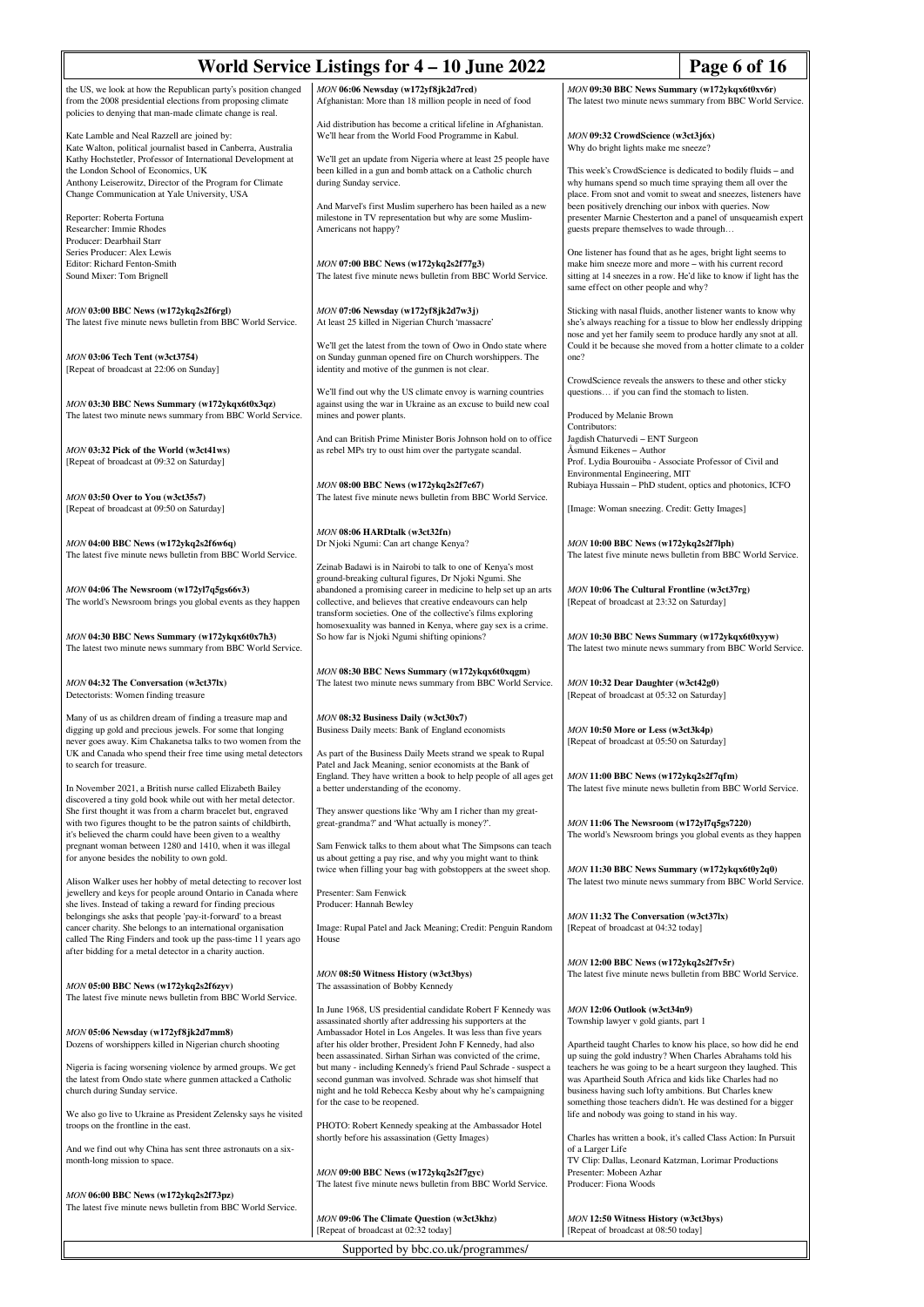| World Service Listings for 4 – 10 June 2022<br>Page 6 of 16                                                                                                                                                                                                     |                                                                                                                                                                                                                                                                                                                      |                                                                                                                                                                                                                                                      |  |
|-----------------------------------------------------------------------------------------------------------------------------------------------------------------------------------------------------------------------------------------------------------------|----------------------------------------------------------------------------------------------------------------------------------------------------------------------------------------------------------------------------------------------------------------------------------------------------------------------|------------------------------------------------------------------------------------------------------------------------------------------------------------------------------------------------------------------------------------------------------|--|
| the US, we look at how the Republican party's position changed<br>from the 2008 presidential elections from proposing climate<br>policies to denying that man-made climate change is real.                                                                      | MON 06:06 Newsday (w172yf8jk2d7rcd)<br>Afghanistan: More than 18 million people in need of food                                                                                                                                                                                                                      | MON 09:30 BBC News Summary (w172ykqx6t0xv6r)<br>The latest two minute news summary from BBC World Service.                                                                                                                                           |  |
| Kate Lamble and Neal Razzell are joined by:<br>Kate Walton, political journalist based in Canberra, Australia                                                                                                                                                   | Aid distribution has become a critical lifeline in Afghanistan.<br>We'll hear from the World Food Programme in Kabul.                                                                                                                                                                                                | MON 09:32 CrowdScience (w3ct3j6x)<br>Why do bright lights make me sneeze?                                                                                                                                                                            |  |
| Kathy Hochstetler, Professor of International Development at<br>the London School of Economics, UK<br>Anthony Leiserowitz, Director of the Program for Climate<br>Change Communication at Yale University, USA                                                  | We'll get an update from Nigeria where at least 25 people have<br>been killed in a gun and bomb attack on a Catholic church<br>during Sunday service.                                                                                                                                                                | This week's CrowdScience is dedicated to bodily fluids - and<br>why humans spend so much time spraying them all over the<br>place. From snot and vomit to sweat and sneezes, listeners have                                                          |  |
| Reporter: Roberta Fortuna<br>Researcher: Immie Rhodes<br>Producer: Dearbhail Starr                                                                                                                                                                              | And Marvel's first Muslim superhero has been hailed as a new<br>milestone in TV representation but why are some Muslim-<br>Americans not happy?                                                                                                                                                                      | been positively drenching our inbox with queries. Now<br>presenter Marnie Chesterton and a panel of unsqueamish expert<br>guests prepare themselves to wade through                                                                                  |  |
| Series Producer: Alex Lewis<br>Editor: Richard Fenton-Smith<br>Sound Mixer: Tom Brignell                                                                                                                                                                        | MON 07:00 BBC News (w172ykq2s2f77g3)<br>The latest five minute news bulletin from BBC World Service.                                                                                                                                                                                                                 | One listener has found that as he ages, bright light seems to<br>make him sneeze more and more - with his current record<br>sitting at 14 sneezes in a row. He'd like to know if light has the<br>same effect on other people and why?               |  |
| MON 03:00 BBC News (w172ykq2s2f6rgl)<br>The latest five minute news bulletin from BBC World Service.                                                                                                                                                            | MON 07:06 Newsday (w172yf8jk2d7w3j)<br>At least 25 killed in Nigerian Church 'massacre'                                                                                                                                                                                                                              | Sticking with nasal fluids, another listener wants to know why<br>she's always reaching for a tissue to blow her endlessly dripping<br>nose and yet her family seem to produce hardly any snot at all.                                               |  |
| MON 03:06 Tech Tent (w3ct3754)<br>[Repeat of broadcast at 22:06 on Sunday]                                                                                                                                                                                      | We'll get the latest from the town of Owo in Ondo state where<br>on Sunday gunman opened fire on Church worshippers. The<br>identity and motive of the gunmen is not clear.                                                                                                                                          | Could it be because she moved from a hotter climate to a colder<br>one?<br>CrowdScience reveals the answers to these and other sticky                                                                                                                |  |
| MON 03:30 BBC News Summary (w172ykqx6t0x3qz)<br>The latest two minute news summary from BBC World Service.                                                                                                                                                      | We'll find out why the US climate envoy is warning countries<br>against using the war in Ukraine as an excuse to build new coal<br>mines and power plants.                                                                                                                                                           | questions if you can find the stomach to listen.<br>Produced by Melanie Brown                                                                                                                                                                        |  |
| MON 03:32 Pick of the World (w3ct41ws)<br>[Repeat of broadcast at 09:32 on Saturday]                                                                                                                                                                            | And can British Prime Minister Boris Johnson hold on to office<br>as rebel MPs try to oust him over the partygate scandal.                                                                                                                                                                                           | Contributors:<br>Jagdish Chaturvedi - ENT Surgeon<br>Åsmund Eikenes - Author<br>Prof. Lydia Bourouiba - Associate Professor of Civil and                                                                                                             |  |
| MON 03:50 Over to You (w3ct35s7)<br>[Repeat of broadcast at 09:50 on Saturday]                                                                                                                                                                                  | MON 08:00 BBC News (w172ykq2s2f7c67)<br>The latest five minute news bulletin from BBC World Service.                                                                                                                                                                                                                 | Environmental Engineering, MIT<br>Rubiaya Hussain - PhD student, optics and photonics, ICFO<br>[Image: Woman sneezing. Credit: Getty Images]                                                                                                         |  |
| MON 04:00 BBC News (w172ykq2s2f6w6q)<br>The latest five minute news bulletin from BBC World Service.                                                                                                                                                            | MON 08:06 HARDtalk (w3ct32fn)<br>Dr Njoki Ngumi: Can art change Kenya?                                                                                                                                                                                                                                               | MON 10:00 BBC News (w172ykq2s2f7lph)<br>The latest five minute news bulletin from BBC World Service.                                                                                                                                                 |  |
| MON 04:06 The Newsroom (w172yl7q5gs66v3)<br>The world's Newsroom brings you global events as they happen                                                                                                                                                        | Zeinab Badawi is in Nairobi to talk to one of Kenya's most<br>ground-breaking cultural figures, Dr Njoki Ngumi. She<br>abandoned a promising career in medicine to help set up an arts<br>collective, and believes that creative endeavours can help<br>transform societies. One of the collective's films exploring | MON 10:06 The Cultural Frontline (w3ct37rg)<br>[Repeat of broadcast at 23:32 on Saturday]                                                                                                                                                            |  |
| MON 04:30 BBC News Summary (w172ykqx6t0x7h3)<br>The latest two minute news summary from BBC World Service.                                                                                                                                                      | homosexuality was banned in Kenya, where gay sex is a crime.<br>So how far is Njoki Ngumi shifting opinions?                                                                                                                                                                                                         | MON 10:30 BBC News Summary (w172ykqx6t0xyyw)<br>The latest two minute news summary from BBC World Service.                                                                                                                                           |  |
| MON 04:32 The Conversation (w3ct37lx)<br>Detectorists: Women finding treasure                                                                                                                                                                                   | MON 08:30 BBC News Summary (w172ykqx6t0xqgm)<br>The latest two minute news summary from BBC World Service.                                                                                                                                                                                                           | MON 10:32 Dear Daughter (w3ct42g0)<br>[Repeat of broadcast at 05:32 on Saturday]                                                                                                                                                                     |  |
| Many of us as children dream of finding a treasure map and<br>digging up gold and precious jewels. For some that longing<br>never goes away. Kim Chakanetsa talks to two women from the<br>UK and Canada who spend their free time using metal detectors        | MON 08:32 Business Daily (w3ct30x7)<br>Business Daily meets: Bank of England economists<br>As part of the Business Daily Meets strand we speak to Rupal                                                                                                                                                              | MON 10:50 More or Less (w3ct3k4p)<br>[Repeat of broadcast at 05:50 on Saturday]                                                                                                                                                                      |  |
| to search for treasure.<br>In November 2021, a British nurse called Elizabeth Bailey                                                                                                                                                                            | Patel and Jack Meaning, senior economists at the Bank of<br>England. They have written a book to help people of all ages get<br>a better understanding of the economy.                                                                                                                                               | MON 11:00 BBC News (w172ykq2s2f7qfm)<br>The latest five minute news bulletin from BBC World Service.                                                                                                                                                 |  |
| discovered a tiny gold book while out with her metal detector.<br>She first thought it was from a charm bracelet but, engraved<br>with two figures thought to be the patron saints of childbirth,<br>it's believed the charm could have been given to a wealthy | They answer questions like 'Why am I richer than my great-<br>great-grandma?' and 'What actually is money?'.                                                                                                                                                                                                         | MON 11:06 The Newsroom (w172yl7q5gs7220)<br>The world's Newsroom brings you global events as they happen                                                                                                                                             |  |
| pregnant woman between 1280 and 1410, when it was illegal<br>for anyone besides the nobility to own gold.<br>Alison Walker uses her hobby of metal detecting to recover lost                                                                                    | Sam Fenwick talks to them about what The Simpsons can teach<br>us about getting a pay rise, and why you might want to think<br>twice when filling your bag with gobstoppers at the sweet shop.                                                                                                                       | MON 11:30 BBC News Summary (w172ykqx6t0y2q0)<br>The latest two minute news summary from BBC World Service.                                                                                                                                           |  |
| jewellery and keys for people around Ontario in Canada where<br>she lives. Instead of taking a reward for finding precious<br>belongings she asks that people 'pay-it-forward' to a breast<br>cancer charity. She belongs to an international organisation      | Presenter: Sam Fenwick<br>Producer: Hannah Bewley<br>Image: Rupal Patel and Jack Meaning; Credit: Penguin Random                                                                                                                                                                                                     | MON 11:32 The Conversation (w3ct37lx)<br>[Repeat of broadcast at 04:32 today]                                                                                                                                                                        |  |
| called The Ring Finders and took up the pass-time 11 years ago<br>after bidding for a metal detector in a charity auction.                                                                                                                                      | House                                                                                                                                                                                                                                                                                                                | MON 12:00 BBC News (w172ykq2s2f7v5r)                                                                                                                                                                                                                 |  |
| MON 05:00 BBC News (w172ykq2s2f6zyv)<br>The latest five minute news bulletin from BBC World Service.                                                                                                                                                            | MON 08:50 Witness History (w3ct3bys)<br>The assassination of Bobby Kennedy<br>In June 1968, US presidential candidate Robert F Kennedy was                                                                                                                                                                           | The latest five minute news bulletin from BBC World Service.<br>MON 12:06 Outlook (w3ct34n9)                                                                                                                                                         |  |
| MON 05:06 Newsday (w172yf8jk2d7mm8)<br>Dozens of worshippers killed in Nigerian church shooting                                                                                                                                                                 | assassinated shortly after addressing his supporters at the<br>Ambassador Hotel in Los Angeles. It was less than five years<br>after his older brother, President John F Kennedy, had also<br>been assassinated. Sirhan Sirhan was convicted of the crime,                                                           | Township lawyer v gold giants, part 1<br>Apartheid taught Charles to know his place, so how did he end<br>up suing the gold industry? When Charles Abrahams told his                                                                                 |  |
| Nigeria is facing worsening violence by armed groups. We get<br>the latest from Ondo state where gunmen attacked a Catholic<br>church during Sunday service.                                                                                                    | but many - including Kennedy's friend Paul Schrade - suspect a<br>second gunman was involved. Schrade was shot himself that<br>night and he told Rebecca Kesby about why he's campaigning<br>for the case to be reopened.                                                                                            | teachers he was going to be a heart surgeon they laughed. This<br>was Apartheid South Africa and kids like Charles had no<br>business having such lofty ambitions. But Charles knew<br>something those teachers didn't. He was destined for a bigger |  |
| We also go live to Ukraine as President Zelensky says he visited<br>troops on the frontline in the east.<br>And we find out why China has sent three astronauts on a six-                                                                                       | PHOTO: Robert Kennedy speaking at the Ambassador Hotel<br>shortly before his assassination (Getty Images)                                                                                                                                                                                                            | life and nobody was going to stand in his way.<br>Charles has written a book, it's called Class Action: In Pursuit<br>of a Larger Life                                                                                                               |  |
| month-long mission to space.                                                                                                                                                                                                                                    | MON 09:00 BBC News (w172ykq2s2f7gyc)<br>The latest five minute news bulletin from BBC World Service.                                                                                                                                                                                                                 | TV Clip: Dallas, Leonard Katzman, Lorimar Productions<br>Presenter: Mobeen Azhar<br>Producer: Fiona Woods                                                                                                                                            |  |
| MON 06:00 BBC News (w172ykq2s2f73pz)<br>The latest five minute news bulletin from BBC World Service.                                                                                                                                                            | MON 09:06 The Climate Question (w3ct3khz)<br>[Repeat of broadcast at 02:32 today]                                                                                                                                                                                                                                    | MON 12:50 Witness History (w3ct3bys)<br>[Repeat of broadcast at 08:50 today]                                                                                                                                                                         |  |
| Supported by bbc.co.uk/programmes/                                                                                                                                                                                                                              |                                                                                                                                                                                                                                                                                                                      |                                                                                                                                                                                                                                                      |  |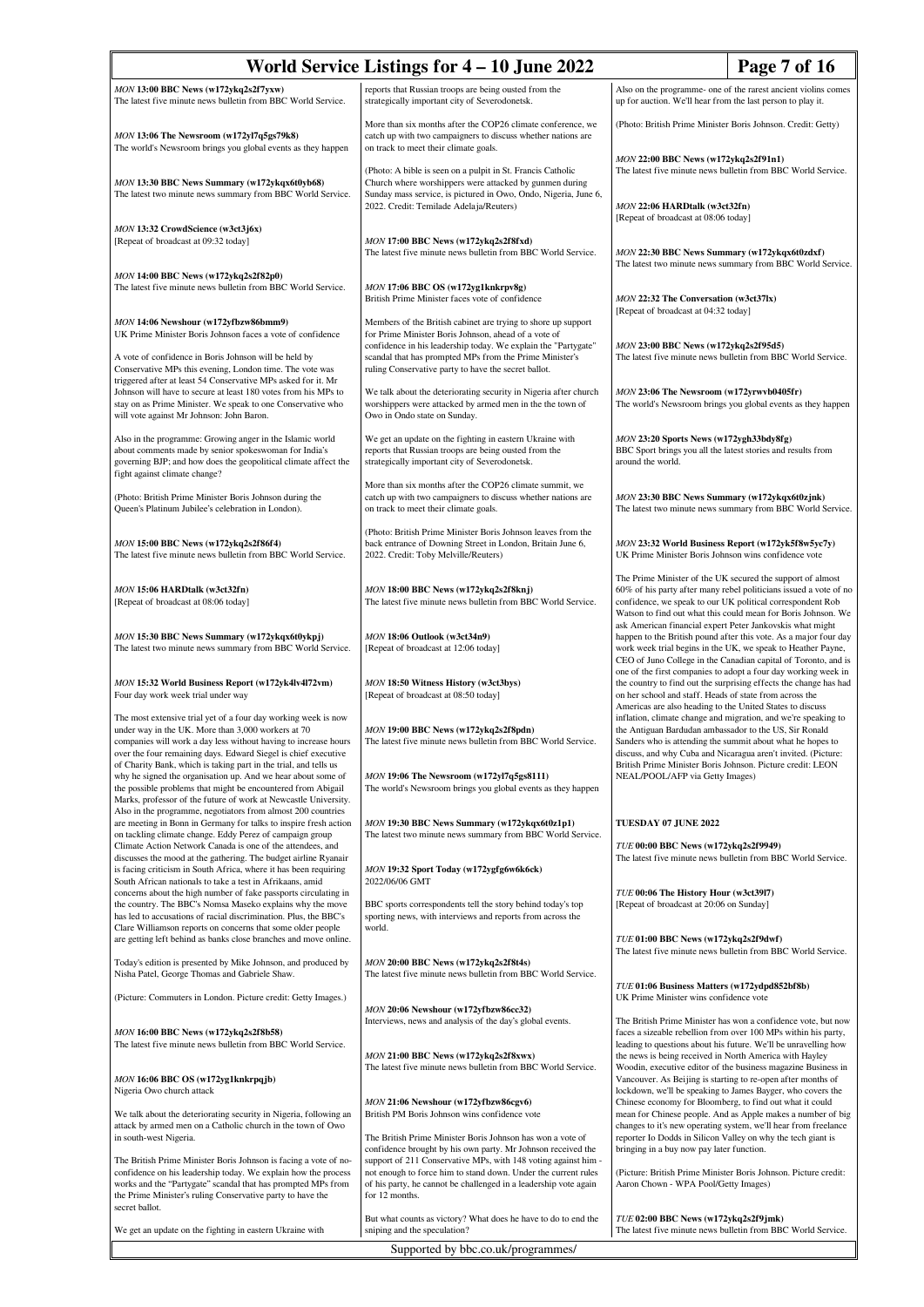| World Service Listings for 4 – 10 June 2022<br>Page 7 of 16                                                                                                                                                                                                                                                                   |                                                                                                                                                                                                                                                                                                            |                                                                                                                                                                                                                                                                                                                                   |  |
|-------------------------------------------------------------------------------------------------------------------------------------------------------------------------------------------------------------------------------------------------------------------------------------------------------------------------------|------------------------------------------------------------------------------------------------------------------------------------------------------------------------------------------------------------------------------------------------------------------------------------------------------------|-----------------------------------------------------------------------------------------------------------------------------------------------------------------------------------------------------------------------------------------------------------------------------------------------------------------------------------|--|
| MON 13:00 BBC News (w172ykq2s2f7yxw)<br>The latest five minute news bulletin from BBC World Service.                                                                                                                                                                                                                          | reports that Russian troops are being ousted from the<br>strategically important city of Severodonetsk.                                                                                                                                                                                                    | Also on the programme- one of the rarest ancient violins comes<br>up for auction. We'll hear from the last person to play it.                                                                                                                                                                                                     |  |
| MON 13:06 The Newsroom (w172yl7q5gs79k8)<br>The world's Newsroom brings you global events as they happen                                                                                                                                                                                                                      | More than six months after the COP26 climate conference, we<br>catch up with two campaigners to discuss whether nations are<br>on track to meet their climate goals.                                                                                                                                       | (Photo: British Prime Minister Boris Johnson. Credit: Getty)                                                                                                                                                                                                                                                                      |  |
| MON 13:30 BBC News Summary (w172ykqx6t0yb68)<br>The latest two minute news summary from BBC World Service.                                                                                                                                                                                                                    | (Photo: A bible is seen on a pulpit in St. Francis Catholic<br>Church where worshippers were attacked by gunmen during<br>Sunday mass service, is pictured in Owo, Ondo, Nigeria, June 6,                                                                                                                  | MON 22:00 BBC News (w172ykq2s2f91n1)<br>The latest five minute news bulletin from BBC World Service.                                                                                                                                                                                                                              |  |
| MON 13:32 CrowdScience (w3ct3j6x)                                                                                                                                                                                                                                                                                             | 2022. Credit: Temilade Adelaja/Reuters)                                                                                                                                                                                                                                                                    | MON 22:06 HARDtalk (w3ct32fn)<br>[Repeat of broadcast at 08:06 today]                                                                                                                                                                                                                                                             |  |
| [Repeat of broadcast at 09:32 today]<br>MON 14:00 BBC News (w172ykq2s2f82p0)                                                                                                                                                                                                                                                  | MON 17:00 BBC News (w172ykq2s2f8fxd)<br>The latest five minute news bulletin from BBC World Service.                                                                                                                                                                                                       | MON 22:30 BBC News Summary (w172ykqx6t0zdxf)<br>The latest two minute news summary from BBC World Service.                                                                                                                                                                                                                        |  |
| The latest five minute news bulletin from BBC World Service.                                                                                                                                                                                                                                                                  | MON 17:06 BBC OS (w172yg1knkrpv8g)<br>British Prime Minister faces vote of confidence                                                                                                                                                                                                                      | MON 22:32 The Conversation (w3ct37lx)<br>[Repeat of broadcast at 04:32 today]                                                                                                                                                                                                                                                     |  |
| MON 14:06 Newshour (w172yfbzw86bmm9)<br>UK Prime Minister Boris Johnson faces a vote of confidence<br>A vote of confidence in Boris Johnson will be held by<br>Conservative MPs this evening, London time. The vote was                                                                                                       | Members of the British cabinet are trying to shore up support<br>for Prime Minister Boris Johnson, ahead of a vote of<br>confidence in his leadership today. We explain the "Partygate"<br>scandal that has prompted MPs from the Prime Minister's<br>ruling Conservative party to have the secret ballot. | MON 23:00 BBC News (w172ykq2s2f95d5)<br>The latest five minute news bulletin from BBC World Service.                                                                                                                                                                                                                              |  |
| triggered after at least 54 Conservative MPs asked for it. Mr<br>Johnson will have to secure at least 180 votes from his MPs to<br>stay on as Prime Minister. We speak to one Conservative who<br>will vote against Mr Johnson: John Baron.                                                                                   | We talk about the deteriorating security in Nigeria after church<br>worshippers were attacked by armed men in the the town of<br>Owo in Ondo state on Sunday.                                                                                                                                              | MON 23:06 The Newsroom (w172yrwvb0405fr)<br>The world's Newsroom brings you global events as they happen                                                                                                                                                                                                                          |  |
| Also in the programme: Growing anger in the Islamic world<br>about comments made by senior spokeswoman for India's<br>governing BJP; and how does the geopolitical climate affect the<br>fight against climate change?                                                                                                        | We get an update on the fighting in eastern Ukraine with<br>reports that Russian troops are being ousted from the<br>strategically important city of Severodonetsk.                                                                                                                                        | MON 23:20 Sports News (w172ygh33bdy8fg)<br>BBC Sport brings you all the latest stories and results from<br>around the world.                                                                                                                                                                                                      |  |
| (Photo: British Prime Minister Boris Johnson during the<br>Queen's Platinum Jubilee's celebration in London).                                                                                                                                                                                                                 | More than six months after the COP26 climate summit, we<br>catch up with two campaigners to discuss whether nations are<br>on track to meet their climate goals.                                                                                                                                           | MON 23:30 BBC News Summary (w172ykqx6t0zjnk)<br>The latest two minute news summary from BBC World Service.                                                                                                                                                                                                                        |  |
| MON 15:00 BBC News (w172ykq2s2f86f4)<br>The latest five minute news bulletin from BBC World Service.                                                                                                                                                                                                                          | (Photo: British Prime Minister Boris Johnson leaves from the<br>back entrance of Downing Street in London, Britain June 6,<br>2022. Credit: Toby Melville/Reuters)                                                                                                                                         | MON 23:32 World Business Report (w172yk5f8w5yc7y)<br>UK Prime Minister Boris Johnson wins confidence vote                                                                                                                                                                                                                         |  |
| MON 15:06 HARDtalk (w3ct32fn)<br>[Repeat of broadcast at 08:06 today]                                                                                                                                                                                                                                                         | MON 18:00 BBC News (w172ykq2s2f8knj)<br>The latest five minute news bulletin from BBC World Service.                                                                                                                                                                                                       | The Prime Minister of the UK secured the support of almost<br>60% of his party after many rebel politicians issued a vote of no<br>confidence, we speak to our UK political correspondent Rob<br>Watson to find out what this could mean for Boris Johnson. We                                                                    |  |
| MON 15:30 BBC News Summary (w172ykqx6t0ykpj)<br>The latest two minute news summary from BBC World Service.                                                                                                                                                                                                                    | MON 18:06 Outlook (w3ct34n9)<br>[Repeat of broadcast at 12:06 today]                                                                                                                                                                                                                                       | ask American financial expert Peter Jankovskis what might<br>happen to the British pound after this vote. As a major four day<br>work week trial begins in the UK, we speak to Heather Payne,<br>CEO of Juno College in the Canadian capital of Toronto, and is<br>one of the first companies to adopt a four day working week in |  |
| MON 15:32 World Business Report (w172yk4lv4l72vm)<br>Four day work week trial under way                                                                                                                                                                                                                                       | MON 18:50 Witness History (w3ct3bys)<br>[Repeat of broadcast at 08:50 today]                                                                                                                                                                                                                               | the country to find out the surprising effects the change has had<br>on her school and staff. Heads of state from across the<br>Americas are also heading to the United States to discuss                                                                                                                                         |  |
| The most extensive trial yet of a four day working week is now<br>under way in the UK. More than 3,000 workers at 70<br>companies will work a day less without having to increase hours<br>over the four remaining days. Edward Siegel is chief executive<br>of Charity Bank, which is taking part in the trial, and tells us | MON 19:00 BBC News (w172ykq2s2f8pdn)<br>The latest five minute news bulletin from BBC World Service.                                                                                                                                                                                                       | inflation, climate change and migration, and we're speaking to<br>the Antiguan Bardudan ambassador to the US, Sir Ronald<br>Sanders who is attending the summit about what he hopes to<br>discuss, and why Cuba and Nicaragua aren't invited. (Picture:<br>British Prime Minister Boris Johnson. Picture credit: LEON             |  |
| why he signed the organisation up. And we hear about some of<br>the possible problems that might be encountered from Abigail<br>Marks, professor of the future of work at Newcastle University.<br>Also in the programme, negotiators from almost 200 countries                                                               | MON 19:06 The Newsroom (w172yl7q5gs8111)<br>The world's Newsroom brings you global events as they happen                                                                                                                                                                                                   | NEAL/POOL/AFP via Getty Images)                                                                                                                                                                                                                                                                                                   |  |
| are meeting in Bonn in Germany for talks to inspire fresh action<br>on tackling climate change. Eddy Perez of campaign group<br>Climate Action Network Canada is one of the attendees, and                                                                                                                                    | MON 19:30 BBC News Summary (w172ykqx6t0z1p1)<br>The latest two minute news summary from BBC World Service.                                                                                                                                                                                                 | TUESDAY 07 JUNE 2022<br>TUE 00:00 BBC News (w172ykq2s2f9949)                                                                                                                                                                                                                                                                      |  |
| discusses the mood at the gathering. The budget airline Ryanair<br>is facing criticism in South Africa, where it has been requiring                                                                                                                                                                                           | MON 19:32 Sport Today (w172ygfg6w6k6ck)                                                                                                                                                                                                                                                                    | The latest five minute news bulletin from BBC World Service.                                                                                                                                                                                                                                                                      |  |
| South African nationals to take a test in Afrikaans, amid<br>concerns about the high number of fake passports circulating in<br>the country. The BBC's Nomsa Maseko explains why the move<br>has led to accusations of racial discrimination. Plus, the BBC's                                                                 | 2022/06/06 GMT<br>BBC sports correspondents tell the story behind today's top<br>sporting news, with interviews and reports from across the                                                                                                                                                                | TUE 00:06 The History Hour (w3ct3917)<br>[Repeat of broadcast at 20:06 on Sunday]                                                                                                                                                                                                                                                 |  |
| Clare Williamson reports on concerns that some older people<br>are getting left behind as banks close branches and move online.                                                                                                                                                                                               | world.                                                                                                                                                                                                                                                                                                     | TUE 01:00 BBC News (w172ykq2s2f9dwf)<br>The latest five minute news bulletin from BBC World Service.                                                                                                                                                                                                                              |  |
| Today's edition is presented by Mike Johnson, and produced by<br>Nisha Patel, George Thomas and Gabriele Shaw.                                                                                                                                                                                                                | MON 20:00 BBC News (w172ykq2s2f8t4s)<br>The latest five minute news bulletin from BBC World Service.                                                                                                                                                                                                       | TUE 01:06 Business Matters (w172ydpd852bf8b)                                                                                                                                                                                                                                                                                      |  |
| (Picture: Commuters in London. Picture credit: Getty Images.)                                                                                                                                                                                                                                                                 | MON 20:06 Newshour (w172yfbzw86cc32)<br>Interviews, news and analysis of the day's global events.                                                                                                                                                                                                          | UK Prime Minister wins confidence vote<br>The British Prime Minister has won a confidence vote, but now                                                                                                                                                                                                                           |  |
| MON 16:00 BBC News (w172ykq2s2f8b58)<br>The latest five minute news bulletin from BBC World Service.                                                                                                                                                                                                                          | MON 21:00 BBC News (w172ykq2s2f8xwx)                                                                                                                                                                                                                                                                       | faces a sizeable rebellion from over 100 MPs within his party,<br>leading to questions about his future. We'll be unravelling how<br>the news is being received in North America with Hayley                                                                                                                                      |  |
| MON 16:06 BBC OS (w172yg1knkrpqjb)<br>Nigeria Owo church attack                                                                                                                                                                                                                                                               | The latest five minute news bulletin from BBC World Service.                                                                                                                                                                                                                                               | Woodin, executive editor of the business magazine Business in<br>Vancouver. As Beijing is starting to re-open after months of<br>lockdown, we'll be speaking to James Bayger, who covers the                                                                                                                                      |  |
| We talk about the deteriorating security in Nigeria, following an<br>attack by armed men on a Catholic church in the town of Owo<br>in south-west Nigeria.                                                                                                                                                                    | MON 21:06 Newshour (w172yfbzw86cgv6)<br>British PM Boris Johnson wins confidence vote<br>The British Prime Minister Boris Johnson has won a vote of                                                                                                                                                        | Chinese economy for Bloomberg, to find out what it could<br>mean for Chinese people. And as Apple makes a number of big<br>changes to it's new operating system, we'll hear from freelance<br>reporter Io Dodds in Silicon Valley on why the tech giant is                                                                        |  |
| The British Prime Minister Boris Johnson is facing a vote of no-<br>confidence on his leadership today. We explain how the process<br>works and the "Partygate" scandal that has prompted MPs from<br>the Prime Minister's ruling Conservative party to have the<br>secret ballot.                                            | confidence brought by his own party. Mr Johnson received the<br>support of 211 Conservative MPs, with 148 voting against him<br>not enough to force him to stand down. Under the current rules<br>of his party, he cannot be challenged in a leadership vote again<br>for 12 months.                       | bringing in a buy now pay later function.<br>(Picture: British Prime Minister Boris Johnson. Picture credit:<br>Aaron Chown - WPA Pool/Getty Images)                                                                                                                                                                              |  |
| We get an update on the fighting in eastern Ukraine with                                                                                                                                                                                                                                                                      | But what counts as victory? What does he have to do to end the<br>sniping and the speculation?                                                                                                                                                                                                             | TUE 02:00 BBC News (w172ykq2s2f9jmk)<br>The latest five minute news bulletin from BBC World Service.                                                                                                                                                                                                                              |  |
| Supported by bbc.co.uk/programmes/                                                                                                                                                                                                                                                                                            |                                                                                                                                                                                                                                                                                                            |                                                                                                                                                                                                                                                                                                                                   |  |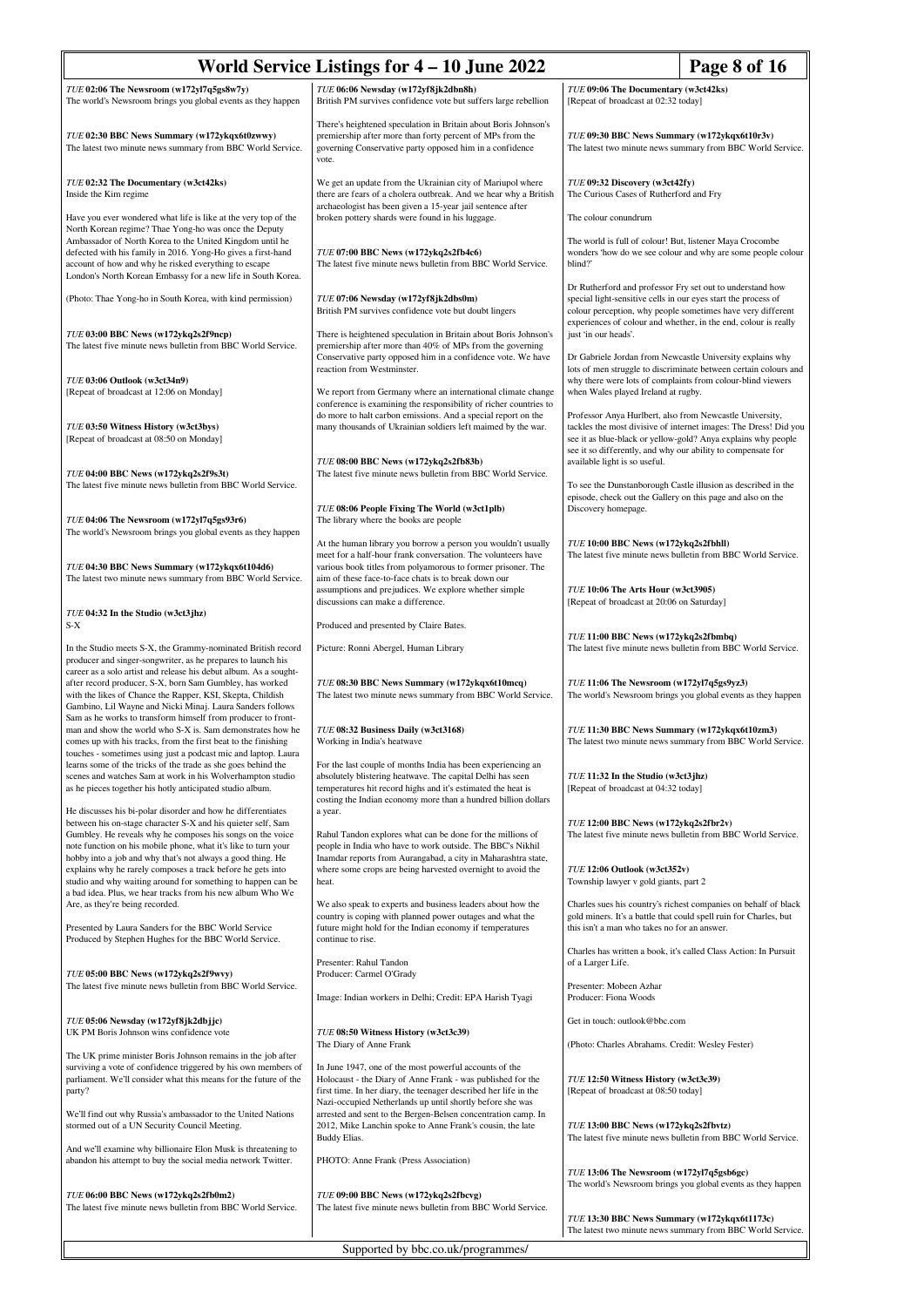| World Service Listings for $4 - 10$ June 2022<br>Page 8 of 16                                                                                                                                                                                                                                                                                                                            |                                                                                                                                                                                                                                                              |                                                                                                                             |                                                                                                                                      |
|------------------------------------------------------------------------------------------------------------------------------------------------------------------------------------------------------------------------------------------------------------------------------------------------------------------------------------------------------------------------------------------|--------------------------------------------------------------------------------------------------------------------------------------------------------------------------------------------------------------------------------------------------------------|-----------------------------------------------------------------------------------------------------------------------------|--------------------------------------------------------------------------------------------------------------------------------------|
| TUE 02:06 The Newsroom (w172yl7q5gs8w7y)<br>The world's Newsroom brings you global events as they happen                                                                                                                                                                                                                                                                                 | TUE 06:06 Newsday (w172yf8jk2dbn8h)<br>British PM survives confidence vote but suffers large rebellion                                                                                                                                                       | TUE 09:06 The Documentary (w3ct42ks)<br>[Repeat of broadcast at 02:32 today]                                                |                                                                                                                                      |
| TUE 02:30 BBC News Summary (w172ykqx6t0zwwy)<br>The latest two minute news summary from BBC World Service.                                                                                                                                                                                                                                                                               | There's heightened speculation in Britain about Boris Johnson's<br>premiership after more than forty percent of MPs from the<br>governing Conservative party opposed him in a confidence<br>vote.                                                            | TUE 09:30 BBC News Summary (w172ykqx6t10r3v)                                                                                | The latest two minute news summary from BBC World Service.                                                                           |
| TUE 02:32 The Documentary (w3ct42ks)<br>Inside the Kim regime                                                                                                                                                                                                                                                                                                                            | We get an update from the Ukrainian city of Mariupol where<br>there are fears of a cholera outbreak. And we hear why a British<br>archaeologist has been given a 15-year jail sentence after                                                                 | TUE 09:32 Discovery (w3ct42fy)<br>The Curious Cases of Rutherford and Fry                                                   |                                                                                                                                      |
| Have you ever wondered what life is like at the very top of the<br>North Korean regime? Thae Yong-ho was once the Deputy                                                                                                                                                                                                                                                                 | broken pottery shards were found in his luggage.                                                                                                                                                                                                             | The colour conundrum                                                                                                        |                                                                                                                                      |
| Ambassador of North Korea to the United Kingdom until he<br>defected with his family in 2016. Yong-Ho gives a first-hand<br>account of how and why he risked everything to escape<br>London's North Korean Embassy for a new life in South Korea.                                                                                                                                        | TUE 07:00 BBC News (w172ykq2s2fb4c6)<br>The latest five minute news bulletin from BBC World Service.                                                                                                                                                         | The world is full of colour! But, listener Maya Crocombe<br>blind?                                                          | wonders 'how do we see colour and why are some people colour                                                                         |
| (Photo: Thae Yong-ho in South Korea, with kind permission)                                                                                                                                                                                                                                                                                                                               | TUE 07:06 Newsday (w172yf8jk2dbs0m)<br>British PM survives confidence vote but doubt lingers                                                                                                                                                                 | Dr Rutherford and professor Fry set out to understand how<br>special light-sensitive cells in our eyes start the process of | colour perception, why people sometimes have very different<br>experiences of colour and whether, in the end, colour is really       |
| TUE 03:00 BBC News (w172ykq2s2f9ncp)<br>The latest five minute news bulletin from BBC World Service.                                                                                                                                                                                                                                                                                     | There is heightened speculation in Britain about Boris Johnson's<br>premiership after more than 40% of MPs from the governing<br>Conservative party opposed him in a confidence vote. We have<br>reaction from Westminster.                                  | just 'in our heads'.<br>Dr Gabriele Jordan from Newcastle University explains why                                           | lots of men struggle to discriminate between certain colours and                                                                     |
| TUE 03:06 Outlook (w3ct34n9)<br>[Repeat of broadcast at 12:06 on Monday]                                                                                                                                                                                                                                                                                                                 | We report from Germany where an international climate change<br>conference is examining the responsibility of richer countries to                                                                                                                            | when Wales played Ireland at rugby.                                                                                         | why there were lots of complaints from colour-blind viewers                                                                          |
| TUE 03:50 Witness History (w3ct3bys)<br>[Repeat of broadcast at 08:50 on Monday]                                                                                                                                                                                                                                                                                                         | do more to halt carbon emissions. And a special report on the<br>many thousands of Ukrainian soldiers left maimed by the war.                                                                                                                                | Professor Anya Hurlbert, also from Newcastle University,<br>see it so differently, and why our ability to compensate for    | tackles the most divisive of internet images: The Dress! Did you<br>see it as blue-black or yellow-gold? Anya explains why people    |
| TUE 04:00 BBC News (w172ykq2s2f9s3t)<br>The latest five minute news bulletin from BBC World Service.                                                                                                                                                                                                                                                                                     | TUE 08:00 BBC News (w172ykq2s2fb83b)<br>The latest five minute news bulletin from BBC World Service.                                                                                                                                                         | available light is so useful.                                                                                               | To see the Dunstanborough Castle illusion as described in the                                                                        |
| TUE 04:06 The Newsroom (w172yl7q5gs93r6)<br>The world's Newsroom brings you global events as they happen                                                                                                                                                                                                                                                                                 | TUE 08:06 People Fixing The World (w3ct1plb)<br>The library where the books are people                                                                                                                                                                       | episode, check out the Gallery on this page and also on the<br>Discovery homepage.                                          |                                                                                                                                      |
| TUE 04:30 BBC News Summary (w172ykqx6t104d6)                                                                                                                                                                                                                                                                                                                                             | At the human library you borrow a person you wouldn't usually<br>meet for a half-hour frank conversation. The volunteers have<br>various book titles from polyamorous to former prisoner. The                                                                | TUE 10:00 BBC News (w172ykq2s2fbhll)                                                                                        | The latest five minute news bulletin from BBC World Service.                                                                         |
| The latest two minute news summary from BBC World Service.                                                                                                                                                                                                                                                                                                                               | aim of these face-to-face chats is to break down our<br>assumptions and prejudices. We explore whether simple<br>discussions can make a difference.                                                                                                          | TUE 10:06 The Arts Hour (w3ct3905)<br>[Repeat of broadcast at 20:06 on Saturday]                                            |                                                                                                                                      |
| TUE 04:32 In the Studio (w3ct3jhz)<br>$S-X$                                                                                                                                                                                                                                                                                                                                              | Produced and presented by Claire Bates.                                                                                                                                                                                                                      | TUE 11:00 BBC News (w172ykq2s2fbmbq)                                                                                        |                                                                                                                                      |
| In the Studio meets S-X, the Grammy-nominated British record<br>producer and singer-songwriter, as he prepares to launch his<br>career as a solo artist and release his debut album. As a sought-<br>after record producer, S-X, born Sam Gumbley, has worked<br>with the likes of Chance the Rapper, KSI, Skepta, Childish<br>Gambino, Lil Wayne and Nicki Minaj. Laura Sanders follows | Picture: Ronni Abergel, Human Library<br>TUE 08:30 BBC News Summary (w172ykqx6t10mcq)<br>The latest two minute news summary from BBC World Service.                                                                                                          | TUE 11:06 The Newsroom (w172yl7q5gs9yz3)                                                                                    | The latest five minute news bulletin from BBC World Service.<br>The world's Newsroom brings you global events as they happen         |
| Sam as he works to transform himself from producer to front-<br>man and show the world who S-X is. Sam demonstrates how he<br>comes up with his tracks, from the first beat to the finishing                                                                                                                                                                                             | TUE 08:32 Business Daily (w3ct3168)<br>Working in India's heatwave                                                                                                                                                                                           | TUE 11:30 BBC News Summary (w172ykqx6t10zm3)                                                                                | The latest two minute news summary from BBC World Service.                                                                           |
| touches - sometimes using just a podcast mic and laptop. Laura<br>learns some of the tricks of the trade as she goes behind the<br>scenes and watches Sam at work in his Wolverhampton studio<br>as he pieces together his hotly anticipated studio album.                                                                                                                               | For the last couple of months India has been experiencing an<br>absolutely blistering heatwave. The capital Delhi has seen<br>temperatures hit record highs and it's estimated the heat is<br>costing the Indian economy more than a hundred billion dollars | TUE 11:32 In the Studio (w3ct3jhz)<br>[Repeat of broadcast at 04:32 today]                                                  |                                                                                                                                      |
| He discusses his bi-polar disorder and how he differentiates<br>between his on-stage character S-X and his quieter self, Sam<br>Gumbley. He reveals why he composes his songs on the voice<br>note function on his mobile phone, what it's like to turn your                                                                                                                             | a year.<br>Rahul Tandon explores what can be done for the millions of<br>people in India who have to work outside. The BBC's Nikhil                                                                                                                          | TUE 12:00 BBC News (w172ykq2s2fbr2v)                                                                                        | The latest five minute news bulletin from BBC World Service.                                                                         |
| hobby into a job and why that's not always a good thing. He<br>explains why he rarely composes a track before he gets into<br>studio and why waiting around for something to happen can be<br>a bad idea. Plus, we hear tracks from his new album Who We                                                                                                                                 | Inamdar reports from Aurangabad, a city in Maharashtra state,<br>where some crops are being harvested overnight to avoid the<br>heat.                                                                                                                        | TUE 12:06 Outlook (w3ct352v)<br>Township lawyer v gold giants, part 2                                                       |                                                                                                                                      |
| Are, as they're being recorded.<br>Presented by Laura Sanders for the BBC World Service<br>Produced by Stephen Hughes for the BBC World Service.                                                                                                                                                                                                                                         | We also speak to experts and business leaders about how the<br>country is coping with planned power outages and what the<br>future might hold for the Indian economy if temperatures<br>continue to rise.                                                    | this isn't a man who takes no for an answer.                                                                                | Charles sues his country's richest companies on behalf of black<br>gold miners. It's a battle that could spell ruin for Charles, but |
| TUE 05:00 BBC News (w172ykq2s2f9wvy)                                                                                                                                                                                                                                                                                                                                                     | Presenter: Rahul Tandon<br>Producer: Carmel O'Grady                                                                                                                                                                                                          | of a Larger Life.                                                                                                           | Charles has written a book, it's called Class Action: In Pursuit                                                                     |
| The latest five minute news bulletin from BBC World Service.                                                                                                                                                                                                                                                                                                                             | Image: Indian workers in Delhi; Credit: EPA Harish Tyagi                                                                                                                                                                                                     | Presenter: Mobeen Azhar<br>Producer: Fiona Woods                                                                            |                                                                                                                                      |
| TUE 05:06 Newsday (w172yf8jk2dbjjc)<br>UK PM Boris Johnson wins confidence vote                                                                                                                                                                                                                                                                                                          | TUE 08:50 Witness History (w3ct3c39)<br>The Diary of Anne Frank                                                                                                                                                                                              | Get in touch: outlook@bbc.com<br>(Photo: Charles Abrahams. Credit: Wesley Fester)                                           |                                                                                                                                      |
| The UK prime minister Boris Johnson remains in the job after<br>surviving a vote of confidence triggered by his own members of<br>parliament. We'll consider what this means for the future of the<br>party?                                                                                                                                                                             | In June 1947, one of the most powerful accounts of the<br>Holocaust - the Diary of Anne Frank - was published for the<br>first time. In her diary, the teenager described her life in the                                                                    | TUE 12:50 Witness History (w3ct3c39)<br>[Repeat of broadcast at 08:50 today]                                                |                                                                                                                                      |
| We'll find out why Russia's ambassador to the United Nations<br>stormed out of a UN Security Council Meeting.                                                                                                                                                                                                                                                                            | Nazi-occupied Netherlands up until shortly before she was<br>arrested and sent to the Bergen-Belsen concentration camp. In<br>2012, Mike Lanchin spoke to Anne Frank's cousin, the late<br>Buddy Elias.                                                      | TUE 13:00 BBC News (w172ykq2s2fbvtz)                                                                                        | The latest five minute news bulletin from BBC World Service.                                                                         |
| And we'll examine why billionaire Elon Musk is threatening to<br>abandon his attempt to buy the social media network Twitter.                                                                                                                                                                                                                                                            | PHOTO: Anne Frank (Press Association)                                                                                                                                                                                                                        | TUE 13:06 The Newsroom (w172yl7q5gsb6gc)                                                                                    |                                                                                                                                      |
| TUE 06:00 BBC News (w172ykq2s2fb0m2)<br>The latest five minute news bulletin from BBC World Service.                                                                                                                                                                                                                                                                                     | TUE 09:00 BBC News (w172ykq2s2fbcvg)<br>The latest five minute news bulletin from BBC World Service.                                                                                                                                                         | TUE 13:30 BBC News Summary (w172ykqx6t1173c)                                                                                | The world's Newsroom brings you global events as they happen                                                                         |
|                                                                                                                                                                                                                                                                                                                                                                                          | Supported by bbc.co.uk/programmes/                                                                                                                                                                                                                           |                                                                                                                             | The latest two minute news summary from BBC World Service.                                                                           |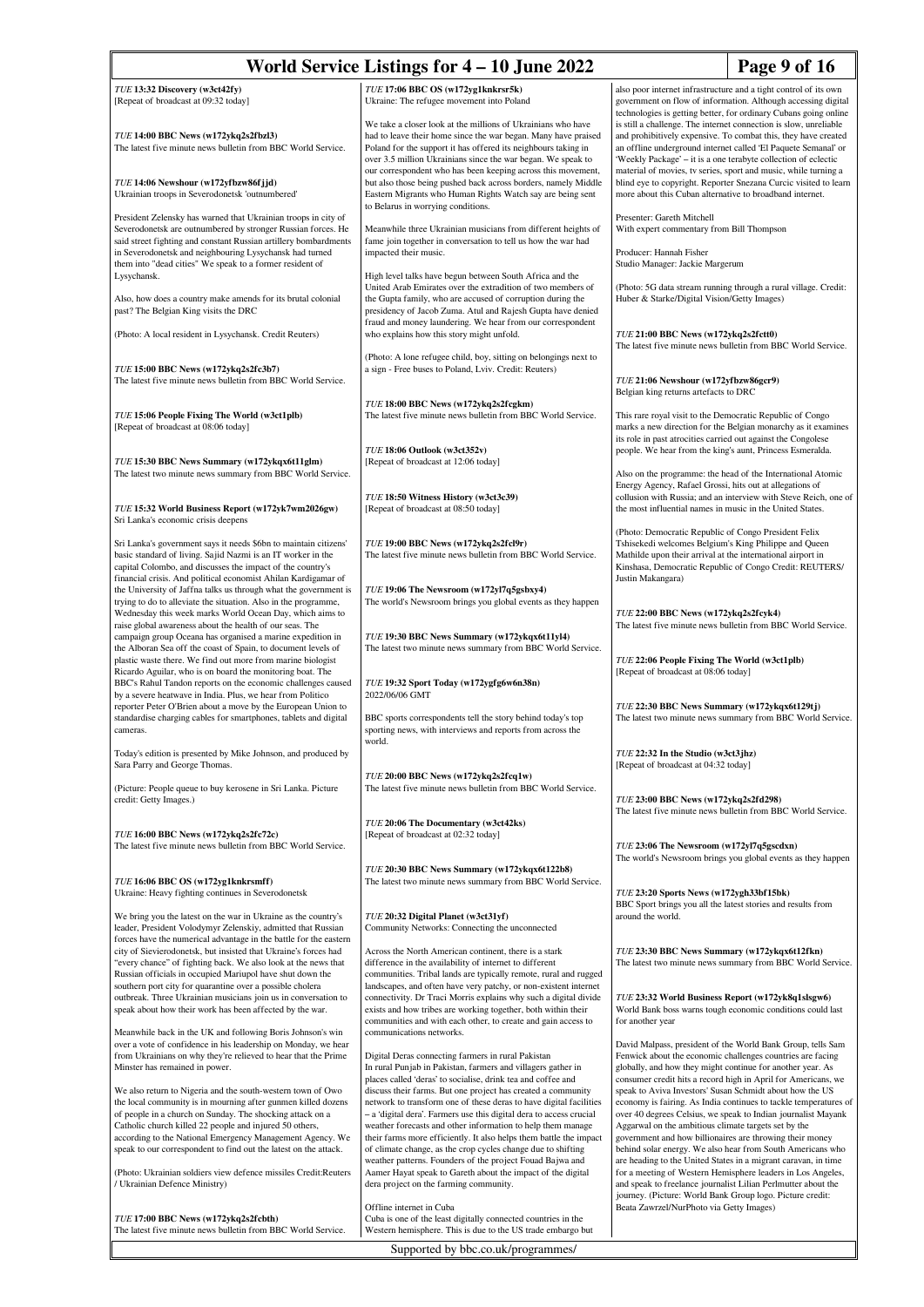## World Service Listings for 4 – 10 June 2022 Page 9 of 16

*TUE* **13:32 Discovery (w3ct42fy)** [Repeat of broadcast at 09:32 today]

*TUE* **14:00 BBC News (w172ykq2s2fbzl3)** The latest five minute news bulletin from BBC World Service.

*TUE* **14:06 Newshour (w172yfbzw86fjjd)** Ukrainian troops in Severodonetsk 'outnumbered'

President Zelensky has warned that Ukrainian troops in city of Severodonetsk are outnumbered by stronger Russian forces. He said street fighting and constant Russian artillery bombardments in Severodonetsk and neighbouring Lysychansk had turned them into "dead cities" We speak to a former resident of Lysychansk.

Also, how does a country make amends for its brutal colonial past? The Belgian King visits the DRC

(Photo: A local resident in Lysychansk. Credit Reuters)

*TUE* **15:00 BBC News (w172ykq2s2fc3b7)** The latest five minute news bulletin from BBC World Service.

*TUE* **15:06 People Fixing The World (w3ct1plb)** [Repeat of broadcast at 08:06 today]

*TUE* **15:30 BBC News Summary (w172ykqx6t11glm)** The latest two minute news summary from BBC World Service.

*TUE* **15:32 World Business Report (w172yk7wm2026gw)** Sri Lanka's economic crisis deepens

Sri Lanka's government says it needs \$6bn to maintain citizens' basic standard of living. Sajid Nazmi is an IT worker in the capital Colombo, and discusses the impact of the country's financial crisis. And political economist Ahilan Kardigamar of the University of Jaffna talks us through what the government is trying to do to alleviate the situation. Also in the programme, Wednesday this week marks World Ocean Day, which aims to raise global awareness about the health of our seas. The campaign group Oceana has organised a marine expedition in the Alboran Sea off the coast of Spain, to document levels of plastic waste there. We find out more from marine biologist Ricardo Aguilar, who is on board the monitoring boat. The BBC's Rahul Tandon reports on the economic challenges caused by a severe heatwave in India. Plus, we hear from Politico reporter Peter O'Brien about a move by the European Union to standardise charging cables for smartphones, tablets and digital cameras.

Today's edition is presented by Mike Johnson, and produced by Sara Parry and George Thom

(Picture: People queue to buy kerosene in Sri Lanka. Picture credit: Getty Images.)

*TUE* **16:00 BBC News (w172ykq2s2fc72c)** The latest five minute news bulletin from BBC World Service.

*TUE* **16:06 BBC OS (w172yg1knkrsmff)** Ukraine: Heavy fighting continues in Severodonetsk

We bring you the latest on the war in Ukraine as the country's leader, President Volodymyr Zelenskiy, admitted that Russian forces have the numerical advantage in the battle for the eastern city of Sievierodonetsk, but insisted that Ukraine's forces had "every chance" of fighting back. We also look at the news that Russian officials in occupied Mariupol have shut down the southern port city for quarantine over a possible cholera outbreak. Three Ukrainian musicians join us in conversation to speak about how their work has been affected by the war.

Meanwhile back in the UK and following Boris Johnson's win over a vote of confidence in his leadership on Monday, we hear from Ukrainians on why they're relieved to hear that the Prime Minster has remained in power.

We also return to Nigeria and the south-western town of Owo the local community is in mourning after gunmen killed dozer of people in a church on Sunday. The shocking attack on a Catholic church killed 22 people and injured 50 others. according to the National Emergency Management Agency. We speak to our correspondent to find out the latest on the attack

(Photo: Ukrainian soldiers view defence missiles Credit:Reuters / Ukrainian Defence Ministry)

*TUE* **17:00 BBC News (w172ykq2s2fcbth)** The latest five minute news bulletin from BBC World Service. *TUE* **17:06 BBC OS (w172yg1knkrsr5k)** Ukraine: The refugee movement into Poland

We take a closer look at the millions of Ukrainians who have had to leave their home since the war began. Many have praised Poland for the support it has offered its neighbours taking in over 3.5 million Ukrainians since the war began. We speak to our correspondent who has been keeping across this movement, but also those being pushed back across borders, namely Middle Eastern Migrants who Human Rights Watch say are being sent to Belarus in worrying conditions.

Meanwhile three Ukrainian musicians from different heights of fame join together in conversation to tell us how the war had impacted their music.

High level talks have begun between South Africa and the United Arab Emirates over the extradition of two members of the Gupta family, who are accused of corruption during the presidency of Jacob Zuma. Atul and Rajesh Gupta have denied fraud and money laundering. We hear from our correspondent who explains how this story might unfold.

(Photo: A lone refugee child, boy, sitting on belongings next to a sign - Free buses to Poland, Lviv. Credit: Reuters)

*TUE* **18:00 BBC News (w172ykq2s2fcgkm)** The latest five minute news bulletin from BBC World Service.

*TUE* **18:06 Outlook (w3ct352v)** [Repeat of broadcast at 12:06 today]

*TUE* **18:50 Witness History (w3ct3c39)** [Repeat of broadcast at 08:50 today]

*TUE* **19:00 BBC News (w172ykq2s2fcl9r)** The latest five minute news bulletin from BBC World Service.

*TUE* **19:06 The Newsroom (w172yl7q5gsbxy4)** The world's Newsroom brings you global events as they happen

The latest two minute news summary from BBC World Service. *TUE* **19:32 Sport Today (w172ygfg6w6n38n)**

*TUE* **19:30 BBC News Summary (w172ykqx6t11yl4)**

2022/06/06 GMT

BBC sports correspondents tell the story behind today's top sporting news, with interviews and reports from across the world.

*TUE* **20:00 BBC News (w172ykq2s2fcq1w)** The latest five minute news bulletin from BBC World Service.

*TUE* **20:06 The Documentary (w3ct42ks)** [Repeat of broadcast at 02:32 today]

*TUE* **20:30 BBC News Summary (w172ykqx6t122b8)** The latest two minute news summary from BBC World Service.

*TUE* **20:32 Digital Planet (w3ct31yf)** Community Networks: Connecting the unconnected

Across the North American continent, there is a stark difference in the availability of internet to different communities. Tribal lands are typically remote, rural and rugged landscapes, and often have very patchy, or non-existent internet connectivity. Dr Traci Morris explains why such a digital divide exists and how tribes are working together, both within their communities and with each other, to create and gain access to communications networks.

Digital Deras connecting farmers in rural Pakistan In rural Punjab in Pakistan, farmers and villagers gather in places called 'deras' to socialise, drink tea and coffee and discuss their farms. But one project has created a community network to transform one of these deras to have digital facilities – a 'digital dera'. Farmers use this digital dera to access crucial weather forecasts and other information to help them manage their farms more efficiently. It also helps them battle the impact of climate change, as the crop cycles change due to shifting weather patterns. Founders of the project Fouad Bajwa and Aamer Hayat speak to Gareth about the impact of the digital dera project on the farming community.

### Offline internet in Cuba

Cuba is one of the least digitally connected countries in the Western hemisphere. This is due to the US trade embargo but

Supported by bbc.co.uk/programmes/

also poor internet infrastructure and a tight control of its own government on flow of information. Although accessing digital technologies is getting better, for ordinary Cubans going online is still a challenge. The internet connection is slow, unreliable and prohibitively expensive. To combat this, they have created an offline underground internet called 'El Paquete Semanal' or 'Weekly Package' – it is a one terabyte collection of eclectic material of movies, tv series, sport and music, while turning a blind eye to copyright. Reporter Snezana Curcic visited to learn more about this Cuban alternative to broadband internet.

Presenter: Gareth Mitchell With expert commentary from Bill Thompson

Producer: Hannah Fisher Studio Manager: Jackie Margerum

(Photo: 5G data stream running through a rural village. Credit: Huber & Starke/Digital Vision/Getty Images)

*TUE* **21:00 BBC News (w172ykq2s2fctt0)** The latest five minute news bulletin from BBC World Service.

*TUE* **21:06 Newshour (w172yfbzw86gcr9)** Belgian king returns artefacts to DRC

This rare royal visit to the Democratic Republic of Congo marks a new direction for the Belgian monarchy as it examin its role in past atrocities carried out against the Congolese people. We hear from the king's aunt, Princess Esmeralda.

Also on the programme: the head of the International Atomic Energy Agency, Rafael Grossi, hits out at allegations of collusion with Russia; and an interview with Steve Reich, one of the most influential names in music in the United States.

(Photo: Democratic Republic of Congo President Felix Tshisekedi welcomes Belgium's King Philippe and Queen Mathilde upon their arrival at the international airport in Kinshasa, Democratic Republic of Congo Credit: REUTERS/ Justin Makangara)

*TUE* **22:00 BBC News (w172ykq2s2fcyk4)** The latest five minute news bulletin from BBC World Service.

*TUE* **22:06 People Fixing The World (w3ct1plb)** [Repeat of broadcast at 08:06 today]

*TUE* **22:30 BBC News Summary (w172ykqx6t129tj)** The latest two minute news summary from BBC World Service.

*TUE* **22:32 In the Studio (w3ct3jhz)** [Repeat of broadcast at 04:32 today]

*TUE* **23:00 BBC News (w172ykq2s2fd298)** The latest five minute news bulletin from BBC World Service.

*TUE* **23:06 The Newsroom (w172yl7q5gscdxn)** The world's Newsroom brings you global events as they happen

*TUE* **23:20 Sports News (w172ygh33bf15bk)** BBC Sport brings you all the latest stories and results from around the world.

*TUE* **23:30 BBC News Summary (w172ykqx6t12fkn)** The latest two minute news summary from BBC World Service.

*TUE* **23:32 World Business Report (w172yk8q1slsgw6)** World Bank boss warns tough economic conditions could last for another year

David Malpass, president of the World Bank Group, tells Sam Fenwick about the economic challenges countries are facing globally, and how they might continue for another year. As consumer credit hits a record high in April for Americans, we speak to Aviva Investors' Susan Schmidt about how the US economy is fairing. As India continues to tackle temperatures of over 40 degrees Celsius, we speak to Indian journalist Mayank Aggarwal on the ambitious climate targets set by the government and how billionaires are throwing their money behind solar energy. We also hear from South Americans who are heading to the United States in a migrant caravan, in time for a meeting of Western Hemisphere leaders in Los Angeles, and speak to freelance journalist Lilian Perlmutter about the journey. (Picture: World Bank Group logo. Picture credit: Beata Zawrzel/NurPhoto via Getty Images)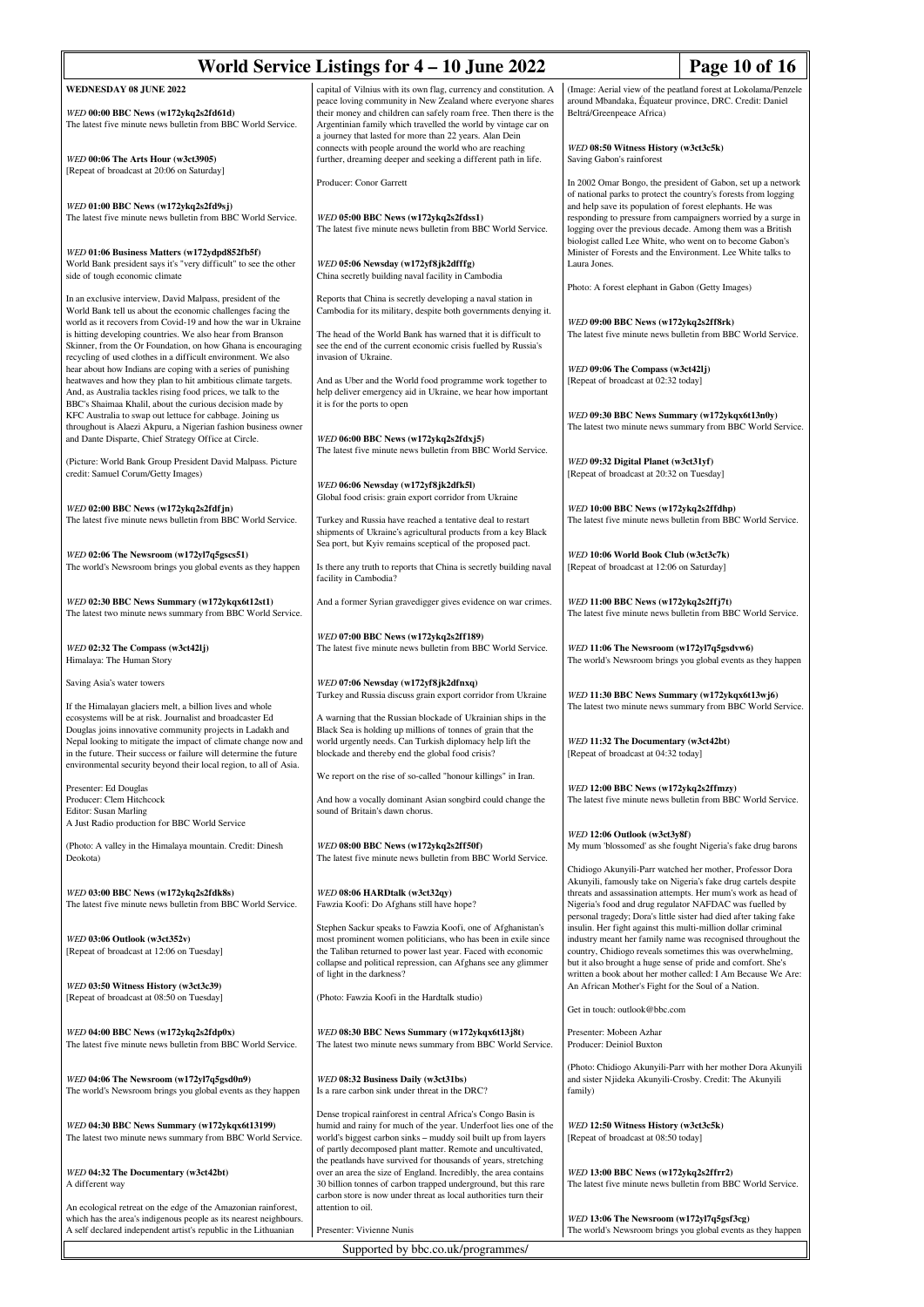| World Service Listings for 4 - 10 June 2022<br>Page 10 of 16                                                                                                                                                                                                                                                                                                                                    |                                                                                                                                                                                                                                                                                                                                    |                                                                                                                                                                                                                                                                                                                                                                                         |  |
|-------------------------------------------------------------------------------------------------------------------------------------------------------------------------------------------------------------------------------------------------------------------------------------------------------------------------------------------------------------------------------------------------|------------------------------------------------------------------------------------------------------------------------------------------------------------------------------------------------------------------------------------------------------------------------------------------------------------------------------------|-----------------------------------------------------------------------------------------------------------------------------------------------------------------------------------------------------------------------------------------------------------------------------------------------------------------------------------------------------------------------------------------|--|
| <b>WEDNESDAY 08 JUNE 2022</b><br>WED 00:00 BBC News (w172ykq2s2fd61d)<br>The latest five minute news bulletin from BBC World Service.                                                                                                                                                                                                                                                           | capital of Vilnius with its own flag, currency and constitution. A<br>peace loving community in New Zealand where everyone shares<br>their money and children can safely roam free. Then there is the<br>Argentinian family which travelled the world by vintage car on<br>a journey that lasted for more than 22 years. Alan Dein | (Image: Aerial view of the peatland forest at Lokolama/Penzele<br>around Mbandaka, Équateur province, DRC. Credit: Daniel<br>Beltrá/Greenpeace Africa)                                                                                                                                                                                                                                  |  |
| WED 00:06 The Arts Hour (w3ct3905)<br>[Repeat of broadcast at 20:06 on Saturday]                                                                                                                                                                                                                                                                                                                | connects with people around the world who are reaching<br>further, dreaming deeper and seeking a different path in life.                                                                                                                                                                                                           | WED 08:50 Witness History (w3ct3c5k)<br>Saving Gabon's rainforest                                                                                                                                                                                                                                                                                                                       |  |
| WED 01:00 BBC News (w172ykq2s2fd9sj)<br>The latest five minute news bulletin from BBC World Service.                                                                                                                                                                                                                                                                                            | Producer: Conor Garrett<br>WED 05:00 BBC News (w172ykq2s2fdss1)<br>The latest five minute news bulletin from BBC World Service.                                                                                                                                                                                                    | In 2002 Omar Bongo, the president of Gabon, set up a network<br>of national parks to protect the country's forests from logging<br>and help save its population of forest elephants. He was<br>responding to pressure from campaigners worried by a surge in<br>logging over the previous decade. Among them was a British<br>biologist called Lee White, who went on to become Gabon's |  |
| WED 01:06 Business Matters (w172ydpd852fb5f)<br>World Bank president says it's "very difficult" to see the other<br>side of tough economic climate                                                                                                                                                                                                                                              | WED 05:06 Newsday (w172yf8jk2dfffg)<br>China secretly building naval facility in Cambodia                                                                                                                                                                                                                                          | Minister of Forests and the Environment. Lee White talks to<br>Laura Jones.                                                                                                                                                                                                                                                                                                             |  |
| In an exclusive interview, David Malpass, president of the<br>World Bank tell us about the economic challenges facing the                                                                                                                                                                                                                                                                       | Reports that China is secretly developing a naval station in<br>Cambodia for its military, despite both governments denying it.                                                                                                                                                                                                    | Photo: A forest elephant in Gabon (Getty Images)                                                                                                                                                                                                                                                                                                                                        |  |
| world as it recovers from Covid-19 and how the war in Ukraine<br>is hitting developing countries. We also hear from Branson<br>Skinner, from the Or Foundation, on how Ghana is encouraging<br>recycling of used clothes in a difficult environment. We also<br>hear about how Indians are coping with a series of punishing                                                                    | The head of the World Bank has warned that it is difficult to<br>see the end of the current economic crisis fuelled by Russia's<br>invasion of Ukraine.                                                                                                                                                                            | WED 09:00 BBC News (w172ykq2s2ff8rk)<br>The latest five minute news bulletin from BBC World Service.<br>WED 09:06 The Compass (w3ct42lj)                                                                                                                                                                                                                                                |  |
| heatwaves and how they plan to hit ambitious climate targets.<br>And, as Australia tackles rising food prices, we talk to the<br>BBC's Shaimaa Khalil, about the curious decision made by<br>KFC Australia to swap out lettuce for cabbage. Joining us                                                                                                                                          | And as Uber and the World food programme work together to<br>help deliver emergency aid in Ukraine, we hear how important<br>it is for the ports to open                                                                                                                                                                           | [Repeat of broadcast at 02:32 today]<br>WED 09:30 BBC News Summary (w172ykqx6t13n0y)                                                                                                                                                                                                                                                                                                    |  |
| throughout is Alaezi Akpuru, a Nigerian fashion business owner<br>and Dante Disparte, Chief Strategy Office at Circle.                                                                                                                                                                                                                                                                          | WED 06:00 BBC News (w172ykq2s2fdxj5)<br>The latest five minute news bulletin from BBC World Service.                                                                                                                                                                                                                               | The latest two minute news summary from BBC World Service.                                                                                                                                                                                                                                                                                                                              |  |
| (Picture: World Bank Group President David Malpass. Picture<br>credit: Samuel Corum/Getty Images)                                                                                                                                                                                                                                                                                               | WED 06:06 Newsday (w172yf8jk2dfk5l)                                                                                                                                                                                                                                                                                                | WED 09:32 Digital Planet (w3ct31yf)<br>[Repeat of broadcast at 20:32 on Tuesday]                                                                                                                                                                                                                                                                                                        |  |
| WED 02:00 BBC News (w172ykq2s2fdfjn)<br>The latest five minute news bulletin from BBC World Service.                                                                                                                                                                                                                                                                                            | Global food crisis: grain export corridor from Ukraine<br>Turkey and Russia have reached a tentative deal to restart<br>shipments of Ukraine's agricultural products from a key Black<br>Sea port, but Kyiv remains sceptical of the proposed pact.                                                                                | WED 10:00 BBC News (w172ykq2s2ffdhp)<br>The latest five minute news bulletin from BBC World Service.                                                                                                                                                                                                                                                                                    |  |
| WED 02:06 The Newsroom (w172yl7q5gscs51)<br>The world's Newsroom brings you global events as they happen                                                                                                                                                                                                                                                                                        | Is there any truth to reports that China is secretly building naval<br>facility in Cambodia?                                                                                                                                                                                                                                       | WED 10:06 World Book Club (w3ct3c7k)<br>[Repeat of broadcast at 12:06 on Saturday]                                                                                                                                                                                                                                                                                                      |  |
| WED 02:30 BBC News Summary (w172ykqx6t12st1)<br>The latest two minute news summary from BBC World Service.                                                                                                                                                                                                                                                                                      | And a former Syrian gravedigger gives evidence on war crimes.                                                                                                                                                                                                                                                                      | WED 11:00 BBC News (w172ykq2s2ffj7t)<br>The latest five minute news bulletin from BBC World Service.                                                                                                                                                                                                                                                                                    |  |
| WED 02:32 The Compass (w3ct42lj)<br>Himalaya: The Human Story                                                                                                                                                                                                                                                                                                                                   | WED 07:00 BBC News (w172ykq2s2ff189)<br>The latest five minute news bulletin from BBC World Service.                                                                                                                                                                                                                               | WED 11:06 The Newsroom (w172yl7q5gsdvw6)<br>The world's Newsroom brings you global events as they happen                                                                                                                                                                                                                                                                                |  |
| Saving Asia's water towers                                                                                                                                                                                                                                                                                                                                                                      | WED 07:06 Newsday (w172yf8jk2dfnxq)<br>Turkey and Russia discuss grain export corridor from Ukraine                                                                                                                                                                                                                                | WED 11:30 BBC News Summary (w172ykqx6t13wj6)                                                                                                                                                                                                                                                                                                                                            |  |
| If the Himalayan glaciers melt, a billion lives and whole<br>ecosystems will be at risk. Journalist and broadcaster Ed<br>Douglas joins innovative community projects in Ladakh and<br>Nepal looking to mitigate the impact of climate change now and<br>in the future. Their success or failure will determine the future<br>environmental security beyond their local region, to all of Asia. | A warning that the Russian blockade of Ukrainian ships in the<br>Black Sea is holding up millions of tonnes of grain that the<br>world urgently needs. Can Turkish diplomacy help lift the<br>blockade and thereby end the global food crisis?                                                                                     | The latest two minute news summary from BBC World Service.<br>WED 11:32 The Documentary (w3ct42bt)<br>[Repeat of broadcast at 04:32 today]                                                                                                                                                                                                                                              |  |
| Presenter: Ed Douglas<br>Producer: Clem Hitchcock<br><b>Editor: Susan Marling</b><br>A Just Radio production for BBC World Service                                                                                                                                                                                                                                                              | We report on the rise of so-called "honour killings" in Iran.<br>And how a vocally dominant Asian songbird could change the<br>sound of Britain's dawn chorus.                                                                                                                                                                     | WED 12:00 BBC News (w172ykq2s2ffmzy)<br>The latest five minute news bulletin from BBC World Service.                                                                                                                                                                                                                                                                                    |  |
| (Photo: A valley in the Himalaya mountain. Credit: Dinesh<br>Deokota)                                                                                                                                                                                                                                                                                                                           | WED 08:00 BBC News (w172ykq2s2ff50f)<br>The latest five minute news bulletin from BBC World Service.                                                                                                                                                                                                                               | WED 12:06 Outlook (w3ct3y8f)<br>My mum 'blossomed' as she fought Nigeria's fake drug barons                                                                                                                                                                                                                                                                                             |  |
| WED 03:00 BBC News (w172ykq2s2fdk8s)<br>The latest five minute news bulletin from BBC World Service.                                                                                                                                                                                                                                                                                            | WED 08:06 HARDtalk (w3ct32qy)<br>Fawzia Koofi: Do Afghans still have hope?                                                                                                                                                                                                                                                         | Chidiogo Akunyili-Parr watched her mother, Professor Dora<br>Akunyili, famously take on Nigeria's fake drug cartels despite<br>threats and assassination attempts. Her mum's work as head of<br>Nigeria's food and drug regulator NAFDAC was fuelled by<br>personal tragedy; Dora's little sister had died after taking fake                                                            |  |
| WED 03:06 Outlook (w3ct352v)<br>[Repeat of broadcast at 12:06 on Tuesday]                                                                                                                                                                                                                                                                                                                       | Stephen Sackur speaks to Fawzia Koofi, one of Afghanistan's<br>most prominent women politicians, who has been in exile since<br>the Taliban returned to power last year. Faced with economic<br>collapse and political repression, can Afghans see any glimmer<br>of light in the darkness?                                        | insulin. Her fight against this multi-million dollar criminal<br>industry meant her family name was recognised throughout the<br>country, Chidiogo reveals sometimes this was overwhelming,<br>but it also brought a huge sense of pride and comfort. She's<br>written a book about her mother called: I Am Because We Are:                                                             |  |
| WED 03:50 Witness History (w3ct3c39)<br>[Repeat of broadcast at 08:50 on Tuesday]                                                                                                                                                                                                                                                                                                               | (Photo: Fawzia Koofi in the Hardtalk studio)                                                                                                                                                                                                                                                                                       | An African Mother's Fight for the Soul of a Nation.<br>Get in touch: outlook@bbc.com                                                                                                                                                                                                                                                                                                    |  |
| WED 04:00 BBC News (w172ykq2s2fdp0x)<br>The latest five minute news bulletin from BBC World Service.                                                                                                                                                                                                                                                                                            | WED 08:30 BBC News Summary (w172ykqx6t13j8t)<br>The latest two minute news summary from BBC World Service.                                                                                                                                                                                                                         | Presenter: Mobeen Azhar<br>Producer: Deiniol Buxton                                                                                                                                                                                                                                                                                                                                     |  |
| WED 04:06 The Newsroom (w172yl7q5gsd0n9)<br>The world's Newsroom brings you global events as they happen                                                                                                                                                                                                                                                                                        | WED 08:32 Business Daily (w3ct31bs)<br>Is a rare carbon sink under threat in the DRC?                                                                                                                                                                                                                                              | (Photo: Chidiogo Akunyili-Parr with her mother Dora Akunyili<br>and sister Njideka Akunyili-Crosby. Credit: The Akunyili<br>family)                                                                                                                                                                                                                                                     |  |
| WED 04:30 BBC News Summary (w172ykqx6t13199)<br>The latest two minute news summary from BBC World Service.                                                                                                                                                                                                                                                                                      | Dense tropical rainforest in central Africa's Congo Basin is<br>humid and rainy for much of the year. Underfoot lies one of the<br>world's biggest carbon sinks – muddy soil built up from layers<br>of partly decomposed plant matter. Remote and uncultivated,                                                                   | WED 12:50 Witness History (w3ct3c5k)<br>[Repeat of broadcast at 08:50 today]                                                                                                                                                                                                                                                                                                            |  |
| WED 04:32 The Documentary (w3ct42bt)<br>A different way                                                                                                                                                                                                                                                                                                                                         | the peatlands have survived for thousands of years, stretching<br>over an area the size of England. Incredibly, the area contains<br>30 billion tonnes of carbon trapped underground, but this rare<br>carbon store is now under threat as local authorities turn their                                                            | WED 13:00 BBC News (w172ykq2s2ffrr2)<br>The latest five minute news bulletin from BBC World Service.                                                                                                                                                                                                                                                                                    |  |
| An ecological retreat on the edge of the Amazonian rainforest,<br>which has the area's indigenous people as its nearest neighbours.<br>A self declared independent artist's republic in the Lithuanian                                                                                                                                                                                          | attention to oil.<br>Presenter: Vivienne Nunis                                                                                                                                                                                                                                                                                     | WED 13:06 The Newsroom (w172yl7q5gsf3cg)<br>The world's Newsroom brings you global events as they happen                                                                                                                                                                                                                                                                                |  |
| Supported by bbc.co.uk/programmes/                                                                                                                                                                                                                                                                                                                                                              |                                                                                                                                                                                                                                                                                                                                    |                                                                                                                                                                                                                                                                                                                                                                                         |  |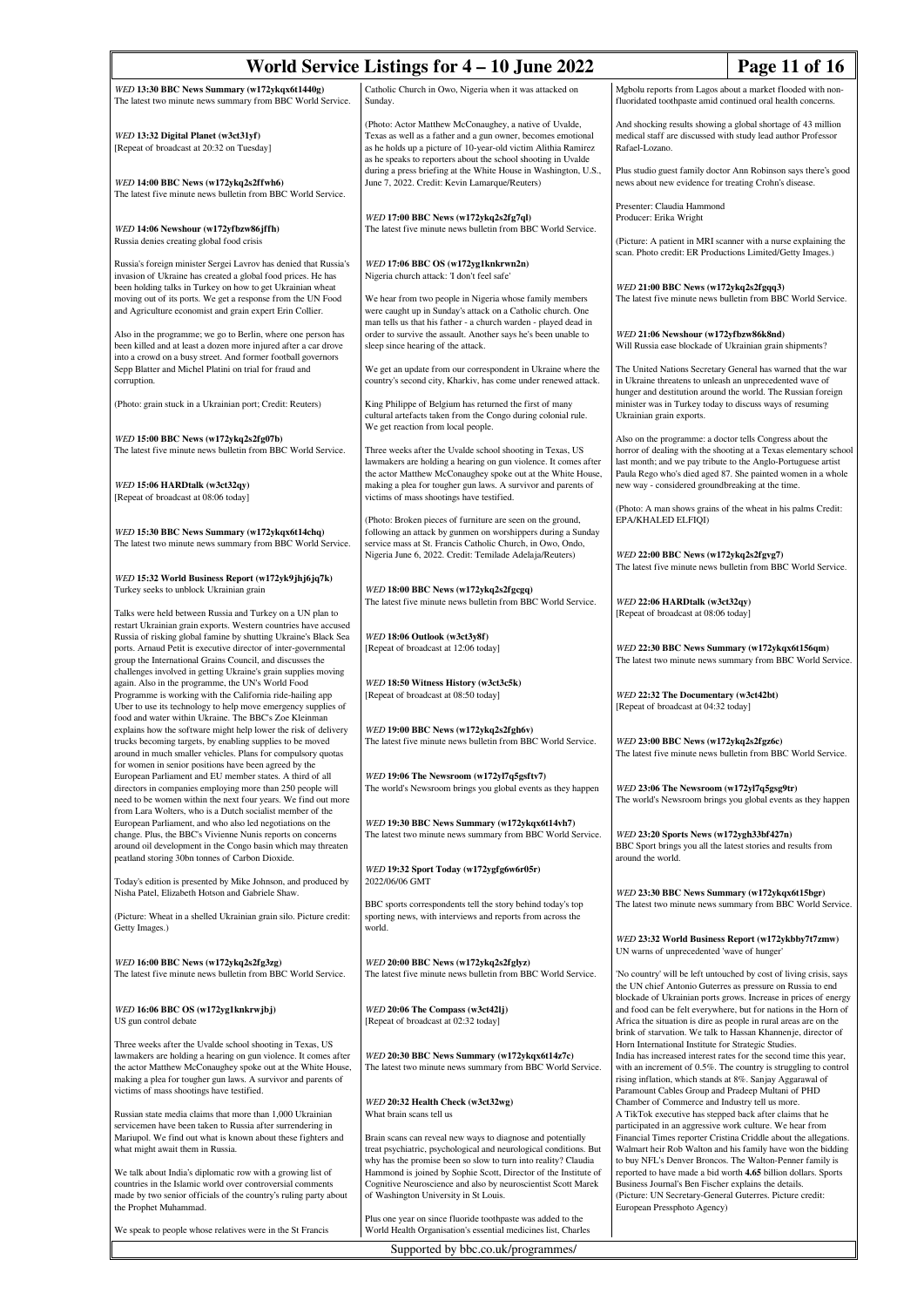| World Service Listings for 4 – 10 June 2022<br>Page 11 of 16                                                                                                                                                                                                                                               |                                                                                                                                                                                                    |                                                                                                                                                                                                                                                          |  |
|------------------------------------------------------------------------------------------------------------------------------------------------------------------------------------------------------------------------------------------------------------------------------------------------------------|----------------------------------------------------------------------------------------------------------------------------------------------------------------------------------------------------|----------------------------------------------------------------------------------------------------------------------------------------------------------------------------------------------------------------------------------------------------------|--|
| WED 13:30 BBC News Summary (w172ykqx6t1440g)                                                                                                                                                                                                                                                               | Catholic Church in Owo, Nigeria when it was attacked on                                                                                                                                            | Mgbolu reports from Lagos about a market flooded with non-                                                                                                                                                                                               |  |
| The latest two minute news summary from BBC World Service.<br>WED 13:32 Digital Planet (w3ct31yf)                                                                                                                                                                                                          | Sunday.<br>(Photo: Actor Matthew McConaughey, a native of Uvalde,<br>Texas as well as a father and a gun owner, becomes emotional                                                                  | fluoridated toothpaste amid continued oral health concerns.<br>And shocking results showing a global shortage of 43 million<br>medical staff are discussed with study lead author Professor                                                              |  |
| [Repeat of broadcast at 20:32 on Tuesday]                                                                                                                                                                                                                                                                  | as he holds up a picture of 10-year-old victim Alithia Ramirez<br>as he speaks to reporters about the school shooting in Uvalde<br>during a press briefing at the White House in Washington, U.S., | Rafael-Lozano.<br>Plus studio guest family doctor Ann Robinson says there's good                                                                                                                                                                         |  |
| WED 14:00 BBC News (w172ykq2s2ffwh6)<br>The latest five minute news bulletin from BBC World Service.                                                                                                                                                                                                       | June 7, 2022. Credit: Kevin Lamarque/Reuters)                                                                                                                                                      | news about new evidence for treating Crohn's disease.<br>Presenter: Claudia Hammond                                                                                                                                                                      |  |
| WED 14:06 Newshour (w172yfbzw86jffh)<br>Russia denies creating global food crisis                                                                                                                                                                                                                          | WED 17:00 BBC News (w172ykq2s2fg7ql)<br>The latest five minute news bulletin from BBC World Service.                                                                                               | Producer: Erika Wright<br>(Picture: A patient in MRI scanner with a nurse explaining the                                                                                                                                                                 |  |
| Russia's foreign minister Sergei Lavrov has denied that Russia's                                                                                                                                                                                                                                           | WED 17:06 BBC OS (w172yg1knkrwn2n)                                                                                                                                                                 | scan. Photo credit: ER Productions Limited/Getty Images.)                                                                                                                                                                                                |  |
| invasion of Ukraine has created a global food prices. He has<br>been holding talks in Turkey on how to get Ukrainian wheat<br>moving out of its ports. We get a response from the UN Food                                                                                                                  | Nigeria church attack: 'I don't feel safe'<br>We hear from two people in Nigeria whose family members                                                                                              | WED 21:00 BBC News (w172ykq2s2fgqq3)<br>The latest five minute news bulletin from BBC World Service.                                                                                                                                                     |  |
| and Agriculture economist and grain expert Erin Collier.<br>Also in the programme; we go to Berlin, where one person has                                                                                                                                                                                   | were caught up in Sunday's attack on a Catholic church. One<br>man tells us that his father - a church warden - played dead in<br>order to survive the assault. Another says he's been unable to   | WED 21:06 Newshour (w172yfbzw86k8nd)                                                                                                                                                                                                                     |  |
| been killed and at least a dozen more injured after a car drove<br>into a crowd on a busy street. And former football governors<br>Sepp Blatter and Michel Platini on trial for fraud and                                                                                                                  | sleep since hearing of the attack.<br>We get an update from our correspondent in Ukraine where the                                                                                                 | Will Russia ease blockade of Ukrainian grain shipments?<br>The United Nations Secretary General has warned that the war                                                                                                                                  |  |
| corruption.<br>(Photo: grain stuck in a Ukrainian port; Credit: Reuters)                                                                                                                                                                                                                                   | country's second city, Kharkiv, has come under renewed attack.<br>King Philippe of Belgium has returned the first of many                                                                          | in Ukraine threatens to unleash an unprecedented wave of<br>hunger and destitution around the world. The Russian foreign<br>minister was in Turkey today to discuss ways of resuming                                                                     |  |
| WED 15:00 BBC News (w172ykq2s2fg07b)                                                                                                                                                                                                                                                                       | cultural artefacts taken from the Congo during colonial rule.<br>We get reaction from local people.                                                                                                | Ukrainian grain exports.<br>Also on the programme: a doctor tells Congress about the                                                                                                                                                                     |  |
| The latest five minute news bulletin from BBC World Service.                                                                                                                                                                                                                                               | Three weeks after the Uvalde school shooting in Texas, US<br>lawmakers are holding a hearing on gun violence. It comes after<br>the actor Matthew McConaughey spoke out at the White House,        | horror of dealing with the shooting at a Texas elementary school<br>last month; and we pay tribute to the Anglo-Portuguese artist<br>Paula Rego who's died aged 87. She painted women in a whole                                                         |  |
| WED 15:06 HARDtalk (w3ct32qy)<br>[Repeat of broadcast at 08:06 today]                                                                                                                                                                                                                                      | making a plea for tougher gun laws. A survivor and parents of<br>victims of mass shootings have testified.                                                                                         | new way - considered groundbreaking at the time.<br>(Photo: A man shows grains of the wheat in his palms Credit:                                                                                                                                         |  |
| WED 15:30 BBC News Summary (w172ykqx6t14chq)<br>The latest two minute news summary from BBC World Service.                                                                                                                                                                                                 | (Photo: Broken pieces of furniture are seen on the ground,<br>following an attack by gunmen on worshippers during a Sunday<br>service mass at St. Francis Catholic Church, in Owo, Ondo,           | EPA/KHALED ELFIQI)                                                                                                                                                                                                                                       |  |
| WED 15:32 World Business Report (w172yk9jhj6jq7k)                                                                                                                                                                                                                                                          | Nigeria June 6, 2022. Credit: Temilade Adelaja/Reuters)<br>WED 18:00 BBC News (w172ykq2s2fgcgq)                                                                                                    | WED 22:00 BBC News (w172ykq2s2fgvg7)<br>The latest five minute news bulletin from BBC World Service.                                                                                                                                                     |  |
| Turkey seeks to unblock Ukrainian grain<br>Talks were held between Russia and Turkey on a UN plan to                                                                                                                                                                                                       | The latest five minute news bulletin from BBC World Service.                                                                                                                                       | WED 22:06 HARDtalk (w3ct32qy)<br>[Repeat of broadcast at 08:06 today]                                                                                                                                                                                    |  |
| restart Ukrainian grain exports. Western countries have accused<br>Russia of risking global famine by shutting Ukraine's Black Sea<br>ports. Arnaud Petit is executive director of inter-governmental<br>group the International Grains Council, and discusses the                                         | WED 18:06 Outlook (w3ct3y8f)<br>[Repeat of broadcast at 12:06 today]                                                                                                                               | WED 22:30 BBC News Summary (w172ykqx6t156qm)<br>The latest two minute news summary from BBC World Service.                                                                                                                                               |  |
| challenges involved in getting Ukraine's grain supplies moving<br>again. Also in the programme, the UN's World Food<br>Programme is working with the California ride-hailing app<br>Uber to use its technology to help move emergency supplies of<br>food and water within Ukraine. The BBC's Zoe Kleinman | WED 18:50 Witness History (w3ct3c5k)<br>[Repeat of broadcast at 08:50 today]                                                                                                                       | WED 22:32 The Documentary (w3ct42bt)<br>[Repeat of broadcast at 04:32 today]                                                                                                                                                                             |  |
| explains how the software might help lower the risk of delivery<br>trucks becoming targets, by enabling supplies to be moved<br>around in much smaller vehicles. Plans for compulsory quotas<br>for women in senior positions have been agreed by the                                                      | WED 19:00 BBC News (w172ykq2s2fgh6v)<br>The latest five minute news bulletin from BBC World Service.                                                                                               | WED 23:00 BBC News (w172ykq2s2fgz6c)<br>The latest five minute news bulletin from BBC World Service.                                                                                                                                                     |  |
| European Parliament and EU member states. A third of all<br>directors in companies employing more than 250 people will<br>need to be women within the next four years. We find out more<br>from Lara Wolters, who is a Dutch socialist member of the                                                       | WED 19:06 The Newsroom (w172yl7q5gsftv7)<br>The world's Newsroom brings you global events as they happen                                                                                           | WED 23:06 The Newsroom (w172yl7q5gsg9tr)<br>The world's Newsroom brings you global events as they happen                                                                                                                                                 |  |
| European Parliament, and who also led negotiations on the<br>change. Plus, the BBC's Vivienne Nunis reports on concerns<br>around oil development in the Congo basin which may threaten<br>peatland storing 30bn tonnes of Carbon Dioxide.                                                                 | WED 19:30 BBC News Summary (w172ykqx6t14vh7)<br>The latest two minute news summary from BBC World Service.                                                                                         | WED 23:20 Sports News (w172ygh33bf427n)<br>BBC Sport brings you all the latest stories and results from<br>around the world.                                                                                                                             |  |
| Today's edition is presented by Mike Johnson, and produced by<br>Nisha Patel, Elizabeth Hotson and Gabriele Shaw.                                                                                                                                                                                          | WED 19:32 Sport Today (w172ygfg6w6r05r)<br>2022/06/06 GMT                                                                                                                                          | WED 23:30 BBC News Summary (w172ykqx6t15bgr)                                                                                                                                                                                                             |  |
| (Picture: Wheat in a shelled Ukrainian grain silo. Picture credit:<br>Getty Images.)                                                                                                                                                                                                                       | BBC sports correspondents tell the story behind today's top<br>sporting news, with interviews and reports from across the<br>world.                                                                | The latest two minute news summary from BBC World Service.                                                                                                                                                                                               |  |
|                                                                                                                                                                                                                                                                                                            |                                                                                                                                                                                                    | WED 23:32 World Business Report (w172ykbby7t7zmw)<br>UN warns of unprecedented 'wave of hunger'                                                                                                                                                          |  |
| WED 16:00 BBC News (w172ykq2s2fg3zg)<br>The latest five minute news bulletin from BBC World Service.                                                                                                                                                                                                       | WED 20:00 BBC News (w172ykq2s2fglyz)<br>The latest five minute news bulletin from BBC World Service.                                                                                               | 'No country' will be left untouched by cost of living crisis, says<br>the UN chief Antonio Guterres as pressure on Russia to end<br>blockade of Ukrainian ports grows. Increase in prices of energy                                                      |  |
| WED 16:06 BBC OS (w172yg1knkrwjbj)<br>US gun control debate                                                                                                                                                                                                                                                | WED 20:06 The Compass (w3ct42lj)<br>[Repeat of broadcast at 02:32 today]                                                                                                                           | and food can be felt everywhere, but for nations in the Horn of<br>Africa the situation is dire as people in rural areas are on the<br>brink of starvation. We talk to Hassan Khannenje, director of                                                     |  |
| Three weeks after the Uvalde school shooting in Texas, US<br>lawmakers are holding a hearing on gun violence. It comes after<br>the actor Matthew McConaughey spoke out at the White House,<br>making a plea for tougher gun laws. A survivor and parents of                                               | WED 20:30 BBC News Summary (w172ykqx6t14z7c)<br>The latest two minute news summary from BBC World Service.                                                                                         | Horn International Institute for Strategic Studies.<br>India has increased interest rates for the second time this year,<br>with an increment of 0.5%. The country is struggling to control<br>rising inflation, which stands at 8%. Sanjay Aggarawal of |  |
| victims of mass shootings have testified.<br>Russian state media claims that more than 1,000 Ukrainian                                                                                                                                                                                                     | WED 20:32 Health Check (w3ct32wg)<br>What brain scans tell us                                                                                                                                      | Paramount Cables Group and Pradeep Multani of PHD<br>Chamber of Commerce and Industry tell us more.<br>A TikTok executive has stepped back after claims that he                                                                                          |  |
| servicemen have been taken to Russia after surrendering in<br>Mariupol. We find out what is known about these fighters and<br>what might await them in Russia.                                                                                                                                             | Brain scans can reveal new ways to diagnose and potentially<br>treat psychiatric, psychological and neurological conditions. But                                                                   | participated in an aggressive work culture. We hear from<br>Financial Times reporter Cristina Criddle about the allegations.<br>Walmart heir Rob Walton and his family have won the bidding                                                              |  |
| We talk about India's diplomatic row with a growing list of                                                                                                                                                                                                                                                | why has the promise been so slow to turn into reality? Claudia<br>Hammond is joined by Sophie Scott, Director of the Institute of                                                                  | to buy NFL's Denver Broncos. The Walton-Penner family is<br>reported to have made a bid worth 4.65 billion dollars. Sports                                                                                                                               |  |
| countries in the Islamic world over controversial comments<br>made by two senior officials of the country's ruling party about<br>the Prophet Muhammad.                                                                                                                                                    | Cognitive Neuroscience and also by neuroscientist Scott Marek<br>of Washington University in St Louis.                                                                                             | Business Journal's Ben Fischer explains the details.<br>(Picture: UN Secretary-General Guterres. Picture credit:<br>European Pressphoto Agency)                                                                                                          |  |
| We speak to people whose relatives were in the St Francis                                                                                                                                                                                                                                                  | Plus one year on since fluoride toothpaste was added to the<br>World Health Organisation's essential medicines list, Charles                                                                       |                                                                                                                                                                                                                                                          |  |
| Supported by bbc.co.uk/programmes/                                                                                                                                                                                                                                                                         |                                                                                                                                                                                                    |                                                                                                                                                                                                                                                          |  |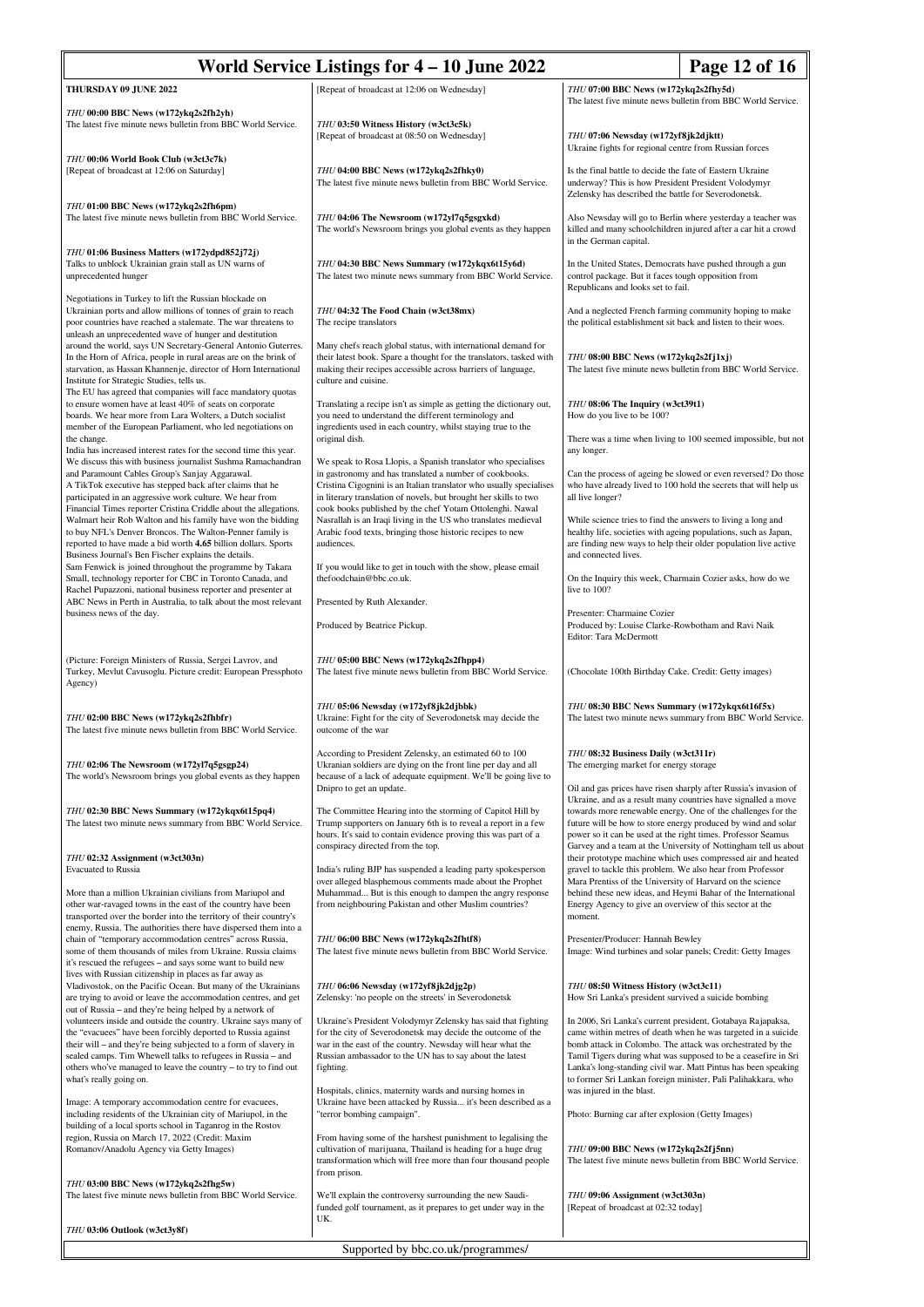| World Service Listings for 4 – 10 June 2022<br>Page 12 of 16                                                                                                                                                                                                                                                                                                     |                                                                                                                                                                                                                                                                     |                                                                                                                                                                                                                                                                                                                                                                                                |
|------------------------------------------------------------------------------------------------------------------------------------------------------------------------------------------------------------------------------------------------------------------------------------------------------------------------------------------------------------------|---------------------------------------------------------------------------------------------------------------------------------------------------------------------------------------------------------------------------------------------------------------------|------------------------------------------------------------------------------------------------------------------------------------------------------------------------------------------------------------------------------------------------------------------------------------------------------------------------------------------------------------------------------------------------|
| THURSDAY 09 JUNE 2022                                                                                                                                                                                                                                                                                                                                            | [Repeat of broadcast at 12:06 on Wednesday]                                                                                                                                                                                                                         | THU 07:00 BBC News (w172ykq2s2fhy5d)<br>The latest five minute news bulletin from BBC World Service.                                                                                                                                                                                                                                                                                           |
| THU 00:00 BBC News (w172ykq2s2fh2yh)<br>The latest five minute news bulletin from BBC World Service.                                                                                                                                                                                                                                                             | THU 03:50 Witness History (w3ct3c5k)<br>[Repeat of broadcast at 08:50 on Wednesday]                                                                                                                                                                                 | THU 07:06 Newsday (w172yf8jk2djktt)                                                                                                                                                                                                                                                                                                                                                            |
| THU 00:06 World Book Club (w3ct3c7k)<br>[Repeat of broadcast at 12:06 on Saturday]                                                                                                                                                                                                                                                                               | THU 04:00 BBC News (w172ykq2s2fhky0)<br>The latest five minute news bulletin from BBC World Service.                                                                                                                                                                | Ukraine fights for regional centre from Russian forces<br>Is the final battle to decide the fate of Eastern Ukraine<br>underway? This is how President President Volodymyr                                                                                                                                                                                                                     |
| THU 01:00 BBC News (w172ykq2s2fh6pm)<br>The latest five minute news bulletin from BBC World Service.                                                                                                                                                                                                                                                             | THU 04:06 The Newsroom (w172yl7q5gsgxkd)<br>The world's Newsroom brings you global events as they happen                                                                                                                                                            | Zelensky has described the battle for Severodonetsk.<br>Also Newsday will go to Berlin where yesterday a teacher was<br>killed and many schoolchildren injured after a car hit a crowd                                                                                                                                                                                                         |
| THU 01:06 Business Matters (w172ydpd852j72j)<br>Talks to unblock Ukrainian grain stall as UN warns of<br>unprecedented hunger                                                                                                                                                                                                                                    | THU 04:30 BBC News Summary (w172ykqx6t15y6d)<br>The latest two minute news summary from BBC World Service.                                                                                                                                                          | in the German capital.<br>In the United States, Democrats have pushed through a gun<br>control package. But it faces tough opposition from<br>Republicans and looks set to fail.                                                                                                                                                                                                               |
| Negotiations in Turkey to lift the Russian blockade on<br>Ukrainian ports and allow millions of tonnes of grain to reach<br>poor countries have reached a stalemate. The war threatens to                                                                                                                                                                        | THU 04:32 The Food Chain (w3ct38mx)<br>The recipe translators                                                                                                                                                                                                       | And a neglected French farming community hoping to make<br>the political establishment sit back and listen to their woes.                                                                                                                                                                                                                                                                      |
| unleash an unprecedented wave of hunger and destitution<br>around the world, says UN Secretary-General Antonio Guterres.<br>In the Horn of Africa, people in rural areas are on the brink of<br>starvation, as Hassan Khannenje, director of Horn International<br>Institute for Strategic Studies, tells us.                                                    | Many chefs reach global status, with international demand for<br>their latest book. Spare a thought for the translators, tasked with<br>making their recipes accessible across barriers of language,<br>culture and cuisine.                                        | THU 08:00 BBC News (w172ykq2s2fj1xj)<br>The latest five minute news bulletin from BBC World Service.                                                                                                                                                                                                                                                                                           |
| The EU has agreed that companies will face mandatory quotas<br>to ensure women have at least 40% of seats on corporate<br>boards. We hear more from Lara Wolters, a Dutch socialist<br>member of the European Parliament, who led negotiations on                                                                                                                | Translating a recipe isn't as simple as getting the dictionary out,<br>you need to understand the different terminology and<br>ingredients used in each country, whilst staying true to the                                                                         | THU 08:06 The Inquiry (w3ct39t1)<br>How do you live to be 100?                                                                                                                                                                                                                                                                                                                                 |
| the change.<br>India has increased interest rates for the second time this year.<br>We discuss this with business journalist Sushma Ramachandran                                                                                                                                                                                                                 | original dish.<br>We speak to Rosa Llopis, a Spanish translator who specialises                                                                                                                                                                                     | There was a time when living to 100 seemed impossible, but no<br>any longer.                                                                                                                                                                                                                                                                                                                   |
| and Paramount Cables Group's Sanjay Aggarawal.<br>A TikTok executive has stepped back after claims that he<br>participated in an aggressive work culture. We hear from<br>Financial Times reporter Cristina Criddle about the allegations.                                                                                                                       | in gastronomy and has translated a number of cookbooks.<br>Cristina Cigognini is an Italian translator who usually specialises<br>in literary translation of novels, but brought her skills to two<br>cook books published by the chef Yotam Ottolenghi. Nawal      | Can the process of ageing be slowed or even reversed? Do those<br>who have already lived to 100 hold the secrets that will help us<br>all live longer?                                                                                                                                                                                                                                         |
| Walmart heir Rob Walton and his family have won the bidding<br>to buy NFL's Denver Broncos. The Walton-Penner family is<br>reported to have made a bid worth 4.65 billion dollars. Sports<br>Business Journal's Ben Fischer explains the details.                                                                                                                | Nasrallah is an Iraqi living in the US who translates medieval<br>Arabic food texts, bringing those historic recipes to new<br>audiences.                                                                                                                           | While science tries to find the answers to living a long and<br>healthy life, societies with ageing populations, such as Japan,<br>are finding new ways to help their older population live active<br>and connected lives.                                                                                                                                                                     |
| Sam Fenwick is joined throughout the programme by Takara<br>Small, technology reporter for CBC in Toronto Canada, and<br>Rachel Pupazzoni, national business reporter and presenter at                                                                                                                                                                           | If you would like to get in touch with the show, please email<br>thefoodchain@bbc.co.uk.                                                                                                                                                                            | On the Inquiry this week, Charmain Cozier asks, how do we<br>live to 100?                                                                                                                                                                                                                                                                                                                      |
| ABC News in Perth in Australia, to talk about the most relevant<br>business news of the day.                                                                                                                                                                                                                                                                     | Presented by Ruth Alexander.                                                                                                                                                                                                                                        | Presenter: Charmaine Cozier                                                                                                                                                                                                                                                                                                                                                                    |
|                                                                                                                                                                                                                                                                                                                                                                  | Produced by Beatrice Pickup.                                                                                                                                                                                                                                        | Produced by: Louise Clarke-Rowbotham and Ravi Naik<br>Editor: Tara McDermott                                                                                                                                                                                                                                                                                                                   |
| (Picture: Foreign Ministers of Russia, Sergei Lavrov, and<br>Turkey, Mevlut Cavusoglu. Picture credit: European Pressphoto<br>Agency)                                                                                                                                                                                                                            | THU 05:00 BBC News (w172ykq2s2fhpp4)<br>The latest five minute news bulletin from BBC World Service.                                                                                                                                                                | (Chocolate 100th Birthday Cake. Credit: Getty images)                                                                                                                                                                                                                                                                                                                                          |
| THU 02:00 BBC News (w172ykq2s2fhbfr)<br>The latest five minute news bulletin from BBC World Service.                                                                                                                                                                                                                                                             | THU 05:06 Newsday (w172yf8jk2djbbk)<br>Ukraine: Fight for the city of Severodonetsk may decide the<br>outcome of the war                                                                                                                                            | THU 08:30 BBC News Summary (w172ykqx6t16f5x)<br>The latest two minute news summary from BBC World Service                                                                                                                                                                                                                                                                                      |
| THU 02:06 The Newsroom (w172yl7q5gsgp24)<br>The world's Newsroom brings you global events as they happen                                                                                                                                                                                                                                                         | According to President Zelensky, an estimated 60 to 100<br>Ukranian soldiers are dying on the front line per day and all<br>because of a lack of adequate equipment. We'll be going live to<br>Dnipro to get an update.                                             | THU 08:32 Business Daily (w3ct311r)<br>The emerging market for energy storage<br>Oil and gas prices have risen sharply after Russia's invasion of                                                                                                                                                                                                                                              |
| THU 02:30 BBC News Summary (w172ykqx6t15pq4)<br>The latest two minute news summary from BBC World Service.                                                                                                                                                                                                                                                       | The Committee Hearing into the storming of Capitol Hill by<br>Trump supporters on January 6th is to reveal a report in a few<br>hours. It's said to contain evidence proving this was part of a<br>conspiracy directed from the top.                                | Ukraine, and as a result many countries have signalled a move<br>towards more renewable energy. One of the challenges for the<br>future will be how to store energy produced by wind and solar<br>power so it can be used at the right times. Professor Seamus<br>Garvey and a team at the University of Nottingham tell us about                                                              |
| THU 02:32 Assignment (w3ct303n)<br>Evacuated to Russia                                                                                                                                                                                                                                                                                                           | India's ruling BJP has suspended a leading party spokesperson                                                                                                                                                                                                       | their prototype machine which uses compressed air and heated<br>gravel to tackle this problem. We also hear from Professor                                                                                                                                                                                                                                                                     |
| More than a million Ukrainian civilians from Mariupol and<br>other war-ravaged towns in the east of the country have been<br>transported over the border into the territory of their country's                                                                                                                                                                   | over alleged blasphemous comments made about the Prophet<br>Muhammad But is this enough to dampen the angry response<br>from neighbouring Pakistan and other Muslim countries?                                                                                      | Mara Prentiss of the University of Harvard on the science<br>behind these new ideas, and Heymi Bahar of the International<br>Energy Agency to give an overview of this sector at the<br>moment.                                                                                                                                                                                                |
| enemy, Russia. The authorities there have dispersed them into a<br>chain of "temporary accommodation centres" across Russia,<br>some of them thousands of miles from Ukraine. Russia claims<br>it's rescued the refugees – and says some want to build new                                                                                                       | THU 06:00 BBC News (w172ykq2s2fhtf8)<br>The latest five minute news bulletin from BBC World Service.                                                                                                                                                                | Presenter/Producer: Hannah Bewley<br>Image: Wind turbines and solar panels; Credit: Getty Images                                                                                                                                                                                                                                                                                               |
| lives with Russian citizenship in places as far away as<br>Vladivostok, on the Pacific Ocean. But many of the Ukrainians<br>are trying to avoid or leave the accommodation centres, and get<br>out of Russia – and they're being helped by a network of                                                                                                          | THU 06:06 Newsday (w172yf8jk2djg2p)<br>Zelensky: 'no people on the streets' in Severodonetsk                                                                                                                                                                        | THU 08:50 Witness History (w3ct3c11)<br>How Sri Lanka's president survived a suicide bombing                                                                                                                                                                                                                                                                                                   |
| volunteers inside and outside the country. Ukraine says many of<br>the "evacuees" have been forcibly deported to Russia against<br>their will – and they're being subjected to a form of slavery in<br>sealed camps. Tim Whewell talks to refugees in Russia - and<br>others who've managed to leave the country - to try to find out<br>what's really going on. | Ukraine's President Volodymyr Zelensky has said that fighting<br>for the city of Severodonetsk may decide the outcome of the<br>war in the east of the country. Newsday will hear what the<br>Russian ambassador to the UN has to say about the latest<br>fighting. | In 2006, Sri Lanka's current president, Gotabaya Rajapaksa,<br>came within metres of death when he was targeted in a suicide<br>bomb attack in Colombo. The attack was orchestrated by the<br>Tamil Tigers during what was supposed to be a ceasefire in Sri<br>Lanka's long-standing civil war. Matt Pintus has been speaking<br>to former Sri Lankan foreign minister, Pali Palihakkara, who |
| Image: A temporary accommodation centre for evacuees,<br>including residents of the Ukrainian city of Mariupol, in the                                                                                                                                                                                                                                           | Hospitals, clinics, maternity wards and nursing homes in<br>Ukraine have been attacked by Russia it's been described as a<br>"terror bombing campaign".                                                                                                             | was injured in the blast.<br>Photo: Burning car after explosion (Getty Images)                                                                                                                                                                                                                                                                                                                 |
| building of a local sports school in Taganrog in the Rostov<br>region, Russia on March 17, 2022 (Credit: Maxim<br>Romanov/Anadolu Agency via Getty Images)                                                                                                                                                                                                       | From having some of the harshest punishment to legalising the<br>cultivation of marijuana, Thailand is heading for a huge drug<br>transformation which will free more than four thousand people                                                                     | THU 09:00 BBC News (w172ykq2s2fj5nn)<br>The latest five minute news bulletin from BBC World Service.                                                                                                                                                                                                                                                                                           |
| THU 03:00 BBC News (w172ykq2s2fhg5w)<br>The latest five minute news bulletin from BBC World Service.                                                                                                                                                                                                                                                             | from prison.<br>We'll explain the controversy surrounding the new Saudi-<br>funded golf tournament, as it prepares to get under way in the                                                                                                                          | THU 09:06 Assignment (w3ct303n)<br>[Repeat of broadcast at 02:32 today]                                                                                                                                                                                                                                                                                                                        |
| THU 03:06 Outlook (w3ct3y8f)                                                                                                                                                                                                                                                                                                                                     | UK.                                                                                                                                                                                                                                                                 |                                                                                                                                                                                                                                                                                                                                                                                                |

Supported by bbc.co.uk/programmes/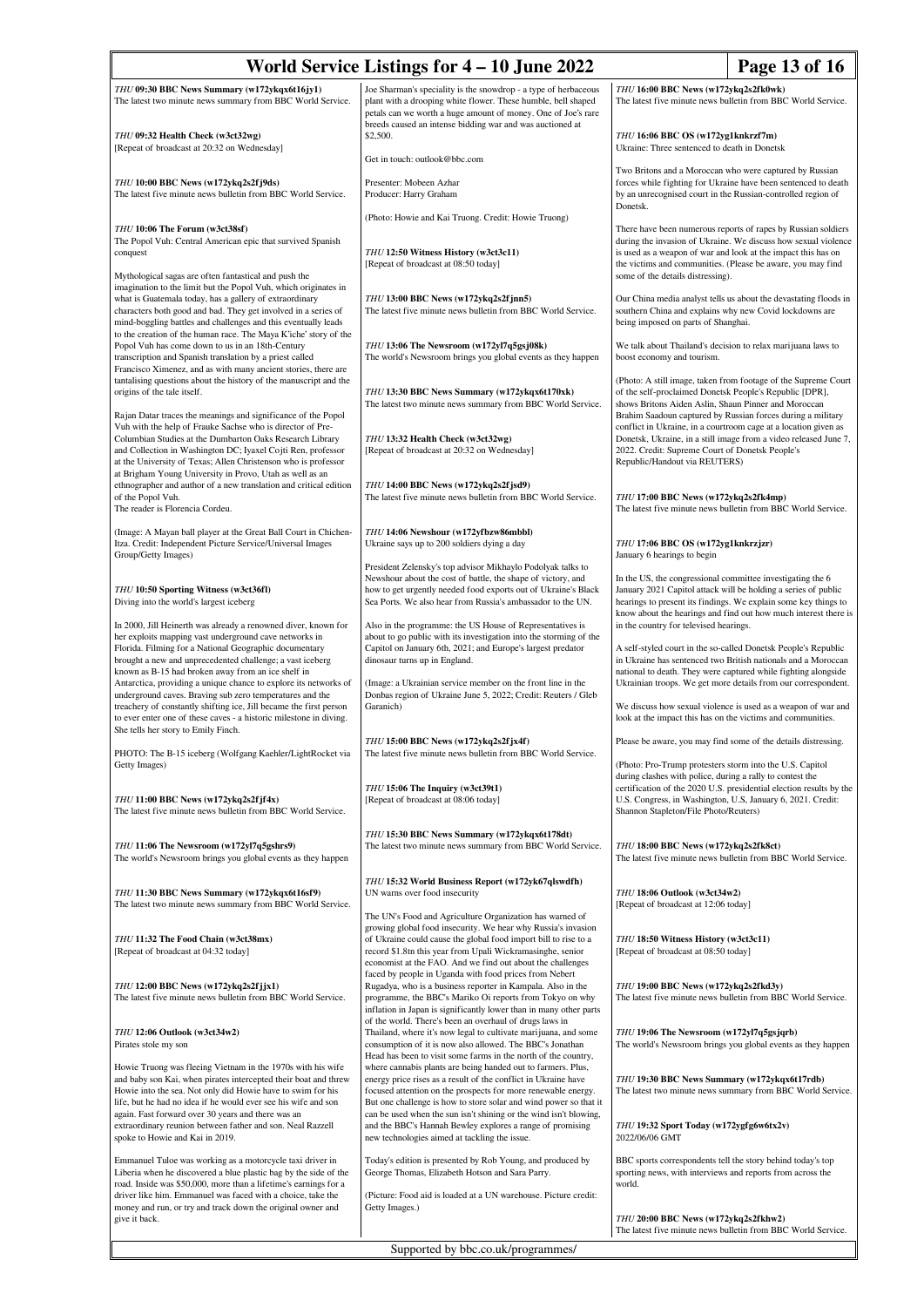| World Service Listings for 4 - 10 June 2022<br>Page 13 of 16                                                                                                                                                                                                                                                                   |                                                                                                                                                                                                                                                                                                                                           |                                                                                                                                                                                                                                                                    |  |
|--------------------------------------------------------------------------------------------------------------------------------------------------------------------------------------------------------------------------------------------------------------------------------------------------------------------------------|-------------------------------------------------------------------------------------------------------------------------------------------------------------------------------------------------------------------------------------------------------------------------------------------------------------------------------------------|--------------------------------------------------------------------------------------------------------------------------------------------------------------------------------------------------------------------------------------------------------------------|--|
| THU 09:30 BBC News Summary (w172ykqx6t16jy1)<br>The latest two minute news summary from BBC World Service.                                                                                                                                                                                                                     | Joe Sharman's speciality is the snowdrop - a type of herbaceous<br>plant with a drooping white flower. These humble, bell shaped<br>petals can we worth a huge amount of money. One of Joe's rare                                                                                                                                         | THU 16:00 BBC News (w172ykq2s2fk0wk)<br>The latest five minute news bulletin from BBC World Service.                                                                                                                                                               |  |
| THU 09:32 Health Check (w3ct32wg)<br>[Repeat of broadcast at 20:32 on Wednesday]                                                                                                                                                                                                                                               | breeds caused an intense bidding war and was auctioned at<br>\$2,500.                                                                                                                                                                                                                                                                     | THU 16:06 BBC OS (w172yg1knkrzf7m)<br>Ukraine: Three sentenced to death in Donetsk                                                                                                                                                                                 |  |
| THU 10:00 BBC News (w172ykq2s2fj9ds)                                                                                                                                                                                                                                                                                           | Get in touch: outlook@bbc.com<br>Presenter: Mobeen Azhar                                                                                                                                                                                                                                                                                  | Two Britons and a Moroccan who were captured by Russian<br>forces while fighting for Ukraine have been sentenced to death                                                                                                                                          |  |
| The latest five minute news bulletin from BBC World Service.                                                                                                                                                                                                                                                                   | Producer: Harry Graham<br>(Photo: Howie and Kai Truong. Credit: Howie Truong)                                                                                                                                                                                                                                                             | by an unrecognised court in the Russian-controlled region of<br>Donetsk.                                                                                                                                                                                           |  |
| THU 10:06 The Forum (w3ct38sf)<br>The Popol Vuh: Central American epic that survived Spanish<br>conquest                                                                                                                                                                                                                       | THU 12:50 Witness History (w3ct3c11)<br>[Repeat of broadcast at 08:50 today]                                                                                                                                                                                                                                                              | There have been numerous reports of rapes by Russian soldiers<br>during the invasion of Ukraine. We discuss how sexual violence<br>is used as a weapon of war and look at the impact this has on<br>the victims and communities. (Please be aware, you may find    |  |
| Mythological sagas are often fantastical and push the<br>imagination to the limit but the Popol Vuh, which originates in<br>what is Guatemala today, has a gallery of extraordinary<br>characters both good and bad. They get involved in a series of<br>mind-boggling battles and challenges and this eventually leads        | THU 13:00 BBC News (w172ykq2s2fjnn5)<br>The latest five minute news bulletin from BBC World Service.                                                                                                                                                                                                                                      | some of the details distressing).<br>Our China media analyst tells us about the devastating floods in<br>southern China and explains why new Covid lockdowns are<br>being imposed on parts of Shanghai.                                                            |  |
| to the creation of the human race. The Maya K'iche' story of the<br>Popol Vuh has come down to us in an 18th-Century<br>transcription and Spanish translation by a priest called<br>Francisco Ximenez, and as with many ancient stories, there are                                                                             | THU 13:06 The Newsroom (w172yl7q5gsj08k)<br>The world's Newsroom brings you global events as they happen                                                                                                                                                                                                                                  | We talk about Thailand's decision to relax marijuana laws to<br>boost economy and tourism.                                                                                                                                                                         |  |
| tantalising questions about the history of the manuscript and the<br>origins of the tale itself.<br>Rajan Datar traces the meanings and significance of the Popol                                                                                                                                                              | THU 13:30 BBC News Summary (w172ykqx6t170xk)<br>The latest two minute news summary from BBC World Service.                                                                                                                                                                                                                                | (Photo: A still image, taken from footage of the Supreme Court<br>of the self-proclaimed Donetsk People's Republic [DPR],<br>shows Britons Aiden Aslin, Shaun Pinner and Moroccan<br>Brahim Saadoun captured by Russian forces during a military                   |  |
| Vuh with the help of Frauke Sachse who is director of Pre-<br>Columbian Studies at the Dumbarton Oaks Research Library<br>and Collection in Washington DC; Iyaxel Cojti Ren, professor<br>at the University of Texas; Allen Christenson who is professor<br>at Brigham Young University in Provo, Utah as well as an           | THU 13:32 Health Check (w3ct32wg)<br>[Repeat of broadcast at 20:32 on Wednesday]                                                                                                                                                                                                                                                          | conflict in Ukraine, in a courtroom cage at a location given as<br>Donetsk, Ukraine, in a still image from a video released June 7,<br>2022. Credit: Supreme Court of Donetsk People's<br>Republic/Handout via REUTERS)                                            |  |
| ethnographer and author of a new translation and critical edition<br>of the Popol Vuh.<br>The reader is Florencia Cordeu.                                                                                                                                                                                                      | THU 14:00 BBC News (w172ykq2s2f jsd9)<br>The latest five minute news bulletin from BBC World Service.                                                                                                                                                                                                                                     | THU 17:00 BBC News (w172ykq2s2fk4mp)<br>The latest five minute news bulletin from BBC World Service.                                                                                                                                                               |  |
| (Image: A Mayan ball player at the Great Ball Court in Chichen-<br>Itza. Credit: Independent Picture Service/Universal Images<br>Group/Getty Images)                                                                                                                                                                           | THU 14:06 Newshour (w172yfbzw86mbbl)<br>Ukraine says up to 200 soldiers dying a day                                                                                                                                                                                                                                                       | THU 17:06 BBC OS (w172yg1knkrzjzr)<br>January 6 hearings to begin                                                                                                                                                                                                  |  |
| THU 10:50 Sporting Witness (w3ct36fl)<br>Diving into the world's largest iceberg                                                                                                                                                                                                                                               | President Zelensky's top advisor Mikhaylo Podolyak talks to<br>Newshour about the cost of battle, the shape of victory, and<br>how to get urgently needed food exports out of Ukraine's Black<br>Sea Ports. We also hear from Russia's ambassador to the UN.                                                                              | In the US, the congressional committee investigating the 6<br>January 2021 Capitol attack will be holding a series of public<br>hearings to present its findings. We explain some key things to<br>know about the hearings and find out how much interest there is |  |
| In 2000, Jill Heinerth was already a renowned diver, known for<br>her exploits mapping vast underground cave networks in<br>Florida. Filming for a National Geographic documentary<br>brought a new and unprecedented challenge; a vast iceberg                                                                                | Also in the programme: the US House of Representatives is<br>about to go public with its investigation into the storming of the<br>Capitol on January 6th, 2021; and Europe's largest predator<br>dinosaur turns up in England.                                                                                                           | in the country for televised hearings.<br>A self-styled court in the so-called Donetsk People's Republic<br>in Ukraine has sentenced two British nationals and a Moroccan                                                                                          |  |
| known as B-15 had broken away from an ice shelf in<br>Antarctica, providing a unique chance to explore its networks of<br>underground caves. Braving sub zero temperatures and the<br>treachery of constantly shifting ice, Jill became the first person<br>to ever enter one of these caves - a historic milestone in diving. | (Image: a Ukrainian service member on the front line in the<br>Donbas region of Ukraine June 5, 2022; Credit: Reuters / Gleb<br>Garanich)                                                                                                                                                                                                 | national to death. They were captured while fighting alongside<br>Ukrainian troops. We get more details from our correspondent.<br>We discuss how sexual violence is used as a weapon of war and<br>look at the impact this has on the victims and communities.    |  |
| She tells her story to Emily Finch.                                                                                                                                                                                                                                                                                            | THU 15:00 BBC News (w172ykq2s2fjx4f)                                                                                                                                                                                                                                                                                                      | Please be aware, you may find some of the details distressing.                                                                                                                                                                                                     |  |
| PHOTO: The B-15 iceberg (Wolfgang Kaehler/LightRocket via<br>Getty Images)<br>THU 11:00 BBC News (w172ykq2s2fjf4x)                                                                                                                                                                                                             | The latest five minute news bulletin from BBC World Service.<br>THU 15:06 The Inquiry (w3ct39t1)<br>[Repeat of broadcast at 08:06 today]                                                                                                                                                                                                  | (Photo: Pro-Trump protesters storm into the U.S. Capitol<br>during clashes with police, during a rally to contest the<br>certification of the 2020 U.S. presidential election results by the<br>U.S. Congress, in Washington, U.S. January 6, 2021. Credit:        |  |
| The latest five minute news bulletin from BBC World Service.                                                                                                                                                                                                                                                                   | THU 15:30 BBC News Summary (w172ykqx6t178dt)                                                                                                                                                                                                                                                                                              | Shannon Stapleton/File Photo/Reuters)                                                                                                                                                                                                                              |  |
| THU 11:06 The Newsroom (w172yl7q5gshrs9)<br>The world's Newsroom brings you global events as they happen                                                                                                                                                                                                                       | The latest two minute news summary from BBC World Service.                                                                                                                                                                                                                                                                                | THU 18:00 BBC News (w172ykq2s2fk8ct)<br>The latest five minute news bulletin from BBC World Service.                                                                                                                                                               |  |
| THU 11:30 BBC News Summary (w172ykqx6t16sf9)<br>The latest two minute news summary from BBC World Service.                                                                                                                                                                                                                     | THU 15:32 World Business Report (w172yk67qlswdfh)<br>UN warns over food insecurity<br>The UN's Food and Agriculture Organization has warned of                                                                                                                                                                                            | THU 18:06 Outlook (w3ct34w2)<br>[Repeat of broadcast at 12:06 today]                                                                                                                                                                                               |  |
| THU 11:32 The Food Chain (w3ct38mx)<br>[Repeat of broadcast at 04:32 today]                                                                                                                                                                                                                                                    | growing global food insecurity. We hear why Russia's invasion<br>of Ukraine could cause the global food import bill to rise to a<br>record \$1.8tn this year from Upali Wickramasinghe, senior<br>economist at the FAO. And we find out about the challenges                                                                              | THU 18:50 Witness History (w3ct3c11)<br>[Repeat of broadcast at 08:50 today]                                                                                                                                                                                       |  |
| THU 12:00 BBC News (w172ykq2s2fjjx1)<br>The latest five minute news bulletin from BBC World Service.                                                                                                                                                                                                                           | faced by people in Uganda with food prices from Nebert<br>Rugadya, who is a business reporter in Kampala. Also in the<br>programme, the BBC's Mariko Oi reports from Tokyo on why<br>inflation in Japan is significantly lower than in many other parts                                                                                   | THU 19:00 BBC News (w172ykq2s2fkd3y)<br>The latest five minute news bulletin from BBC World Service.                                                                                                                                                               |  |
| THU 12:06 Outlook (w3ct34w2)<br>Pirates stole my son                                                                                                                                                                                                                                                                           | of the world. There's been an overhaul of drugs laws in<br>Thailand, where it's now legal to cultivate marijuana, and some<br>consumption of it is now also allowed. The BBC's Jonathan<br>Head has been to visit some farms in the north of the country,                                                                                 | THU 19:06 The Newsroom (w172yl7q5gsjqrb)<br>The world's Newsroom brings you global events as they happen                                                                                                                                                           |  |
| Howie Truong was fleeing Vietnam in the 1970s with his wife<br>and baby son Kai, when pirates intercepted their boat and threw<br>Howie into the sea. Not only did Howie have to swim for his<br>life, but he had no idea if he would ever see his wife and son<br>again. Fast forward over 30 years and there was an          | where cannabis plants are being handed out to farmers. Plus,<br>energy price rises as a result of the conflict in Ukraine have<br>focused attention on the prospects for more renewable energy.<br>But one challenge is how to store solar and wind power so that it<br>can be used when the sun isn't shining or the wind isn't blowing, | THU 19:30 BBC News Summary (w172ykqx6t17rdb)<br>The latest two minute news summary from BBC World Service.                                                                                                                                                         |  |
| extraordinary reunion between father and son. Neal Razzell<br>spoke to Howie and Kai in 2019.                                                                                                                                                                                                                                  | and the BBC's Hannah Bewley explores a range of promising<br>new technologies aimed at tackling the issue.                                                                                                                                                                                                                                | THU 19:32 Sport Today (w172ygfg6w6tx2v)<br>2022/06/06 GMT                                                                                                                                                                                                          |  |
| Emmanuel Tuloe was working as a motorcycle taxi driver in<br>Liberia when he discovered a blue plastic bag by the side of the<br>road. Inside was \$50,000, more than a lifetime's earnings for a<br>driver like him. Emmanuel was faced with a choice, take the                                                               | Today's edition is presented by Rob Young, and produced by<br>George Thomas, Elizabeth Hotson and Sara Parry.<br>(Picture: Food aid is loaded at a UN warehouse. Picture credit:                                                                                                                                                          | BBC sports correspondents tell the story behind today's top<br>sporting news, with interviews and reports from across the<br>world.                                                                                                                                |  |
| money and run, or try and track down the original owner and<br>give it back.                                                                                                                                                                                                                                                   | Getty Images.)                                                                                                                                                                                                                                                                                                                            | THU 20:00 BBC News (w172ykq2s2fkhw2)<br>The latest five minute news bulletin from BBC World Service.                                                                                                                                                               |  |
| Supported by bbc.co.uk/programmes/                                                                                                                                                                                                                                                                                             |                                                                                                                                                                                                                                                                                                                                           |                                                                                                                                                                                                                                                                    |  |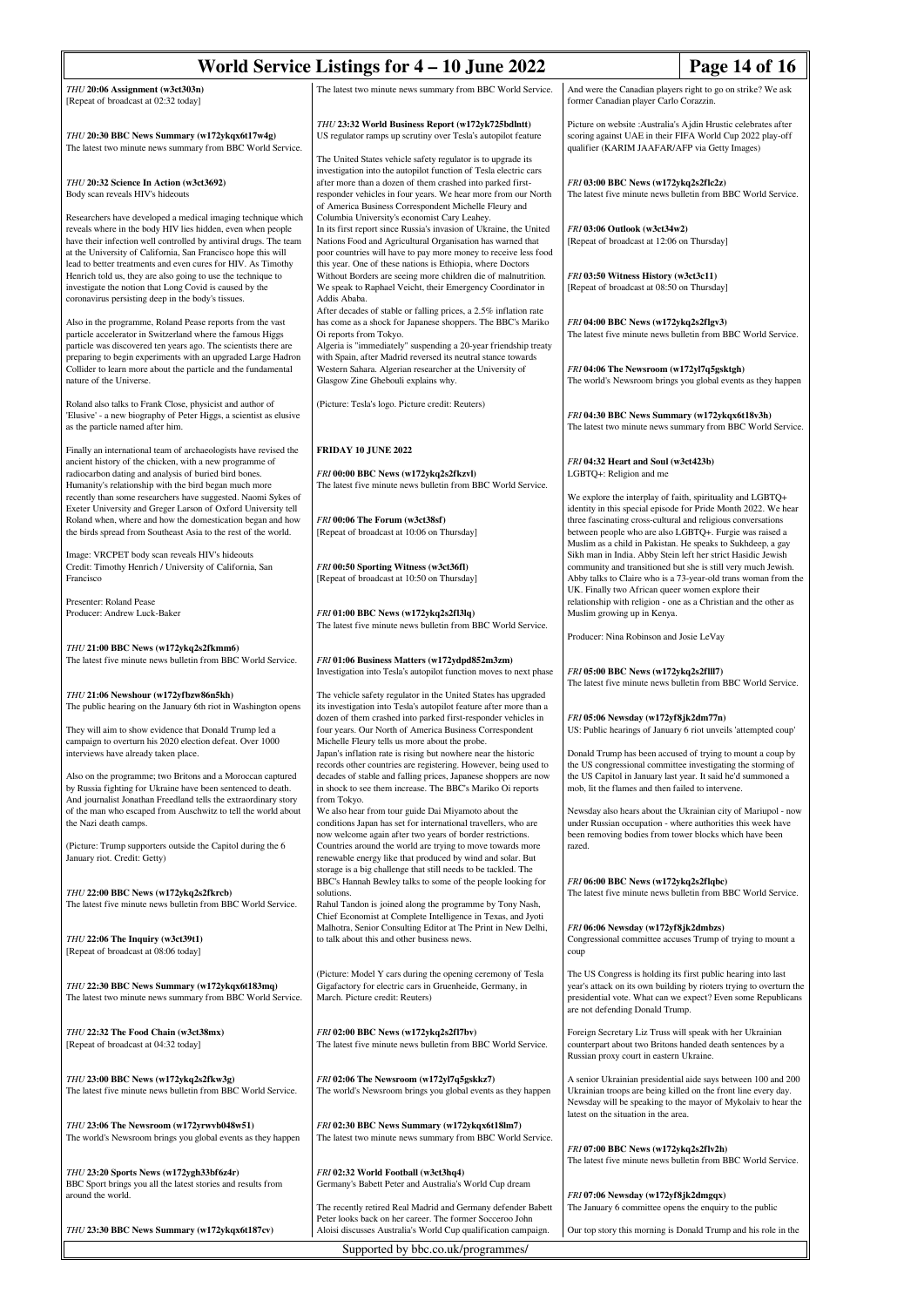| World Service Listings for $4 - 10$ June 2022                                                                                                                                                                                                                                                                               |                                                                                                                                                                                                                                                                                                                          | Page 14 of 16                                                                                                                                                                                                                                                                                                                                                                        |  |  |
|-----------------------------------------------------------------------------------------------------------------------------------------------------------------------------------------------------------------------------------------------------------------------------------------------------------------------------|--------------------------------------------------------------------------------------------------------------------------------------------------------------------------------------------------------------------------------------------------------------------------------------------------------------------------|--------------------------------------------------------------------------------------------------------------------------------------------------------------------------------------------------------------------------------------------------------------------------------------------------------------------------------------------------------------------------------------|--|--|
| THU 20:06 Assignment (w3ct303n)<br>[Repeat of broadcast at 02:32 today]                                                                                                                                                                                                                                                     | The latest two minute news summary from BBC World Service.                                                                                                                                                                                                                                                               | And were the Canadian players right to go on strike? We ask<br>former Canadian player Carlo Corazzin.                                                                                                                                                                                                                                                                                |  |  |
| THU 20:30 BBC News Summary (w172ykqx6t17w4g)<br>The latest two minute news summary from BBC World Service.                                                                                                                                                                                                                  | THU 23:32 World Business Report (w172yk725bdlntt)<br>US regulator ramps up scrutiny over Tesla's autopilot feature                                                                                                                                                                                                       | Picture on website : Australia's Ajdin Hrustic celebrates after<br>scoring against UAE in their FIFA World Cup 2022 play-off<br>qualifier (KARIM JAAFAR/AFP via Getty Images)                                                                                                                                                                                                        |  |  |
| THU 20:32 Science In Action (w3ct3692)<br>Body scan reveals HIV's hideouts                                                                                                                                                                                                                                                  | The United States vehicle safety regulator is to upgrade its<br>investigation into the autopilot function of Tesla electric cars<br>after more than a dozen of them crashed into parked first-<br>responder vehicles in four years. We hear more from our North<br>of America Business Correspondent Michelle Fleury and | FRI 03:00 BBC News (w172ykq2s2f1c2z)<br>The latest five minute news bulletin from BBC World Service.                                                                                                                                                                                                                                                                                 |  |  |
| Researchers have developed a medical imaging technique which<br>reveals where in the body HIV lies hidden, even when people<br>have their infection well controlled by antiviral drugs. The team<br>at the University of California, San Francisco hope this will                                                           | Columbia University's economist Cary Leahey.<br>In its first report since Russia's invasion of Ukraine, the United<br>Nations Food and Agricultural Organisation has warned that<br>poor countries will have to pay more money to receive less food                                                                      | FRI 03:06 Outlook (w3ct34w2)<br>[Repeat of broadcast at 12:06 on Thursday]<br>FRI 03:50 Witness History (w3ct3c11)<br>[Repeat of broadcast at 08:50 on Thursday]<br>FRI 04:00 BBC News (w172ykq2s2flgv3)<br>The latest five minute news bulletin from BBC World Service.<br>FRI 04:06 The Newsroom (w172yl7q5gsktgh)<br>The world's Newsroom brings you global events as they happen |  |  |
| lead to better treatments and even cures for HIV. As Timothy<br>Henrich told us, they are also going to use the technique to<br>investigate the notion that Long Covid is caused by the<br>coronavirus persisting deep in the body's tissues.                                                                               | this year. One of these nations is Ethiopia, where Doctors<br>Without Borders are seeing more children die of malnutrition.<br>We speak to Raphael Veicht, their Emergency Coordinator in<br>Addis Ababa.<br>After decades of stable or falling prices, a 2.5% inflation rate                                            |                                                                                                                                                                                                                                                                                                                                                                                      |  |  |
| Also in the programme, Roland Pease reports from the vast<br>particle accelerator in Switzerland where the famous Higgs<br>particle was discovered ten years ago. The scientists there are<br>preparing to begin experiments with an upgraded Large Hadron<br>Collider to learn more about the particle and the fundamental | has come as a shock for Japanese shoppers. The BBC's Mariko<br>Oi reports from Tokyo.<br>Algeria is "immediately" suspending a 20-year friendship treaty<br>with Spain, after Madrid reversed its neutral stance towards<br>Western Sahara. Algerian researcher at the University of                                     |                                                                                                                                                                                                                                                                                                                                                                                      |  |  |
| nature of the Universe.                                                                                                                                                                                                                                                                                                     | Glasgow Zine Ghebouli explains why.                                                                                                                                                                                                                                                                                      |                                                                                                                                                                                                                                                                                                                                                                                      |  |  |
| Roland also talks to Frank Close, physicist and author of<br>'Elusive' - a new biography of Peter Higgs, a scientist as elusive<br>as the particle named after him.                                                                                                                                                         | (Picture: Tesla's logo. Picture credit: Reuters)                                                                                                                                                                                                                                                                         | FRI 04:30 BBC News Summary (w172ykqx6t18v3h)<br>The latest two minute news summary from BBC World Service.                                                                                                                                                                                                                                                                           |  |  |
| Finally an international team of archaeologists have revised the<br>ancient history of the chicken, with a new programme of<br>radiocarbon dating and analysis of buried bird bones.                                                                                                                                        | <b>FRIDAY 10 JUNE 2022</b><br>FRI 00:00 BBC News (w172ykq2s2fkzvl)                                                                                                                                                                                                                                                       | FRI 04:32 Heart and Soul (w3ct423b)<br>LGBTQ+: Religion and me                                                                                                                                                                                                                                                                                                                       |  |  |
| Humanity's relationship with the bird began much more<br>recently than some researchers have suggested. Naomi Sykes of<br>Exeter University and Greger Larson of Oxford University tell                                                                                                                                     | The latest five minute news bulletin from BBC World Service.                                                                                                                                                                                                                                                             | We explore the interplay of faith, spirituality and LGBTQ+<br>identity in this special episode for Pride Month 2022. We hear                                                                                                                                                                                                                                                         |  |  |
| Roland when, where and how the domestication began and how<br>the birds spread from Southeast Asia to the rest of the world.                                                                                                                                                                                                | FRI 00:06 The Forum (w3ct38sf)<br>[Repeat of broadcast at 10:06 on Thursday]                                                                                                                                                                                                                                             | three fascinating cross-cultural and religious conversations<br>between people who are also LGBTQ+. Furgie was raised a<br>Muslim as a child in Pakistan. He speaks to Sukhdeep, a gay                                                                                                                                                                                               |  |  |
| Image: VRCPET body scan reveals HIV's hideouts<br>Credit: Timothy Henrich / University of California, San<br>Francisco                                                                                                                                                                                                      | FRI 00:50 Sporting Witness (w3ct36fl)<br>[Repeat of broadcast at 10:50 on Thursday]                                                                                                                                                                                                                                      | Sikh man in India. Abby Stein left her strict Hasidic Jewish<br>community and transitioned but she is still very much Jewish.<br>Abby talks to Claire who is a 73-year-old trans woman from the<br>UK. Finally two African queer women explore their                                                                                                                                 |  |  |
| Presenter: Roland Pease<br>Producer: Andrew Luck-Baker                                                                                                                                                                                                                                                                      | FRI 01:00 BBC News (w172ykq2s2f13lq)<br>The latest five minute news bulletin from BBC World Service.                                                                                                                                                                                                                     | relationship with religion - one as a Christian and the other as<br>Muslim growing up in Kenya.<br>Producer: Nina Robinson and Josie LeVay                                                                                                                                                                                                                                           |  |  |
| THU 21:00 BBC News (w172ykq2s2fkmm6)<br>The latest five minute news bulletin from BBC World Service.                                                                                                                                                                                                                        | FRI 01:06 Business Matters (w172ydpd852m3zm)<br>Investigation into Tesla's autopilot function moves to next phase                                                                                                                                                                                                        | FRI 05:00 BBC News (w172ykq2s2f1ll7)<br>The latest five minute news bulletin from BBC World Service.                                                                                                                                                                                                                                                                                 |  |  |
| THU 21:06 Newshour (w172yfbzw86n5kh)<br>The public hearing on the January 6th riot in Washington opens                                                                                                                                                                                                                      | The vehicle safety regulator in the United States has upgraded<br>its investigation into Tesla's autopilot feature after more than a<br>dozen of them crashed into parked first-responder vehicles in                                                                                                                    | FRI 05:06 Newsday (w172yf8jk2dm77n)                                                                                                                                                                                                                                                                                                                                                  |  |  |
| They will aim to show evidence that Donald Trump led a<br>campaign to overturn his 2020 election defeat. Over 1000<br>interviews have already taken place.                                                                                                                                                                  | four years. Our North of America Business Correspondent<br>Michelle Fleury tells us more about the probe.<br>Japan's inflation rate is rising but nowhere near the historic<br>records other countries are registering. However, being used to                                                                           | US: Public hearings of January 6 riot unveils 'attempted coup'<br>Donald Trump has been accused of trying to mount a coup by<br>the US congressional committee investigating the storming of<br>the US Capitol in January last year. It said he'd summoned a<br>mob, lit the flames and then failed to intervene.<br>Newsday also hears about the Ukrainian city of Mariupol - now   |  |  |
| Also on the programme; two Britons and a Moroccan captured<br>by Russia fighting for Ukraine have been sentenced to death.<br>And journalist Jonathan Freedland tells the extraordinary story<br>of the man who escaped from Auschwitz to tell the world about                                                              | decades of stable and falling prices, Japanese shoppers are now<br>in shock to see them increase. The BBC's Mariko Oi reports<br>from Tokyo.<br>We also hear from tour guide Dai Miyamoto about the                                                                                                                      |                                                                                                                                                                                                                                                                                                                                                                                      |  |  |
| the Nazi death camps.<br>(Picture: Trump supporters outside the Capitol during the 6                                                                                                                                                                                                                                        | conditions Japan has set for international travellers, who are<br>now welcome again after two years of border restrictions.<br>Countries around the world are trying to move towards more                                                                                                                                | under Russian occupation - where authorities this week have<br>been removing bodies from tower blocks which have been<br>razed.                                                                                                                                                                                                                                                      |  |  |
| January riot. Credit: Getty)<br>THU 22:00 BBC News (w172ykq2s2fkrcb)                                                                                                                                                                                                                                                        | renewable energy like that produced by wind and solar. But<br>storage is a big challenge that still needs to be tackled. The<br>BBC's Hannah Bewley talks to some of the people looking for<br>solutions.                                                                                                                | FRI 06:00 BBC News (w172ykq2s2flqbc)<br>The latest five minute news bulletin from BBC World Service.                                                                                                                                                                                                                                                                                 |  |  |
| The latest five minute news bulletin from BBC World Service.<br>THU 22:06 The Inquiry (w3ct39t1)                                                                                                                                                                                                                            | Rahul Tandon is joined along the programme by Tony Nash,<br>Chief Economist at Complete Intelligence in Texas, and Jyoti<br>Malhotra, Senior Consulting Editor at The Print in New Delhi,<br>to talk about this and other business news.                                                                                 | FRI 06:06 Newsday (w172yf8jk2dmbzs)<br>Congressional committee accuses Trump of trying to mount a                                                                                                                                                                                                                                                                                    |  |  |
| [Repeat of broadcast at 08:06 today]                                                                                                                                                                                                                                                                                        |                                                                                                                                                                                                                                                                                                                          | coup                                                                                                                                                                                                                                                                                                                                                                                 |  |  |
| THU 22:30 BBC News Summary (w172ykqx6t183mq)<br>The latest two minute news summary from BBC World Service.                                                                                                                                                                                                                  | (Picture: Model Y cars during the opening ceremony of Tesla<br>Gigafactory for electric cars in Gruenheide, Germany, in<br>March. Picture credit: Reuters)                                                                                                                                                               | The US Congress is holding its first public hearing into last<br>year's attack on its own building by rioters trying to overturn the<br>presidential vote. What can we expect? Even some Republicans<br>are not defending Donald Trump.                                                                                                                                              |  |  |
| THU 22:32 The Food Chain (w3ct38mx)<br>[Repeat of broadcast at 04:32 today]                                                                                                                                                                                                                                                 | FRI 02:00 BBC News (w172ykq2s2f17bv)<br>The latest five minute news bulletin from BBC World Service.                                                                                                                                                                                                                     | Foreign Secretary Liz Truss will speak with her Ukrainian<br>counterpart about two Britons handed death sentences by a<br>Russian proxy court in eastern Ukraine.                                                                                                                                                                                                                    |  |  |
| THU 23:00 BBC News (w172ykq2s2fkw3g)<br>The latest five minute news bulletin from BBC World Service.                                                                                                                                                                                                                        | FRI 02:06 The Newsroom (w172yl7q5gskkz7)<br>The world's Newsroom brings you global events as they happen                                                                                                                                                                                                                 | A senior Ukrainian presidential aide says between 100 and 200<br>Ukrainian troops are being killed on the front line every day.<br>Newsday will be speaking to the mayor of Mykolaiv to hear the                                                                                                                                                                                     |  |  |
| THU 23:06 The Newsroom (w172yrwvb048w51)<br>The world's Newsroom brings you global events as they happen                                                                                                                                                                                                                    | FRI 02:30 BBC News Summary (w172ykqx6t18lm7)<br>The latest two minute news summary from BBC World Service.                                                                                                                                                                                                               | latest on the situation in the area.<br>FRI 07:00 BBC News (w172ykq2s2flv2h)                                                                                                                                                                                                                                                                                                         |  |  |
| THU 23:20 Sports News (w172ygh33bf6z4r)<br>BBC Sport brings you all the latest stories and results from<br>around the world.                                                                                                                                                                                                | FRI 02:32 World Football (w3ct3hq4)<br>Germany's Babett Peter and Australia's World Cup dream                                                                                                                                                                                                                            | The latest five minute news bulletin from BBC World Service.<br>FRI 07:06 Newsday (w172yf8jk2dmgqx)                                                                                                                                                                                                                                                                                  |  |  |
| THU 23:30 BBC News Summary (w172ykqx6t187cv)                                                                                                                                                                                                                                                                                | The recently retired Real Madrid and Germany defender Babett<br>Peter looks back on her career. The former Socceroo John<br>Aloisi discusses Australia's World Cup qualification campaign.                                                                                                                               | The January 6 committee opens the enquiry to the public<br>Our top story this morning is Donald Trump and his role in the                                                                                                                                                                                                                                                            |  |  |
| Supported by bbc.co.uk/programmes/                                                                                                                                                                                                                                                                                          |                                                                                                                                                                                                                                                                                                                          |                                                                                                                                                                                                                                                                                                                                                                                      |  |  |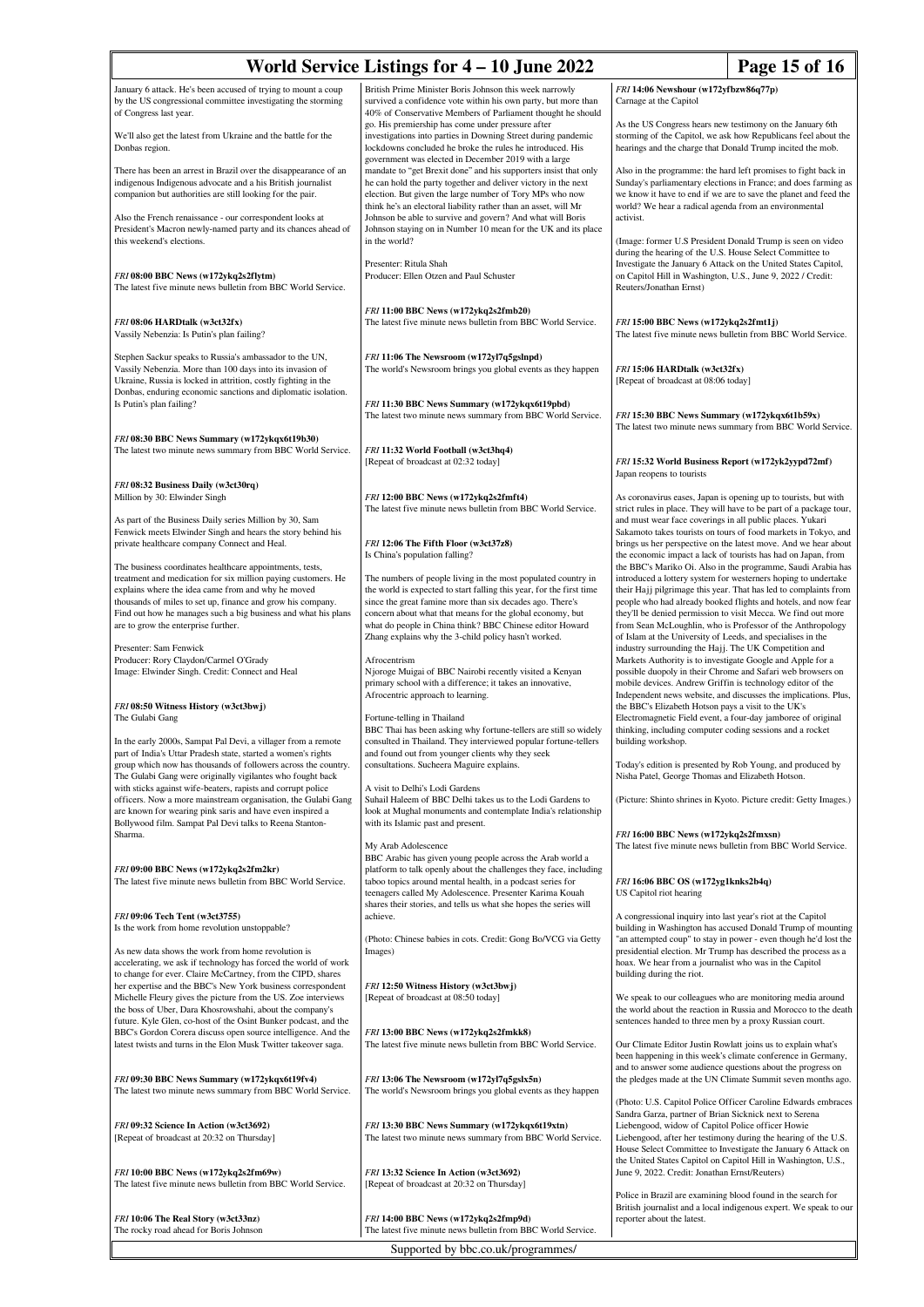# **World Service Listings for 4 – 10 June 2022 Page 15 of 16**

January 6 attack. He's been accused of trying to mount a coup by the US congressional committee investigating the storming of Congress last year.

We'll also get the latest from Ukraine and the battle for the Donbas region.

There has been an arrest in Brazil over the disappearance of an indigenous Indigenous advocate and a his British journalist companion but authorities are still looking for the pair.

Also the French renaissance - our correspondent looks at President's Macron newly-named party and its chances ahead of this weekend's elections.

*FRI* **08:00 BBC News (w172ykq2s2flytm)** The latest five minute news bulletin from BBC World Service.

*FRI* **08:06 HARDtalk (w3ct32fx)** Vassily Nebenzia: Is Putin's plan failing?

Stephen Sackur speaks to Russia's ambassador to the UN, Vassily Nebenzia. More than 100 days into its invasion of Ukraine, Russia is locked in attrition, costly fighting in the Donbas, enduring economic sanctions and diplomatic isolation. Is Putin's plan failing?

*FRI* **08:30 BBC News Summary (w172ykqx6t19b30)** The latest two minute news summary from BBC World Service.

*FRI* **08:32 Business Daily (w3ct30rq)** Million by 30: Elwinder Singh

As part of the Business Daily series Million by 30, Sam Fenwick meets Elwinder Singh and hears the story behind his private healthcare company Connect and Heal.

The business coordinates healthcare appointments, tests, treatment and medication for six million paying customers. He explains where the idea came from and why he moved thousands of miles to set up, finance and grow his company. Find out how he manages such a big business and what his plans are to grow the enterprise further.

Presenter: Sam Fenwick Producer: Rory Claydon/Carmel O'Grady Image: Elwinder Singh. Credit: Connect and Heal

*FRI* **08:50 Witness History (w3ct3bwj)** The Gulabi Gang

In the early 2000s, Sampat Pal Devi, a villager from a remote part of India's Uttar Pradesh state, started a women's rights group which now has thousands of followers across the country. The Gulabi Gang were originally vigilantes who fought back with sticks against wife-beaters, rapists and corrupt police officers. Now a more mainstream organisation, the Gulabi Gang are known for wearing pink saris and have even inspired a Bollywood film. Sampat Pal Devi talks to Reena Stanton-Sharma.

*FRI* **09:00 BBC News (w172ykq2s2fm2kr)** The latest five minute news bulletin from BBC World Service.

*FRI* **09:06 Tech Tent (w3ct3755)** Is the work from home revolution unstoppable?

As new data shows the work from home revolution is accelerating, we ask if technology has forced the world of work to change for ever. Claire McCartney, from the CIPD, shares her expertise and the BBC's New York business correspondent Michelle Fleury gives the picture from the US. Zoe interviews the boss of Uber, Dara Khosrowshahi, about the company's

future. Kyle Glen, co-host of the Osint Bunker podcast, and the BBC's Gordon Corera discuss open source intelligence. And the latest twists and turns in the Elon Musk Twitter takeover saga.

*FRI* **09:30 BBC News Summary (w172ykqx6t19fv4)** The latest two minute news summary from BBC World Service.

*FRI* **09:32 Science In Action (w3ct3692)** [Repeat of broadcast at 20:32 on Thursday]

*FRI* **10:00 BBC News (w172ykq2s2fm69w)** The latest five minute news bulletin from BBC World Service.

*FRI* **10:06 The Real Story (w3ct33nz)** The rocky road ahead for Boris Johnson British Prime Minister Boris Johnson this week narrowly survived a confidence vote within his own party, but more than 40% of Conservative Members of Parliament thought he should go. His premiership has come under pressure after investigations into parties in Downing Street during pandemic lockdowns concluded he broke the rules he introduced. His government was elected in December 2019 with a large mandate to "get Brexit done" and his supporters insist that only he can hold the party together and deliver victory in the next election. But given the large number of Tory MPs who now think he's an electoral liability rather than an asset, will Mr Johnson be able to survive and govern? And what will Boris Johnson staying on in Number 10 mean for the UK and its place in the world?

Presenter: Ritula Shah Producer: Ellen Otzen and Paul Schuster

*FRI* **11:00 BBC News (w172ykq2s2fmb20)** The latest five minute news bulletin from BBC World Service.

*FRI* **11:06 The Newsroom (w172yl7q5gslnpd)** The world's Newsroom brings you global events as they happen

*FRI* **11:30 BBC News Summary (w172ykqx6t19pbd)** The latest two minute news summary from BBC World Service.

*FRI* **11:32 World Football (w3ct3hq4)** [Repeat of broadcast at 02:32 today]

*FRI* **12:00 BBC News (w172ykq2s2fmft4)** The latest five minute news bulletin from BBC World Service.

*FRI* **12:06 The Fifth Floor (w3ct37z8)** Is China's population falling?

The numbers of people living in the most populated country in the world is expected to start falling this year, for the first time since the great famine more than six decades ago. There's concern about what that means for the global economy, but what do people in China think? BBC Chinese editor Howard Zhang explains why the 3-child policy hasn't worked.

Afrocentrism

Njoroge Muigai of BBC Nairobi recently visited a Kenyan primary school with a difference; it takes an innovative, Afrocentric approach to learning.

ane-telling in Thailand

BBC Thai has been asking why fortune-tellers are still so widely consulted in Thailand. They interviewed popular fortune-tellers and found out from younger clients why they seek consultations. Sucheera Maguire explain

A visit to Delhi's Lodi Gardens Suhail Haleem of BBC Delhi takes us to the Lodi Gardens to look at Mughal monuments and contemplate India's relationship with its Islamic past and present.

My Arab Adolescence BBC Arabic has given young people across the Arab world a

platform to talk openly about the challenges they face, including taboo topics around mental health, in a podcast series for teenagers called My Adolescence. Presenter Karima Kouah shares their stories, and tells us what she hopes the series will achieve.

(Photo: Chinese babies in cots. Credit: Gong Bo/VCG via Getty Images)

*FRI* **12:50 Witness History (w3ct3bwj)** [Repeat of broadcast at 08:50 today]

*FRI* **13:00 BBC News (w172ykq2s2fmkk8)** The latest five minute news bulletin from BBC World Service.

*FRI* **13:06 The Newsroom (w172yl7q5gslx5n)** The world's Newsroom brings you global events as they happen

*FRI* **13:30 BBC News Summary (w172ykqx6t19xtn)** The latest two minute news summary from BBC World Service.

*FRI* **13:32 Science In Action (w3ct3692)** [Repeat of broadcast at 20:32 on Thursday]

*FRI* **14:00 BBC News (w172ykq2s2fmp9d)** The latest five minute news bulletin from BBC World Service.

Supported by bbc.co.uk/programmes/

*FRI* **14:06 Newshour (w172yfbzw86q77p)** Carnage at the Capitol

As the US Congress hears new testimony on the January 6th storming of the Capitol, we ask how Republicans feel about the hearings and the charge that Donald Trump incited the mob.

Also in the programme: the hard left promises to fight back in Sunday's parliamentary elections in France; and does farming as we know it have to end if we are to save the planet and feed the world? We hear a radical agenda from an environmental activist.

(Image: former U.S President Donald Trump is seen on video during the hearing of the U.S. House Select Committee to Investigate the January 6 Attack on the United States Capitol, on Capitol Hill in Washington, U.S., June 9, 2022 / Credit: Reuters/Jonathan Ernst)

*FRI* **15:00 BBC News (w172ykq2s2fmt1j)** The latest five minute news bulletin from BBC World Service.

*FRI* **15:06 HARDtalk (w3ct32fx)** [Repeat of broadcast at 08:06 today]

*FRI* **15:30 BBC News Summary (w172ykqx6t1b59x)** The latest two minute news summary from BBC World Service.

*FRI* **15:32 World Business Report (w172yk2yypd72mf)** Japan reopens to tourists

As coronavirus eases, Japan is opening up to tourists, but with strict rules in place. They will have to be part of a package tour, and must wear face coverings in all public places. Yukari Sakamoto takes tourists on tours of food markets in Tokyo, and brings us her perspective on the latest move. And we hear about the economic impact a lack of tourists has had on Japan, from the BBC's Mariko Oi. Also in the programme, Saudi Arabia has introduced a lottery system for westerners hoping to undertake their Hajj pilgrimage this year. That has led to complaints from people who had already booked flights and hotels, and now fear they'll be denied permission to visit Mecca. We find out more from Sean McLoughlin, who is Professor of the Anthropology of Islam at the University of Leeds, and specialises in the industry surrounding the Hajj. The UK Competition and Markets Authority is to investigate Google and Apple for a possible duopoly in their Chrome and Safari web browsers on mobile devices. Andrew Griffin is technology editor of the Independent news website, and discusses the implications. Pl the BBC's Elizabeth Hotson pays a visit to the UK's Electromagnetic Field event, a four-day jamboree of original thinking, including computer coding sessions and a rocket building workshop.

Today's edition is presented by Rob Young, and produced by Nisha Patel, George Thomas and Elizabeth Hotson.

(Picture: Shinto shrines in Kyoto. Picture credit: Getty Images.)

*FRI* **16:00 BBC News (w172ykq2s2fmxsn)** The latest five minute news bulletin from BBC World Service.

*FRI* **16:06 BBC OS (w172yg1knks2b4q)** US Capitol riot hearing

A congressional inquiry into last year's riot at the Capitol building in Washington has accused Donald Trump of mounting "an attempted coup" to stay in power - even though he'd lost the presidential election. Mr Trump has described the process as a hoax. We hear from a journalist who was in the Capitol building during the riot.

We speak to our colleagues who are monitoring media around the world about the reaction in Russia and Morocco to the death sentences handed to three men by a proxy Russian court.

Our Climate Editor Justin Rowlatt joins us to explain what's been happening in this week's climate conference in Germany. and to answer some audience questions about the progress on the pledges made at the UN Climate Summit seven months ago.

(Photo: U.S. Capitol Police Officer Caroline Edwards em Sandra Garza, partner of Brian Sicknick next to Serena Liebengood, widow of Capitol Police officer Howie Liebengood, after her testimony during the hearing of the U.S. House Select Committee to Investigate the January 6 Attack on the United States Capitol on Capitol Hill in Washington, U.S., June 9, 2022. Credit: Jonathan Ernst/Reuters)

Police in Brazil are examining blood found in the search for British journalist and a local indigenous expert. We speak to our reporter about the latest.